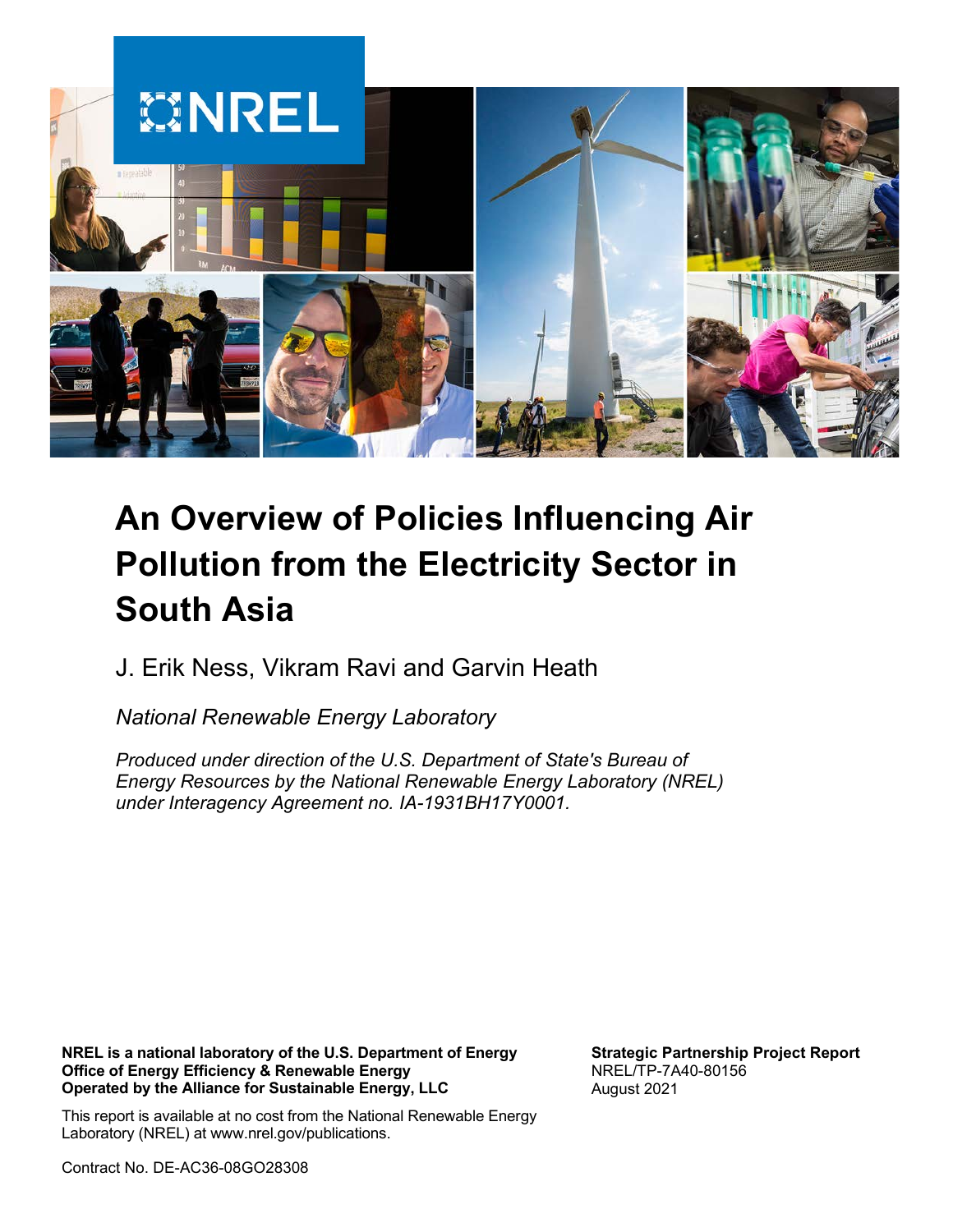

# **An Overview of Policies Influencing Air Pollution from the Electricity Sector in South Asia**

J. Erik Ness, Vikram Ravi and Garvin Heath

*National Renewable Energy Laboratory*

*Produced under direction of the U.S. Department of State's Bureau of Energy Resources by the National Renewable Energy Laboratory (NREL) under Interagency Agreement no. IA-1931BH17Y0001.*

**NREL is a national laboratory of the U.S. Department of Energy Office of Energy Efficiency & Renewable Energy Operated by the Alliance for Sustainable Energy, LLC**

This report is available at no cost from the National Renewable Energy Laboratory (NREL) at www.nrel.gov/publications.

Contract No. DE-AC36-08GO28308

**Strategic Partnership Project Report** NREL/TP-7A40-80156 August 2021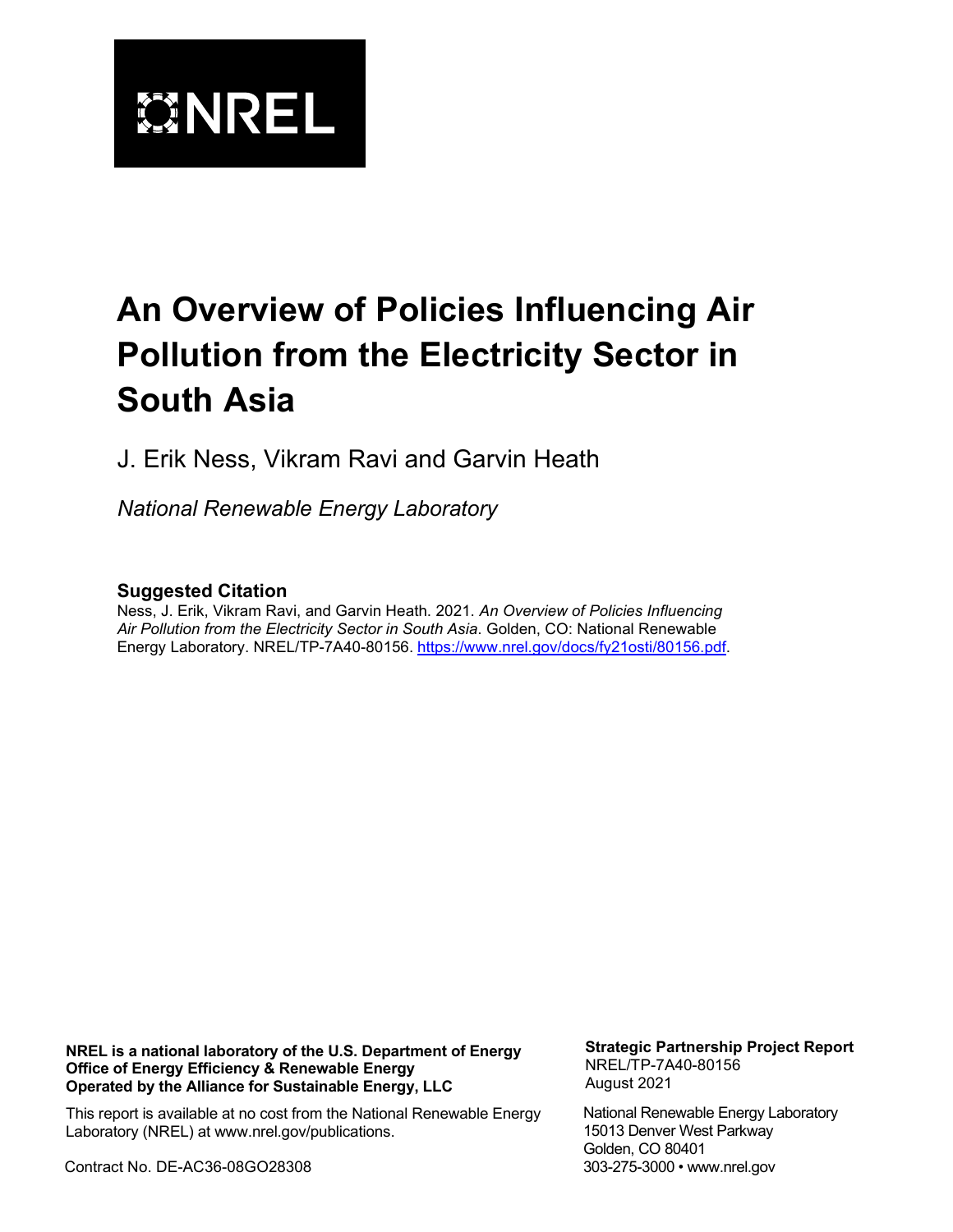

# **An Overview of Policies Influencing Air Pollution from the Electricity Sector in South Asia**

J. Erik Ness, Vikram Ravi and Garvin Heath

*National Renewable Energy Laboratory*

#### **Suggested Citation**

Ness, J. Erik, Vikram Ravi, and Garvin Heath. 2021. *An Overview of Policies Influencing Air Pollution from the Electricity Sector in South Asia*. Golden, CO: National Renewable Energy Laboratory. NREL/TP-7A40-80156. [https://www.nrel.gov/docs/fy21osti/80156.pdf.](https://www.nrel.gov/docs/fy21osti/80156.pdf)

**NREL is a national laboratory of the U.S. Department of Energy Office of Energy Efficiency & Renewable Energy Operated by the Alliance for Sustainable Energy, LLC**

This report is available at no cost from the National Renewable Energy Laboratory (NREL) at www.nrel.gov/publications.

Contract No. DE-AC36-08GO28308

**Strategic Partnership Project Report** NREL/TP-7A40-80156 August 2021

National Renewable Energy Laboratory 15013 Denver West Parkway Golden, CO 80401 303-275-3000 • www.nrel.gov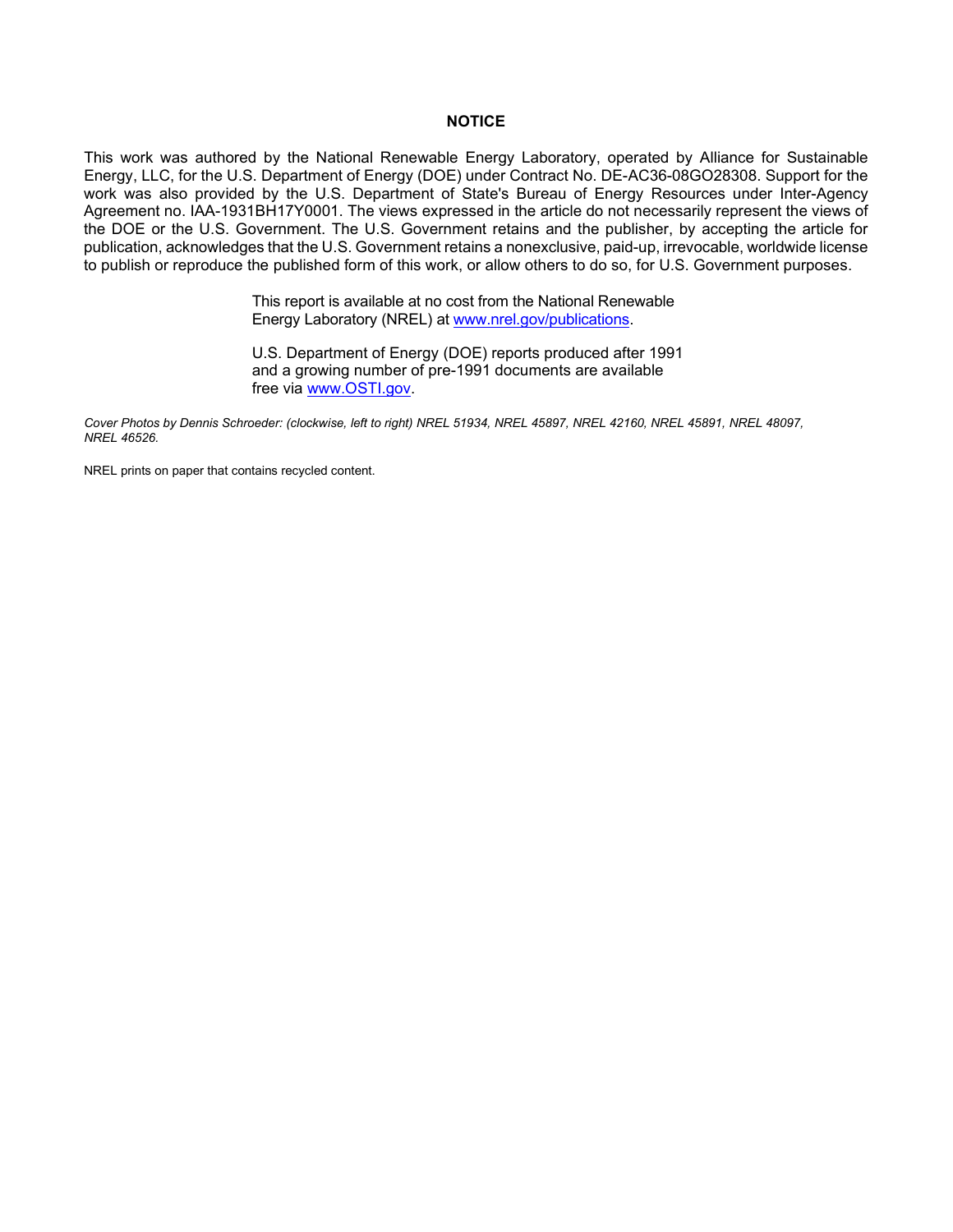#### **NOTICE**

This work was authored by the National Renewable Energy Laboratory, operated by Alliance for Sustainable Energy, LLC, for the U.S. Department of Energy (DOE) under Contract No. DE-AC36-08GO28308. Support for the work was also provided by the U.S. Department of State's Bureau of Energy Resources under Inter-Agency Agreement no. IAA-1931BH17Y0001. The views expressed in the article do not necessarily represent the views of the DOE or the U.S. Government. The U.S. Government retains and the publisher, by accepting the article for publication, acknowledges that the U.S. Government retains a nonexclusive, paid-up, irrevocable, worldwide license to publish or reproduce the published form of this work, or allow others to do so, for U.S. Government purposes.

> This report is available at no cost from the National Renewable Energy Laboratory (NREL) at [www.nrel.gov/publications.](http://www.nrel.gov/publications)

U.S. Department of Energy (DOE) reports produced after 1991 and a growing number of pre-1991 documents are available free via [www.OSTI.gov.](http://www.osti.gov/) 

*Cover Photos by Dennis Schroeder: (clockwise, left to right) NREL 51934, NREL 45897, NREL 42160, NREL 45891, NREL 48097, NREL 46526.*

NREL prints on paper that contains recycled content.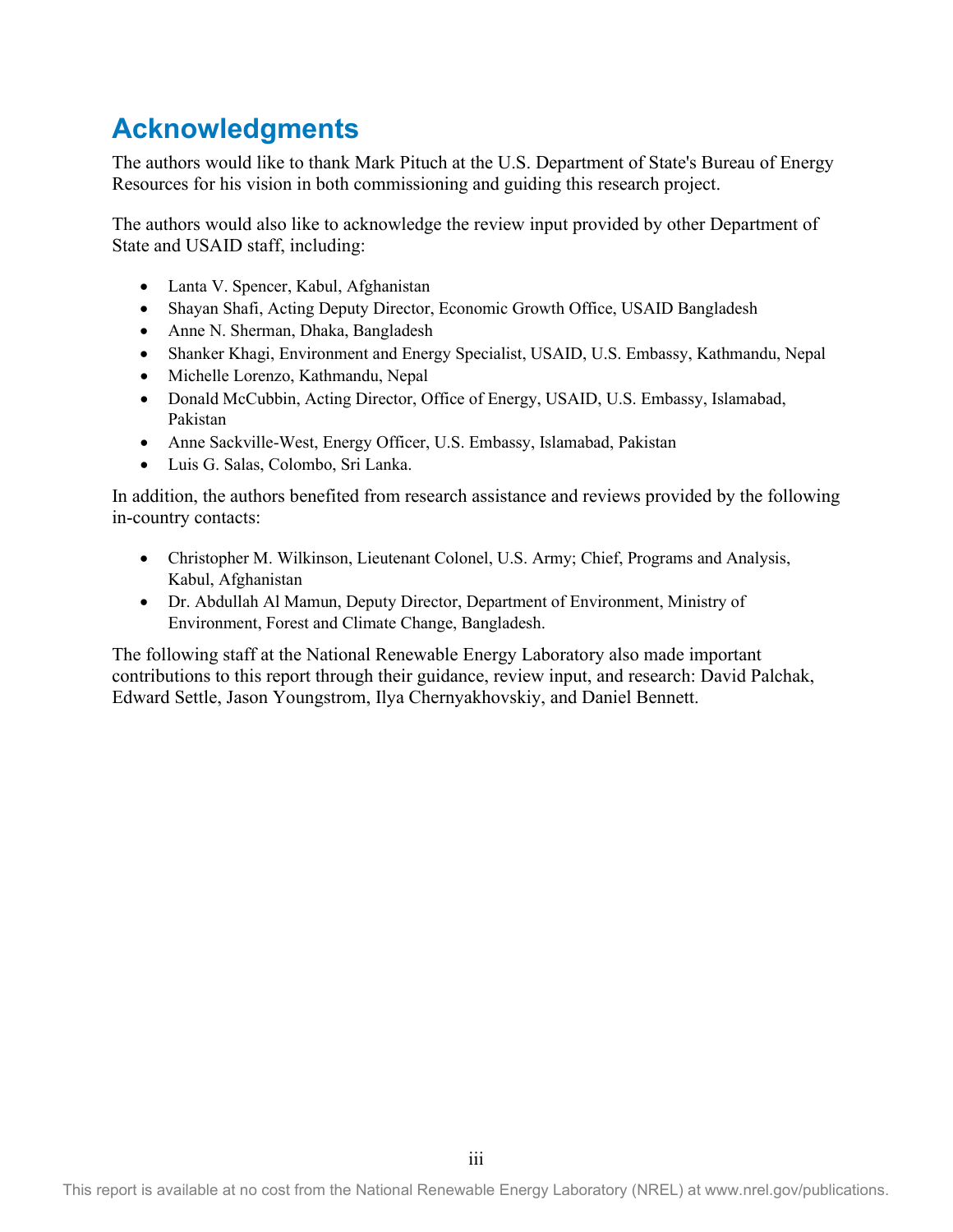## <span id="page-3-0"></span>**Acknowledgments**

The authors would like to thank Mark Pituch at the U.S. Department of State's Bureau of Energy Resources for his vision in both commissioning and guiding this research project.

The authors would also like to acknowledge the review input provided by other Department of State and USAID staff, including:

- Lanta V. Spencer, Kabul, Afghanistan
- Shayan Shafi, Acting Deputy Director, Economic Growth Office, USAID Bangladesh
- Anne N. Sherman, Dhaka, Bangladesh
- Shanker Khagi, Environment and Energy Specialist, USAID, U.S. Embassy, Kathmandu, Nepal
- Michelle Lorenzo, Kathmandu, Nepal
- Donald McCubbin, Acting Director, Office of Energy, USAID, U.S. Embassy, Islamabad, Pakistan
- Anne Sackville-West, Energy Officer, U.S. Embassy, Islamabad, Pakistan
- Luis G. Salas, Colombo, Sri Lanka.

In addition, the authors benefited from research assistance and reviews provided by the following in-country contacts:

- Christopher M. Wilkinson, Lieutenant Colonel, U.S. Army; Chief, Programs and Analysis, Kabul, Afghanistan
- Dr. Abdullah Al Mamun, Deputy Director, Department of Environment, Ministry of Environment, Forest and Climate Change, Bangladesh.

The following staff at the National Renewable Energy Laboratory also made important contributions to this report through their guidance, review input, and research: David Palchak, Edward Settle, Jason Youngstrom, Ilya Chernyakhovskiy, and Daniel Bennett.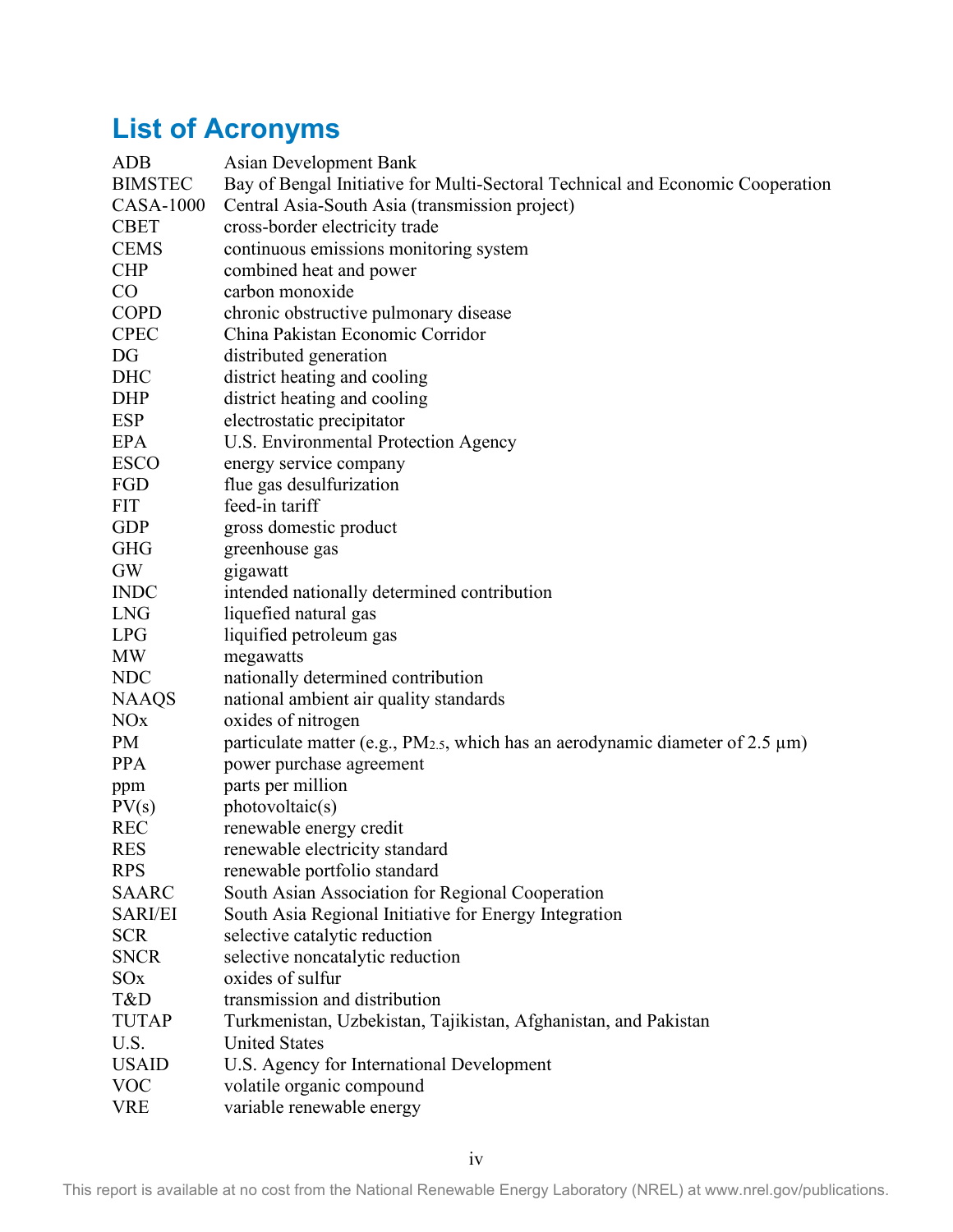## <span id="page-4-0"></span>**List of Acronyms**

| <b>ADB</b>            | Asian Development Bank                                                                   |
|-----------------------|------------------------------------------------------------------------------------------|
| <b>BIMSTEC</b>        | Bay of Bengal Initiative for Multi-Sectoral Technical and Economic Cooperation           |
| <b>CASA-1000</b>      | Central Asia-South Asia (transmission project)                                           |
| <b>CBET</b>           | cross-border electricity trade                                                           |
| <b>CEMS</b>           | continuous emissions monitoring system                                                   |
| <b>CHP</b>            | combined heat and power                                                                  |
| $\rm CO$              | carbon monoxide                                                                          |
| <b>COPD</b>           | chronic obstructive pulmonary disease                                                    |
| <b>CPEC</b>           | China Pakistan Economic Corridor                                                         |
| DG                    | distributed generation                                                                   |
| DHC                   | district heating and cooling                                                             |
| <b>DHP</b>            | district heating and cooling                                                             |
| <b>ESP</b>            | electrostatic precipitator                                                               |
| <b>EPA</b>            | U.S. Environmental Protection Agency                                                     |
| <b>ESCO</b>           | energy service company                                                                   |
| FGD                   | flue gas desulfurization                                                                 |
| <b>FIT</b>            | feed-in tariff                                                                           |
| <b>GDP</b>            | gross domestic product                                                                   |
| <b>GHG</b>            | greenhouse gas                                                                           |
| GW                    | gigawatt                                                                                 |
| <b>INDC</b>           | intended nationally determined contribution                                              |
| <b>LNG</b>            | liquefied natural gas                                                                    |
| <b>LPG</b>            | liquified petroleum gas                                                                  |
| <b>MW</b>             | megawatts                                                                                |
| <b>NDC</b>            | nationally determined contribution                                                       |
| <b>NAAQS</b>          | national ambient air quality standards                                                   |
| <b>NO<sub>x</sub></b> | oxides of nitrogen                                                                       |
| PM                    | particulate matter (e.g., $PM_{2.5}$ , which has an aerodynamic diameter of 2.5 $\mu$ m) |
| <b>PPA</b>            | power purchase agreement                                                                 |
| ppm                   | parts per million                                                                        |
| PV(s)                 | photovoltaic(s)                                                                          |
| <b>REC</b>            | renewable energy credit                                                                  |
| <b>RES</b>            | renewable electricity standard                                                           |
| <b>RPS</b>            | renewable portfolio standard                                                             |
| <b>SAARC</b>          | South Asian Association for Regional Cooperation                                         |
| <b>SARI/EI</b>        | South Asia Regional Initiative for Energy Integration                                    |
| <b>SCR</b>            | selective catalytic reduction                                                            |
| <b>SNCR</b>           | selective noncatalytic reduction                                                         |
| SO <sub>x</sub>       | oxides of sulfur                                                                         |
| T&D                   | transmission and distribution                                                            |
| <b>TUTAP</b>          | Turkmenistan, Uzbekistan, Tajikistan, Afghanistan, and Pakistan                          |
| U.S.                  | <b>United States</b>                                                                     |
| <b>USAID</b>          | U.S. Agency for International Development                                                |
| <b>VOC</b>            | volatile organic compound                                                                |
| <b>VRE</b>            | variable renewable energy                                                                |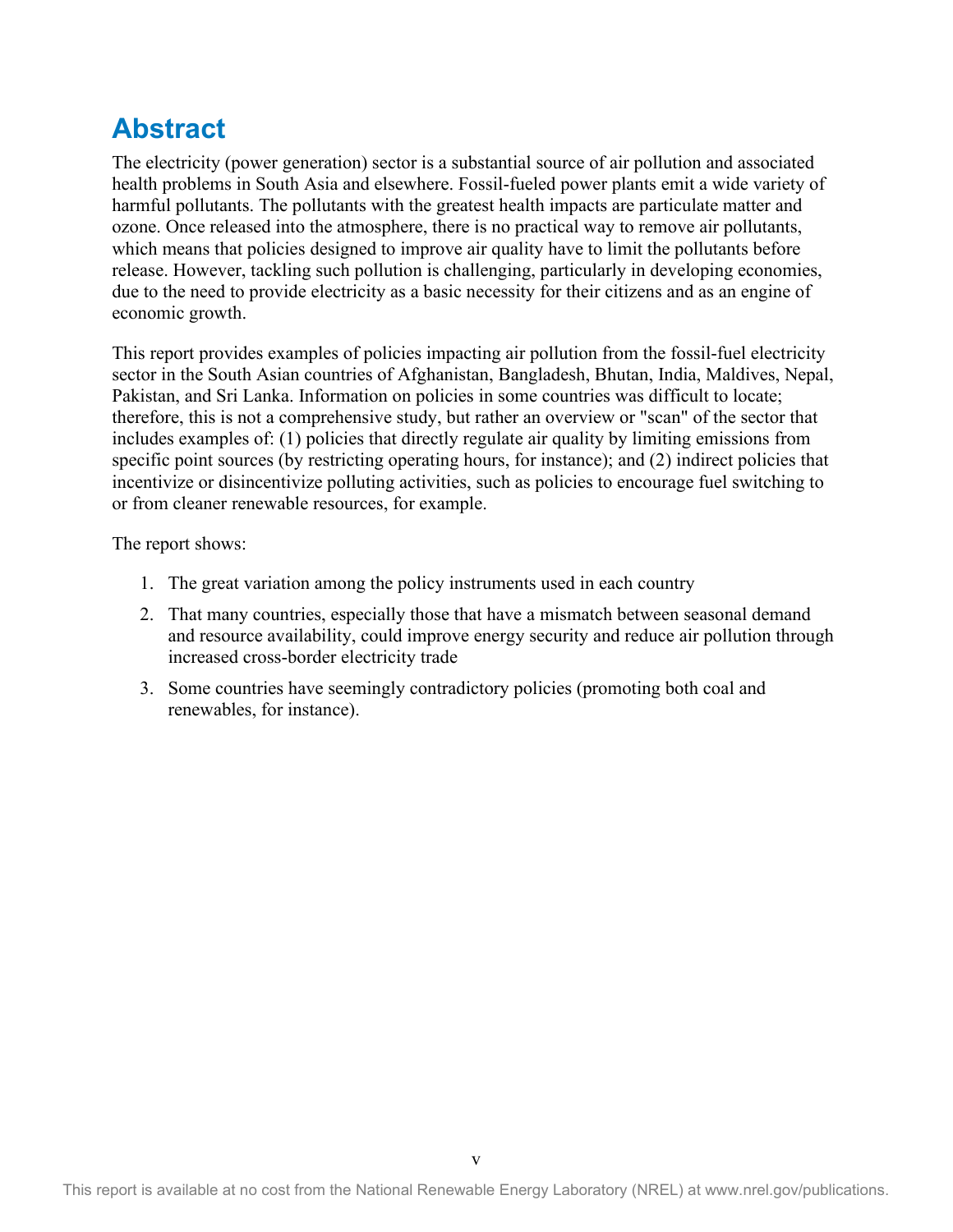## <span id="page-5-0"></span>**Abstract**

The electricity (power generation) sector is a substantial source of air pollution and associated health problems in South Asia and elsewhere. Fossil-fueled power plants emit a wide variety of harmful pollutants. The pollutants with the greatest health impacts are particulate matter and ozone. Once released into the atmosphere, there is no practical way to remove air pollutants, which means that policies designed to improve air quality have to limit the pollutants before release. However, tackling such pollution is challenging, particularly in developing economies, due to the need to provide electricity as a basic necessity for their citizens and as an engine of economic growth.

This report provides examples of policies impacting air pollution from the fossil-fuel electricity sector in the South Asian countries of Afghanistan, Bangladesh, Bhutan, India, Maldives, Nepal, Pakistan, and Sri Lanka. Information on policies in some countries was difficult to locate; therefore, this is not a comprehensive study, but rather an overview or "scan" of the sector that includes examples of: (1) policies that directly regulate air quality by limiting emissions from specific point sources (by restricting operating hours, for instance); and (2) indirect policies that incentivize or disincentivize polluting activities, such as policies to encourage fuel switching to or from cleaner renewable resources, for example.

The report shows:

- 1. The great variation among the policy instruments used in each country
- 2. That many countries, especially those that have a mismatch between seasonal demand and resource availability, could improve energy security and reduce air pollution through increased cross-border electricity trade
- 3. Some countries have seemingly contradictory policies (promoting both coal and renewables, for instance).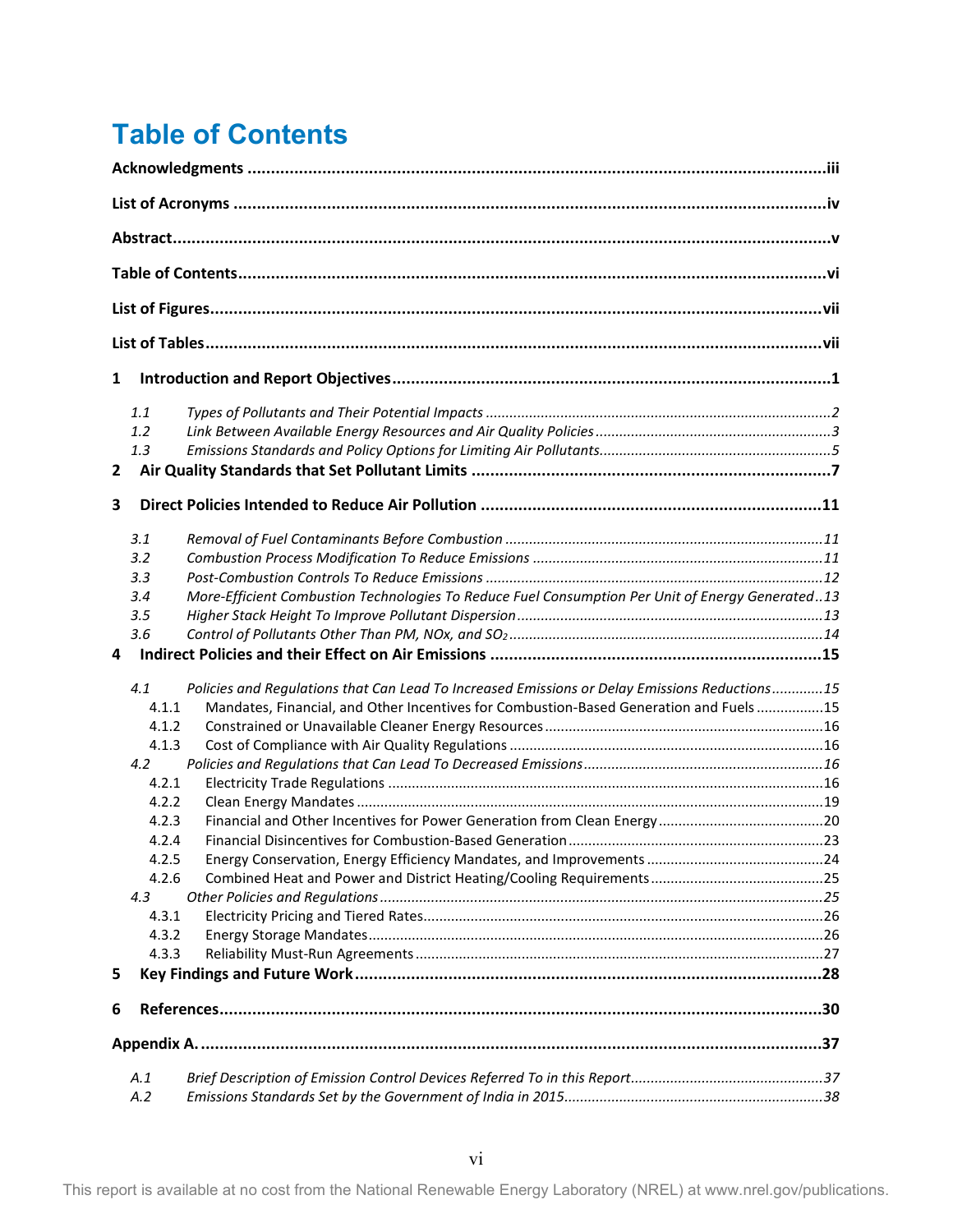## <span id="page-6-0"></span>**Table of Contents**

| 1            |       |                                                                                                  |  |  |  |  |  |
|--------------|-------|--------------------------------------------------------------------------------------------------|--|--|--|--|--|
|              | 1.1   |                                                                                                  |  |  |  |  |  |
|              | 1.2   |                                                                                                  |  |  |  |  |  |
|              | 1.3   |                                                                                                  |  |  |  |  |  |
| $\mathbf{2}$ |       |                                                                                                  |  |  |  |  |  |
| 3            |       |                                                                                                  |  |  |  |  |  |
|              | 3.1   |                                                                                                  |  |  |  |  |  |
|              | 3.2   |                                                                                                  |  |  |  |  |  |
|              | 3.3   |                                                                                                  |  |  |  |  |  |
|              | 3.4   | More-Efficient Combustion Technologies To Reduce Fuel Consumption Per Unit of Energy Generated13 |  |  |  |  |  |
|              | 3.5   |                                                                                                  |  |  |  |  |  |
|              |       |                                                                                                  |  |  |  |  |  |
|              | 3.6   |                                                                                                  |  |  |  |  |  |
| 4            |       |                                                                                                  |  |  |  |  |  |
|              | 4.1   | Policies and Regulations that Can Lead To Increased Emissions or Delay Emissions Reductions15    |  |  |  |  |  |
|              | 4.1.1 | Mandates, Financial, and Other Incentives for Combustion-Based Generation and Fuels15            |  |  |  |  |  |
|              | 4.1.2 |                                                                                                  |  |  |  |  |  |
|              | 4.1.3 |                                                                                                  |  |  |  |  |  |
|              | 4.2   |                                                                                                  |  |  |  |  |  |
|              | 4.2.1 |                                                                                                  |  |  |  |  |  |
|              | 4.2.2 |                                                                                                  |  |  |  |  |  |
|              | 4.2.3 |                                                                                                  |  |  |  |  |  |
|              | 4.2.4 |                                                                                                  |  |  |  |  |  |
|              | 4.2.5 |                                                                                                  |  |  |  |  |  |
|              | 4.2.6 |                                                                                                  |  |  |  |  |  |
|              | 4.3   |                                                                                                  |  |  |  |  |  |
|              | 4.3.1 |                                                                                                  |  |  |  |  |  |
|              | 4.3.2 |                                                                                                  |  |  |  |  |  |
|              | 4.3.3 |                                                                                                  |  |  |  |  |  |
| 5            |       |                                                                                                  |  |  |  |  |  |
| 6            |       |                                                                                                  |  |  |  |  |  |
|              |       |                                                                                                  |  |  |  |  |  |
|              |       |                                                                                                  |  |  |  |  |  |
|              | A.1   |                                                                                                  |  |  |  |  |  |
|              | A.2   |                                                                                                  |  |  |  |  |  |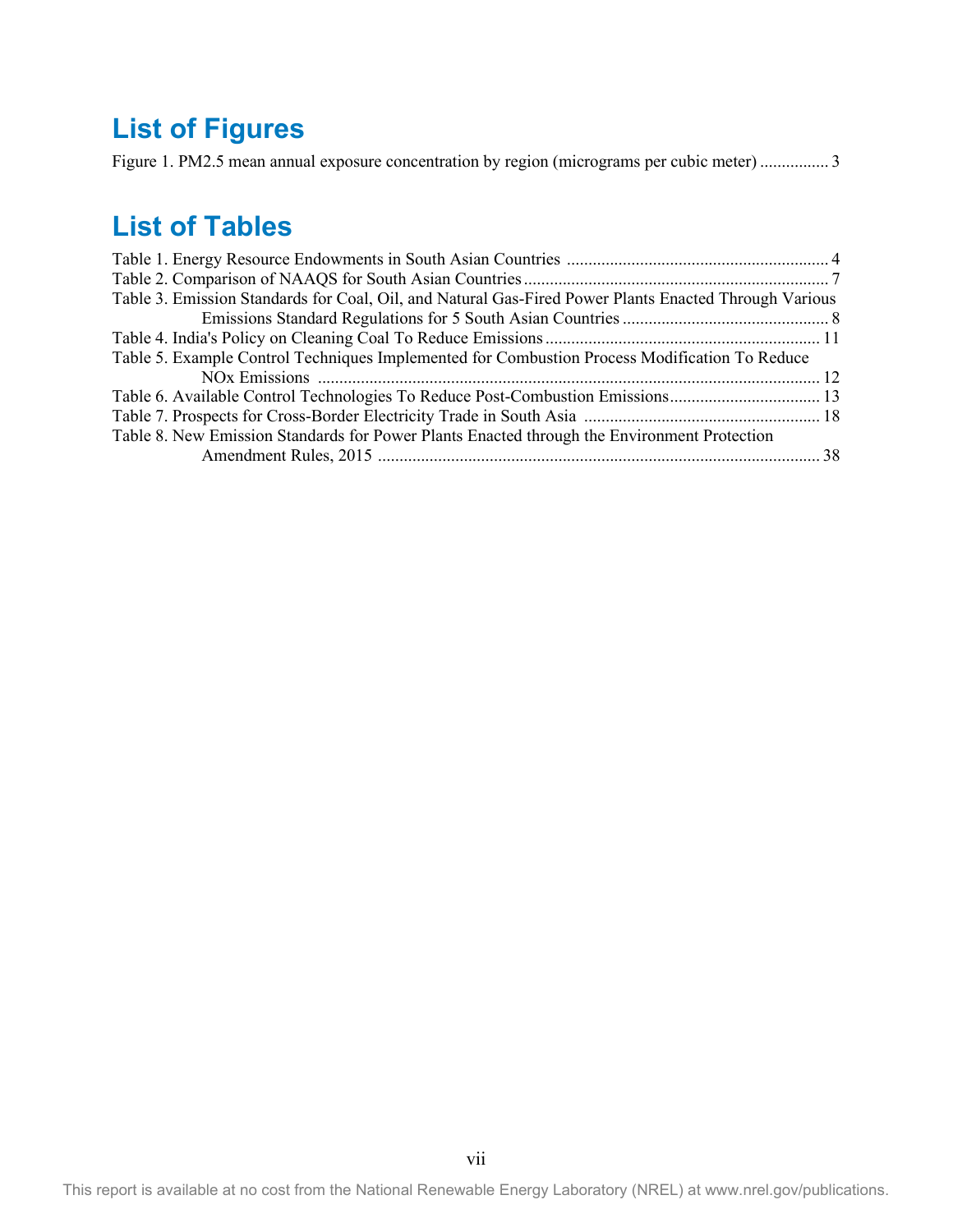## <span id="page-7-0"></span>**List of Figures**

[Figure 1. PM2.5 mean annual exposure concentration by region \(micrograms per cubic meter\) ................ 3](#page-10-1)

## <span id="page-7-1"></span>**List of Tables**

| Table 3. Emission Standards for Coal, Oil, and Natural Gas-Fired Power Plants Enacted Through Various |  |
|-------------------------------------------------------------------------------------------------------|--|
|                                                                                                       |  |
|                                                                                                       |  |
| Table 5. Example Control Techniques Implemented for Combustion Process Modification To Reduce         |  |
|                                                                                                       |  |
| Table 6. Available Control Technologies To Reduce Post-Combustion Emissions 13                        |  |
|                                                                                                       |  |
| Table 8. New Emission Standards for Power Plants Enacted through the Environment Protection           |  |
|                                                                                                       |  |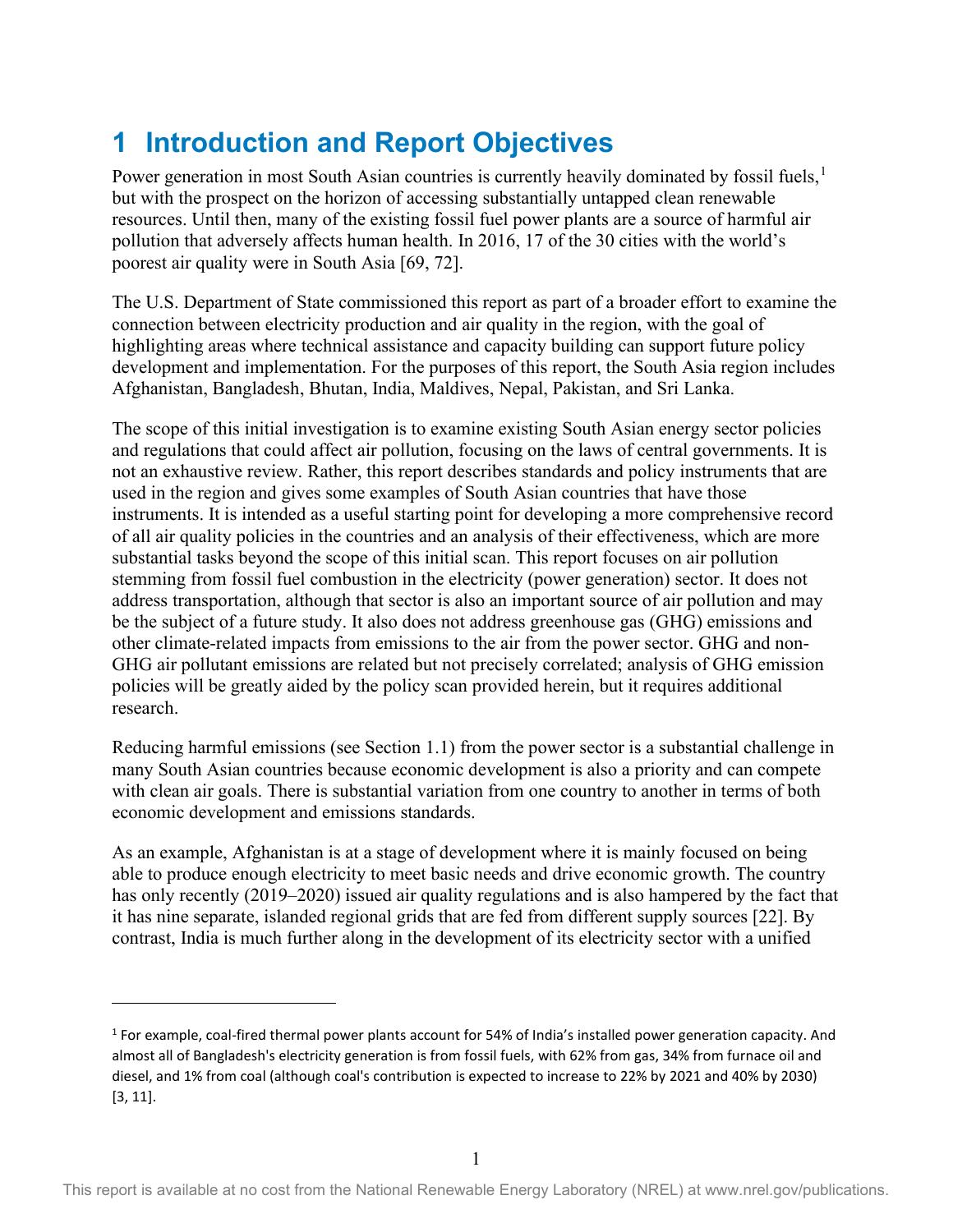## <span id="page-8-0"></span>**1 Introduction and Report Objectives**

Power generation in most South Asian countries is currently heavily dominated by fossil fuels,<sup>[1](#page-8-1)</sup> but with the prospect on the horizon of accessing substantially untapped clean renewable resources. Until then, many of the existing fossil fuel power plants are a source of harmful air pollution that adversely affects human health. In 2016, 17 of the 30 cities with the world's poorest air quality were in South Asia [69, 72].

The U.S. Department of State commissioned this report as part of a broader effort to examine the connection between electricity production and air quality in the region, with the goal of highlighting areas where technical assistance and capacity building can support future policy development and implementation. For the purposes of this report, the South Asia region includes Afghanistan, Bangladesh, Bhutan, India, Maldives, Nepal, Pakistan, and Sri Lanka.

The scope of this initial investigation is to examine existing South Asian energy sector policies and regulations that could affect air pollution, focusing on the laws of central governments. It is not an exhaustive review. Rather, this report describes standards and policy instruments that are used in the region and gives some examples of South Asian countries that have those instruments. It is intended as a useful starting point for developing a more comprehensive record of all air quality policies in the countries and an analysis of their effectiveness, which are more substantial tasks beyond the scope of this initial scan. This report focuses on air pollution stemming from fossil fuel combustion in the electricity (power generation) sector. It does not address transportation, although that sector is also an important source of air pollution and may be the subject of a future study. It also does not address greenhouse gas (GHG) emissions and other climate-related impacts from emissions to the air from the power sector. GHG and non-GHG air pollutant emissions are related but not precisely correlated; analysis of GHG emission policies will be greatly aided by the policy scan provided herein, but it requires additional research.

Reducing harmful emissions (see Section 1.1) from the power sector is a substantial challenge in many South Asian countries because economic development is also a priority and can compete with clean air goals. There is substantial variation from one country to another in terms of both economic development and emissions standards.

As an example, Afghanistan is at a stage of development where it is mainly focused on being able to produce enough electricity to meet basic needs and drive economic growth. The country has only recently (2019–2020) issued air quality regulations and is also hampered by the fact that it has nine separate, islanded regional grids that are fed from different supply sources [22]. By contrast, India is much further along in the development of its electricity sector with a unified

<span id="page-8-1"></span><sup>&</sup>lt;sup>1</sup> For example, coal-fired thermal power plants account for 54% of India's installed power generation capacity. And almost all of Bangladesh's electricity generation is from fossil fuels, with 62% from gas, 34% from furnace oil and diesel, and 1% from coal (although coal's contribution is expected to increase to 22% by 2021 and 40% by 2030) [3, 11].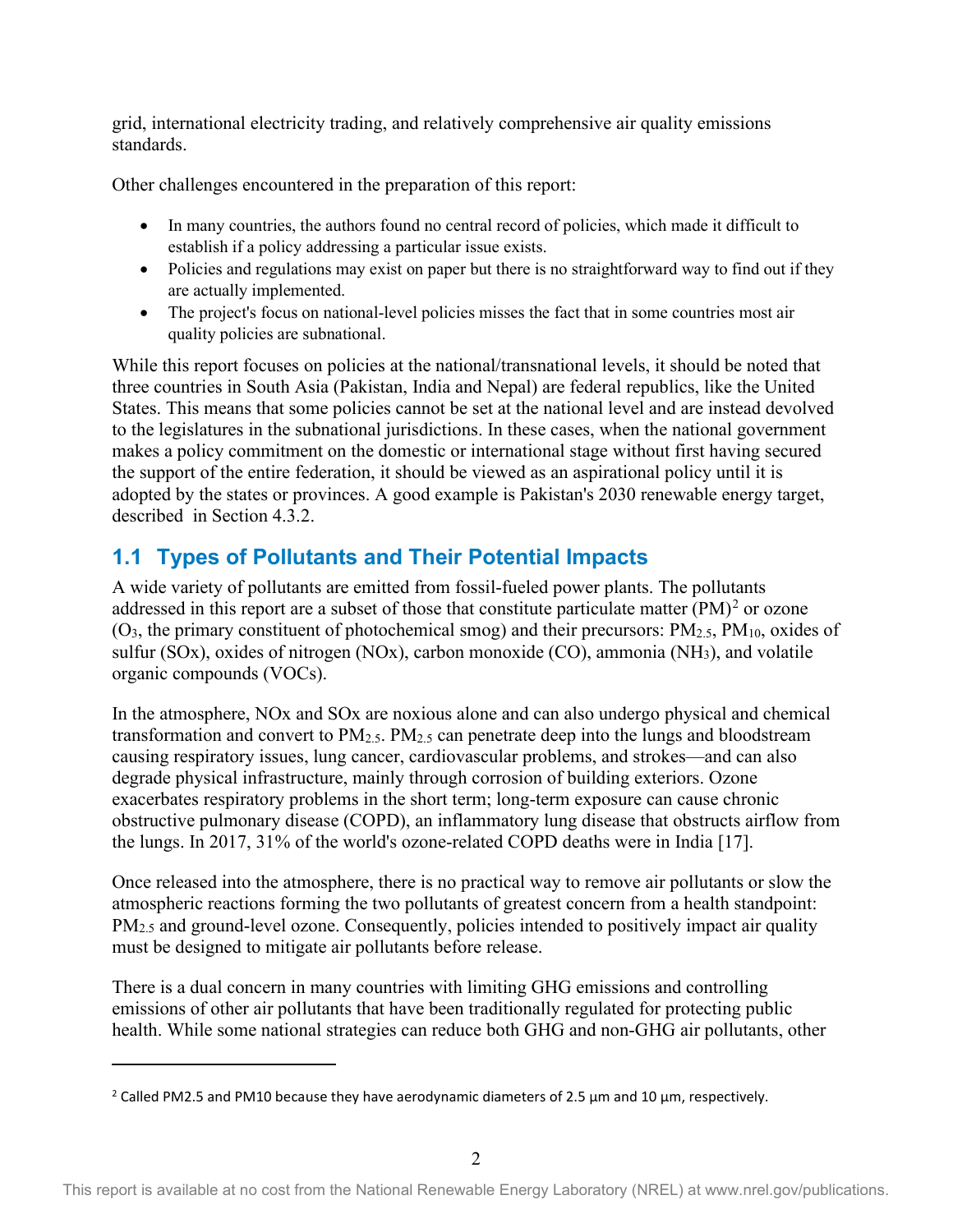grid, international electricity trading, and relatively comprehensive air quality emissions standards.

Other challenges encountered in the preparation of this report:

- In many countries, the authors found no central record of policies, which made it difficult to establish if a policy addressing a particular issue exists.
- Policies and regulations may exist on paper but there is no straightforward way to find out if they are actually implemented.
- The project's focus on national-level policies misses the fact that in some countries most air quality policies are subnational.

While this report focuses on policies at the national/transnational levels, it should be noted that three countries in South Asia (Pakistan, India and Nepal) are federal republics, like the United States. This means that some policies cannot be set at the national level and are instead devolved to the legislatures in the subnational jurisdictions. In these cases, when the national government makes a policy commitment on the domestic or international stage without first having secured the support of the entire federation, it should be viewed as an aspirational policy until it is adopted by the states or provinces. A good example is Pakistan's 2030 renewable energy target, described in Section 4.3.2.

## <span id="page-9-0"></span>**1.1 Types of Pollutants and Their Potential Impacts**

A wide variety of pollutants are emitted from fossil-fueled power plants. The pollutants addressed in this report are a subset of those that constitute particulate matter  $(PM)^2$  $(PM)^2$  or ozone  $(O_3,$  the primary constituent of photochemical smog) and their precursors:  $PM_{2.5}$ ,  $PM_{10}$ , oxides of sulfur (SOx), oxides of nitrogen (NOx), carbon monoxide (CO), ammonia (NH<sub>3</sub>), and volatile organic compounds (VOCs).

In the atmosphere, NOx and SOx are noxious alone and can also undergo physical and chemical transformation and convert to  $PM_{2.5}$ .  $PM_{2.5}$  can penetrate deep into the lungs and bloodstream causing respiratory issues, lung cancer, cardiovascular problems, and strokes—and can also degrade physical infrastructure, mainly through corrosion of building exteriors. Ozone exacerbates respiratory problems in the short term; long-term exposure can cause chronic obstructive pulmonary disease (COPD), an inflammatory lung disease that obstructs airflow from the lungs. In 2017, 31% of the world's ozone-related COPD deaths were in India [17].

Once released into the atmosphere, there is no practical way to remove air pollutants or slow the atmospheric reactions forming the two pollutants of greatest concern from a health standpoint: PM<sub>2.5</sub> and ground-level ozone. Consequently, policies intended to positively impact air quality must be designed to mitigate air pollutants before release.

There is a dual concern in many countries with limiting GHG emissions and controlling emissions of other air pollutants that have been traditionally regulated for protecting public health. While some national strategies can reduce both GHG and non-GHG air pollutants, other

<span id="page-9-1"></span><sup>&</sup>lt;sup>2</sup> Called PM2.5 and PM10 because they have aerodynamic diameters of 2.5  $\mu$ m and 10  $\mu$ m, respectively.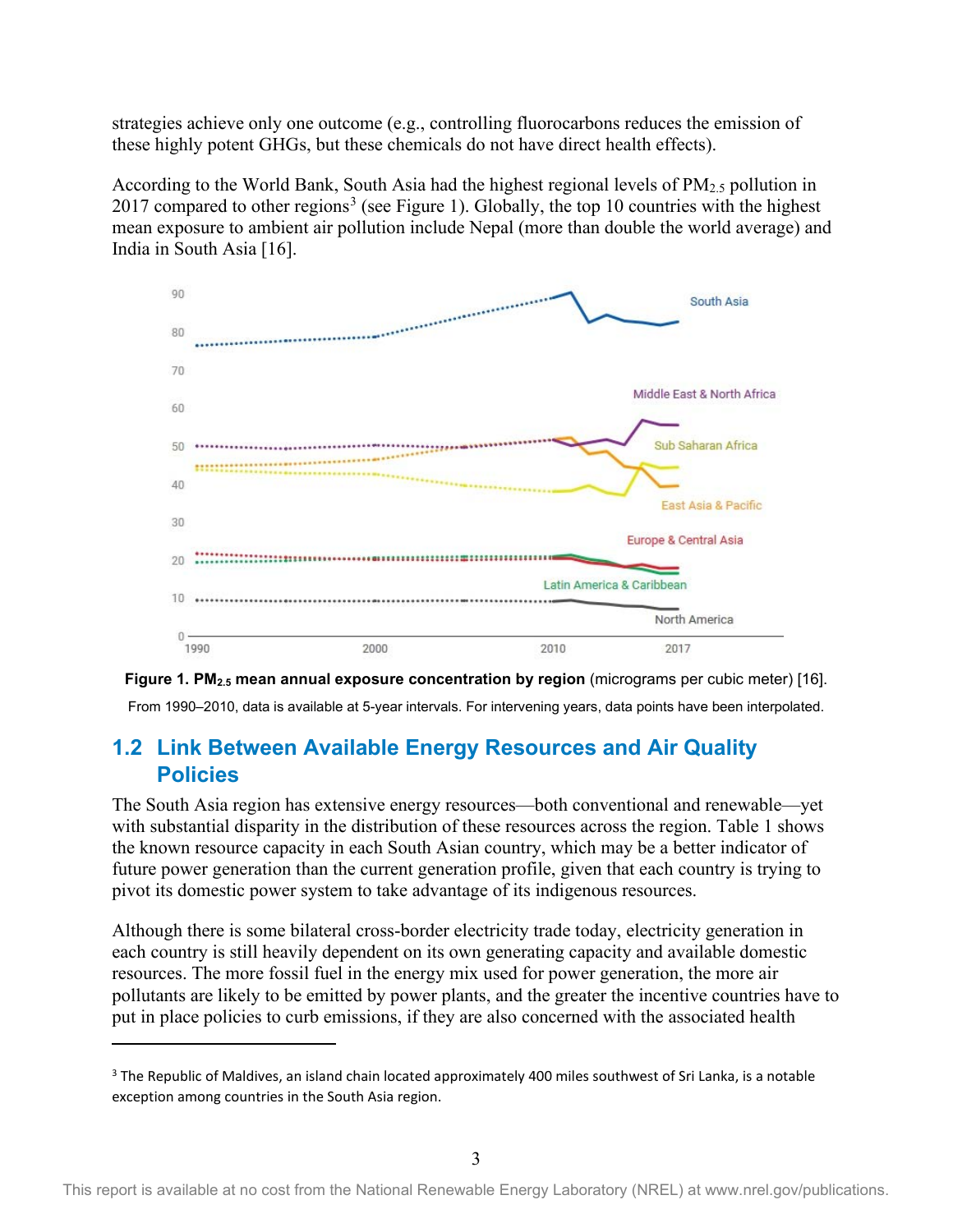strategies achieve only one outcome (e.g., controlling fluorocarbons reduces the emission of these highly potent GHGs, but these chemicals do not have direct health effects).

According to the World Bank, South Asia had the highest regional levels of  $PM_{2.5}$  pollution in 2017 compared to other regions<sup>[3](#page-10-2)</sup> (see Figure 1). Globally, the top 10 countries with the highest mean exposure to ambient air pollution include Nepal (more than double the world average) and India in South Asia [16].



<span id="page-10-1"></span>

### <span id="page-10-0"></span>**1.2 Link Between Available Energy Resources and Air Quality Policies**

The South Asia region has extensive energy resources—both conventional and renewable—yet with substantial disparity in the distribution of these resources across the region. Table 1 shows the known resource capacity in each South Asian country, which may be a better indicator of future power generation than the current generation profile, given that each country is trying to pivot its domestic power system to take advantage of its indigenous resources.

Although there is some bilateral cross-border electricity trade today, electricity generation in each country is still heavily dependent on its own generating capacity and available domestic resources. The more fossil fuel in the energy mix used for power generation, the more air pollutants are likely to be emitted by power plants, and the greater the incentive countries have to put in place policies to curb emissions, if they are also concerned with the associated health

<span id="page-10-2"></span><sup>&</sup>lt;sup>3</sup> The Republic of Maldives, an island chain located approximately 400 miles southwest of Sri Lanka, is a notable exception among countries in the South Asia region.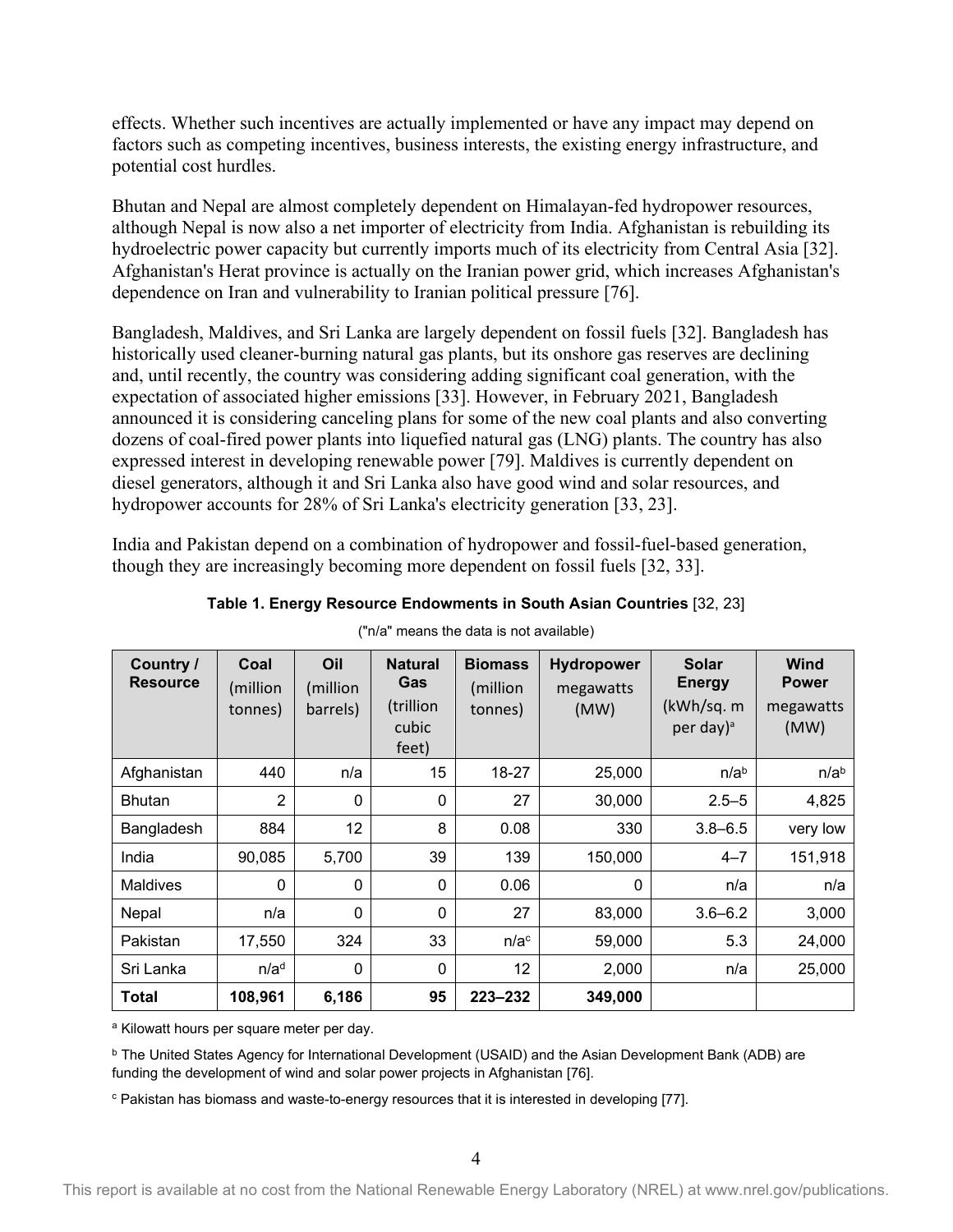effects. Whether such incentives are actually implemented or have any impact may depend on factors such as competing incentives, business interests, the existing energy infrastructure, and potential cost hurdles.

Bhutan and Nepal are almost completely dependent on Himalayan-fed hydropower resources, although Nepal is now also a net importer of electricity from India. Afghanistan is rebuilding its hydroelectric power capacity but currently imports much of its electricity from Central Asia [32]. Afghanistan's Herat province is actually on the Iranian power grid, which increases Afghanistan's dependence on Iran and vulnerability to Iranian political pressure [76].

Bangladesh, Maldives, and Sri Lanka are largely dependent on fossil fuels [32]. Bangladesh has historically used cleaner-burning natural gas plants, but its onshore gas reserves are declining and, until recently, the country was considering adding significant coal generation, with the expectation of associated higher emissions [33]. However, in February 2021, Bangladesh announced it is considering canceling plans for some of the new coal plants and also converting dozens of coal-fired power plants into liquefied natural gas (LNG) plants. The country has also expressed interest in developing renewable power [79]. Maldives is currently dependent on diesel generators, although it and Sri Lanka also have good wind and solar resources, and hydropower accounts for 28% of Sri Lanka's electricity generation [33, 23].

India and Pakistan depend on a combination of hydropower and fossil-fuel-based generation, though they are increasingly becoming more dependent on fossil fuels [32, 33].

<span id="page-11-0"></span>

| Country /<br><b>Resource</b> | Coal<br>(million<br>tonnes) | Oil<br>(million<br>barrels) | <b>Natural</b><br>Gas<br>(trillion<br>cubic<br>feet) | <b>Biomass</b><br>(million<br>tonnes) | Hydropower<br>megawatts<br>(MW) | Solar<br><b>Energy</b><br>(kWh/sq. m<br>per day) <sup>a</sup> | <b>Wind</b><br><b>Power</b><br>megawatts<br>(MW) |
|------------------------------|-----------------------------|-----------------------------|------------------------------------------------------|---------------------------------------|---------------------------------|---------------------------------------------------------------|--------------------------------------------------|
| Afghanistan                  | 440                         | n/a                         | 15                                                   | 18-27                                 | 25,000                          | n/a <sup>b</sup>                                              | n/a <sup>b</sup>                                 |
| <b>Bhutan</b>                | $\overline{2}$              | 0                           | $\mathbf{0}$                                         | 27                                    | 30,000                          | $2.5 - 5$                                                     | 4,825                                            |
| Bangladesh                   | 884                         | 12                          | 8                                                    | 0.08                                  | 330                             | $3.8 - 6.5$                                                   | very low                                         |
| India                        | 90,085                      | 5,700                       | 39                                                   | 139                                   | 150,000                         | $4 - 7$                                                       | 151,918                                          |
| <b>Maldives</b>              | $\mathbf{0}$                | $\mathbf{0}$                | $\mathbf{0}$                                         | 0.06                                  | 0                               | n/a                                                           | n/a                                              |
| Nepal                        | n/a                         | $\mathbf{0}$                | $\mathbf{0}$                                         | 27                                    | 83,000                          | $3.6 - 6.2$                                                   | 3,000                                            |
| Pakistan                     | 17,550                      | 324                         | 33                                                   | n/a <sup>c</sup>                      | 59,000                          | 5.3                                                           | 24,000                                           |
| Sri Lanka                    | n/a <sup>d</sup>            | $\mathbf{0}$                | $\mathbf{0}$                                         | 12                                    | 2,000                           | n/a                                                           | 25,000                                           |
| Total                        | 108,961                     | 6,186                       | 95                                                   | $223 - 232$                           | 349,000                         |                                                               |                                                  |

**Table 1. Energy Resource Endowments in South Asian Countries** [32, 23]

("n/a" means the data is not available)

a Kilowatt hours per square meter per day.

<sup>b</sup> The United States Agency for International Development (USAID) and the Asian Development Bank (ADB) are funding the development of wind and solar power projects in Afghanistan [76].

<sup>c</sup> Pakistan has biomass and waste-to-energy resources that it is interested in developing [77].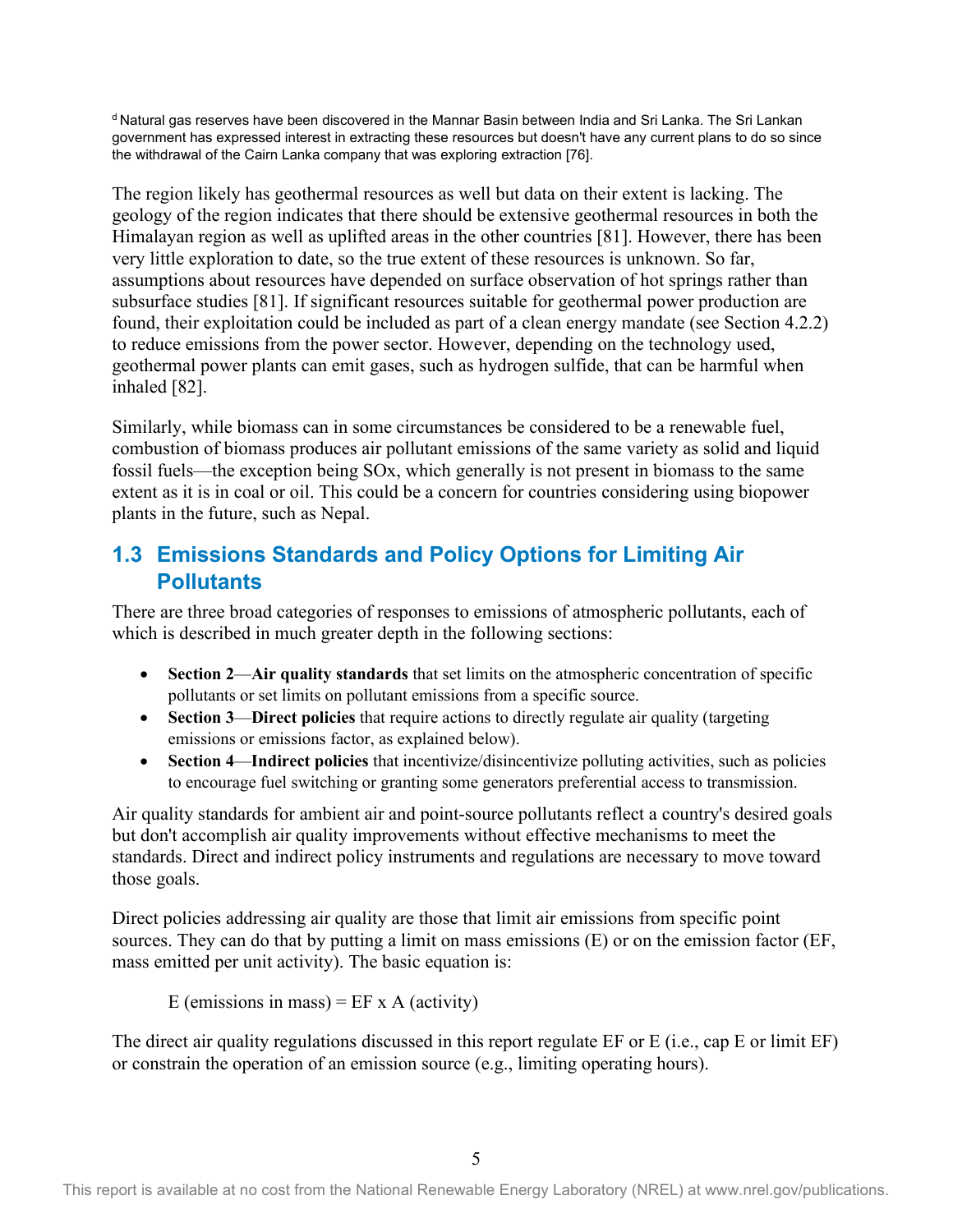d Natural gas reserves have been discovered in the Mannar Basin between India and Sri Lanka. The Sri Lankan government has expressed interest in extracting these resources but doesn't have any current plans to do so since the withdrawal of the Cairn Lanka company that was exploring extraction [76].

The region likely has geothermal resources as well but data on their extent is lacking. The geology of the region indicates that there should be extensive geothermal resources in both the Himalayan region as well as uplifted areas in the other countries [81]. However, there has been very little exploration to date, so the true extent of these resources is unknown. So far, assumptions about resources have depended on surface observation of hot springs rather than subsurface studies [81]. If significant resources suitable for geothermal power production are found, their exploitation could be included as part of a clean energy mandate (see Section 4.2.2) to reduce emissions from the power sector. However, depending on the technology used, geothermal power plants can emit gases, such as hydrogen sulfide, that can be harmful when inhaled [82].

Similarly, while biomass can in some circumstances be considered to be a renewable fuel, combustion of biomass produces air pollutant emissions of the same variety as solid and liquid fossil fuels—the exception being SOx, which generally is not present in biomass to the same extent as it is in coal or oil. This could be a concern for countries considering using biopower plants in the future, such as Nepal.

### <span id="page-12-0"></span>**1.3 Emissions Standards and Policy Options for Limiting Air Pollutants**

There are three broad categories of responses to emissions of atmospheric pollutants, each of which is described in much greater depth in the following sections:

- **Section 2**—**Air quality standards** that set limits on the atmospheric concentration of specific pollutants or set limits on pollutant emissions from a specific source.
- **Section 3—Direct policies** that require actions to directly regulate air quality (targeting emissions or emissions factor, as explained below).
- **Section 4**—**Indirect policies** that incentivize/disincentivize polluting activities, such as policies to encourage fuel switching or granting some generators preferential access to transmission.

Air quality standards for ambient air and point-source pollutants reflect a country's desired goals but don't accomplish air quality improvements without effective mechanisms to meet the standards. Direct and indirect policy instruments and regulations are necessary to move toward those goals.

Direct policies addressing air quality are those that limit air emissions from specific point sources. They can do that by putting a limit on mass emissions (E) or on the emission factor (EF, mass emitted per unit activity). The basic equation is:

E (emissions in mass) =  $EF \times A$  (activity)

The direct air quality regulations discussed in this report regulate EF or E (i.e., cap E or limit EF) or constrain the operation of an emission source (e.g., limiting operating hours).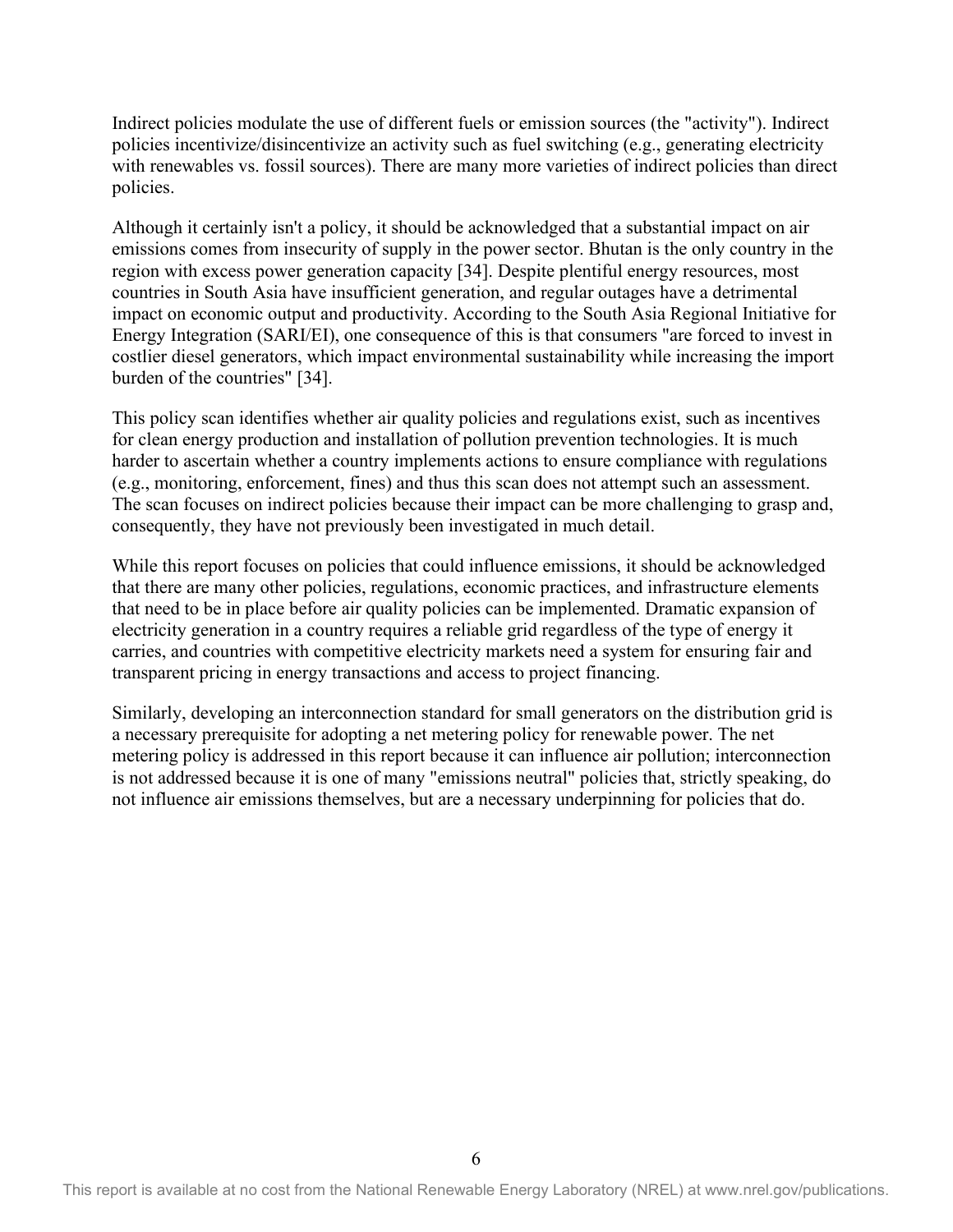Indirect policies modulate the use of different fuels or emission sources (the "activity"). Indirect policies incentivize/disincentivize an activity such as fuel switching (e.g., generating electricity with renewables vs. fossil sources). There are many more varieties of indirect policies than direct policies.

Although it certainly isn't a policy, it should be acknowledged that a substantial impact on air emissions comes from insecurity of supply in the power sector. Bhutan is the only country in the region with excess power generation capacity [34]. Despite plentiful energy resources, most countries in South Asia have insufficient generation, and regular outages have a detrimental impact on economic output and productivity. According to the South Asia Regional Initiative for Energy Integration (SARI/EI), one consequence of this is that consumers "are forced to invest in costlier diesel generators, which impact environmental sustainability while increasing the import burden of the countries" [34].

This policy scan identifies whether air quality policies and regulations exist, such as incentives for clean energy production and installation of pollution prevention technologies. It is much harder to ascertain whether a country implements actions to ensure compliance with regulations (e.g., monitoring, enforcement, fines) and thus this scan does not attempt such an assessment. The scan focuses on indirect policies because their impact can be more challenging to grasp and, consequently, they have not previously been investigated in much detail.

While this report focuses on policies that could influence emissions, it should be acknowledged that there are many other policies, regulations, economic practices, and infrastructure elements that need to be in place before air quality policies can be implemented. Dramatic expansion of electricity generation in a country requires a reliable grid regardless of the type of energy it carries, and countries with competitive electricity markets need a system for ensuring fair and transparent pricing in energy transactions and access to project financing.

Similarly, developing an interconnection standard for small generators on the distribution grid is a necessary prerequisite for adopting a net metering policy for renewable power. The net metering policy is addressed in this report because it can influence air pollution; interconnection is not addressed because it is one of many "emissions neutral" policies that, strictly speaking, do not influence air emissions themselves, but are a necessary underpinning for policies that do.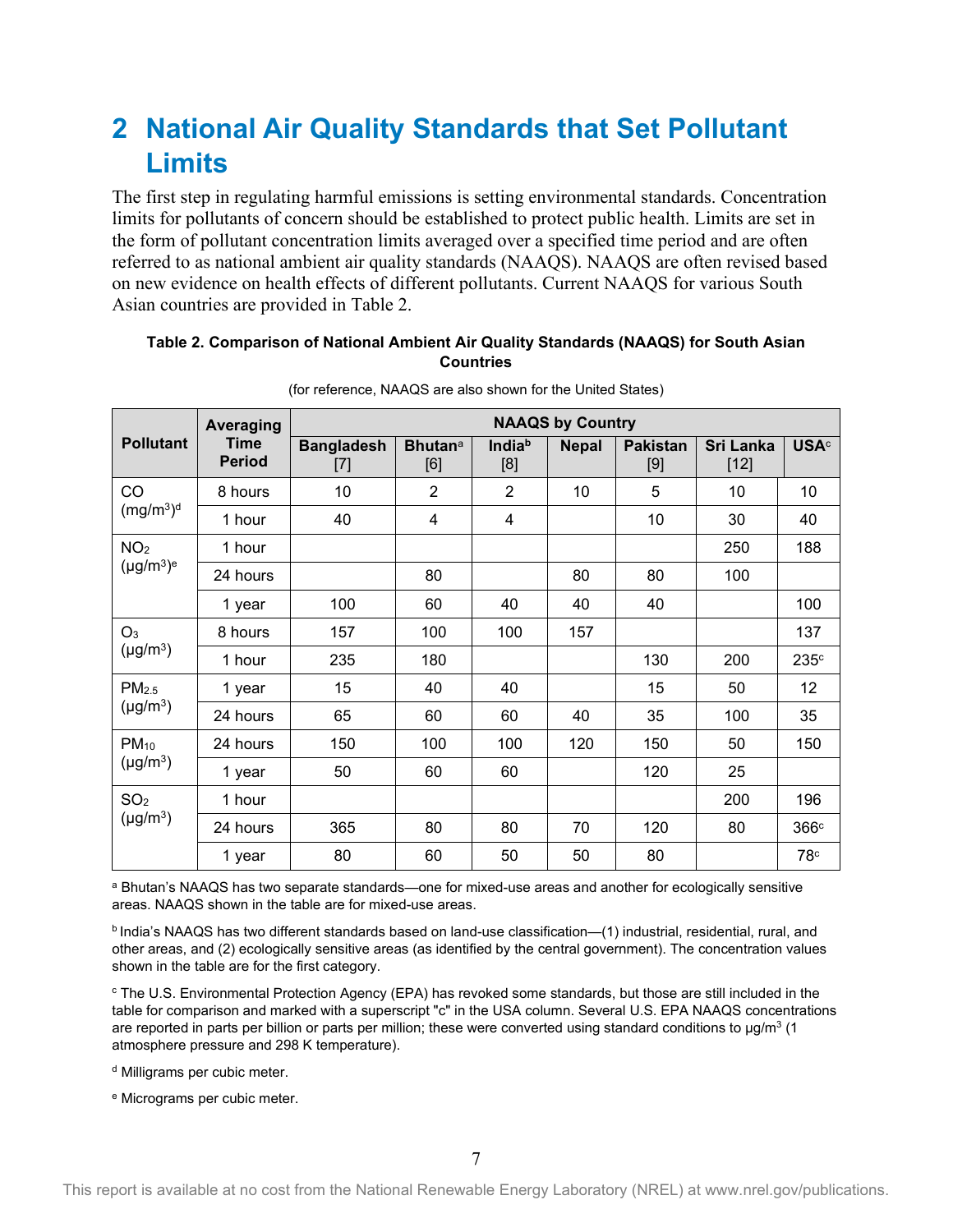## <span id="page-14-0"></span>**2 National Air Quality Standards that Set Pollutant Limits**

The first step in regulating harmful emissions is setting environmental standards. Concentration limits for pollutants of concern should be established to protect public health. Limits are set in the form of pollutant concentration limits averaged over a specified time period and are often referred to as national ambient air quality standards (NAAQS). NAAQS are often revised based on new evidence on health effects of different pollutants. Current NAAQS for various South Asian countries are provided in Table 2.

#### <span id="page-14-1"></span>**Table 2. Comparison of National Ambient Air Quality Standards (NAAQS) for South Asian Countries**

|                   | Averaging                    | <b>NAAQS by Country</b>  |                                   |                           |              |                        |                            |                  |  |  |
|-------------------|------------------------------|--------------------------|-----------------------------------|---------------------------|--------------|------------------------|----------------------------|------------------|--|--|
| <b>Pollutant</b>  | <b>Time</b><br><b>Period</b> | <b>Bangladesh</b><br>[7] | <b>Bhutan</b> <sup>a</sup><br>[6] | India <sup>b</sup><br>[8] | <b>Nepal</b> | <b>Pakistan</b><br>[9] | <b>Sri Lanka</b><br>$[12]$ | <b>USA</b> c     |  |  |
| CO                | 8 hours                      | 10                       | $\overline{2}$                    | $\overline{2}$            | 10           | 5                      | 10                         | 10               |  |  |
| $(mg/m^3)^d$      | 1 hour                       | 40                       | 4                                 | 4                         |              | 10                     | 30                         | 40               |  |  |
| NO <sub>2</sub>   | 1 hour                       |                          |                                   |                           |              |                        | 250                        | 188              |  |  |
| $(\mu g/m^3)^e$   | 24 hours                     |                          | 80                                |                           | 80           | 80                     | 100                        |                  |  |  |
|                   | 1 year                       | 100                      | 60                                | 40                        | 40           | 40                     |                            | 100              |  |  |
| O <sub>3</sub>    | 8 hours                      | 157                      | 100                               | 100                       | 157          |                        |                            | 137              |  |  |
| $(\mu g/m^3)$     | 1 hour                       | 235                      | 180                               |                           |              | 130                    | 200                        | 235 <sup>c</sup> |  |  |
| PM <sub>2.5</sub> | 1 year                       | 15                       | 40                                | 40                        |              | 15                     | 50                         | 12               |  |  |
| $(\mu g/m^3)$     | 24 hours                     | 65                       | 60                                | 60                        | 40           | 35                     | 100                        | 35               |  |  |
| $PM_{10}$         | 24 hours                     | 150                      | 100                               | 100                       | 120          | 150                    | 50                         | 150              |  |  |
| $(\mu g/m^3)$     | 1 year                       | 50                       | 60                                | 60                        |              | 120                    | 25                         |                  |  |  |
| SO <sub>2</sub>   | 1 hour                       |                          |                                   |                           |              |                        | 200                        | 196              |  |  |
| $(\mu g/m^3)$     | 24 hours                     | 365                      | 80                                | 80                        | 70           | 120                    | 80                         | 366c             |  |  |
|                   | 1 year                       | 80                       | 60                                | 50                        | 50           | 80                     |                            | 78 <sup>c</sup>  |  |  |

(for reference, NAAQS are also shown for the United States)

<sup>a</sup> Bhutan's NAAQS has two separate standards—one for mixed-use areas and another for ecologically sensitive areas. NAAQS shown in the table are for mixed-use areas.

b India's NAAQS has two different standards based on land-use classification—(1) industrial, residential, rural, and other areas, and (2) ecologically sensitive areas (as identified by the central government). The concentration values shown in the table are for the first category.

<sup>c</sup> The U.S. Environmental Protection Agency (EPA) has revoked some standards, but those are still included in the table for comparison and marked with a superscript "c" in the USA column. Several U.S. EPA NAAQS concentrations are reported in parts per billion or parts per million; these were converted using standard conditions to  $\mu$ g/m<sup>3</sup> (1) atmosphere pressure and 298 K temperature).

d Milligrams per cubic meter.

<sup>e</sup> Micrograms per cubic meter.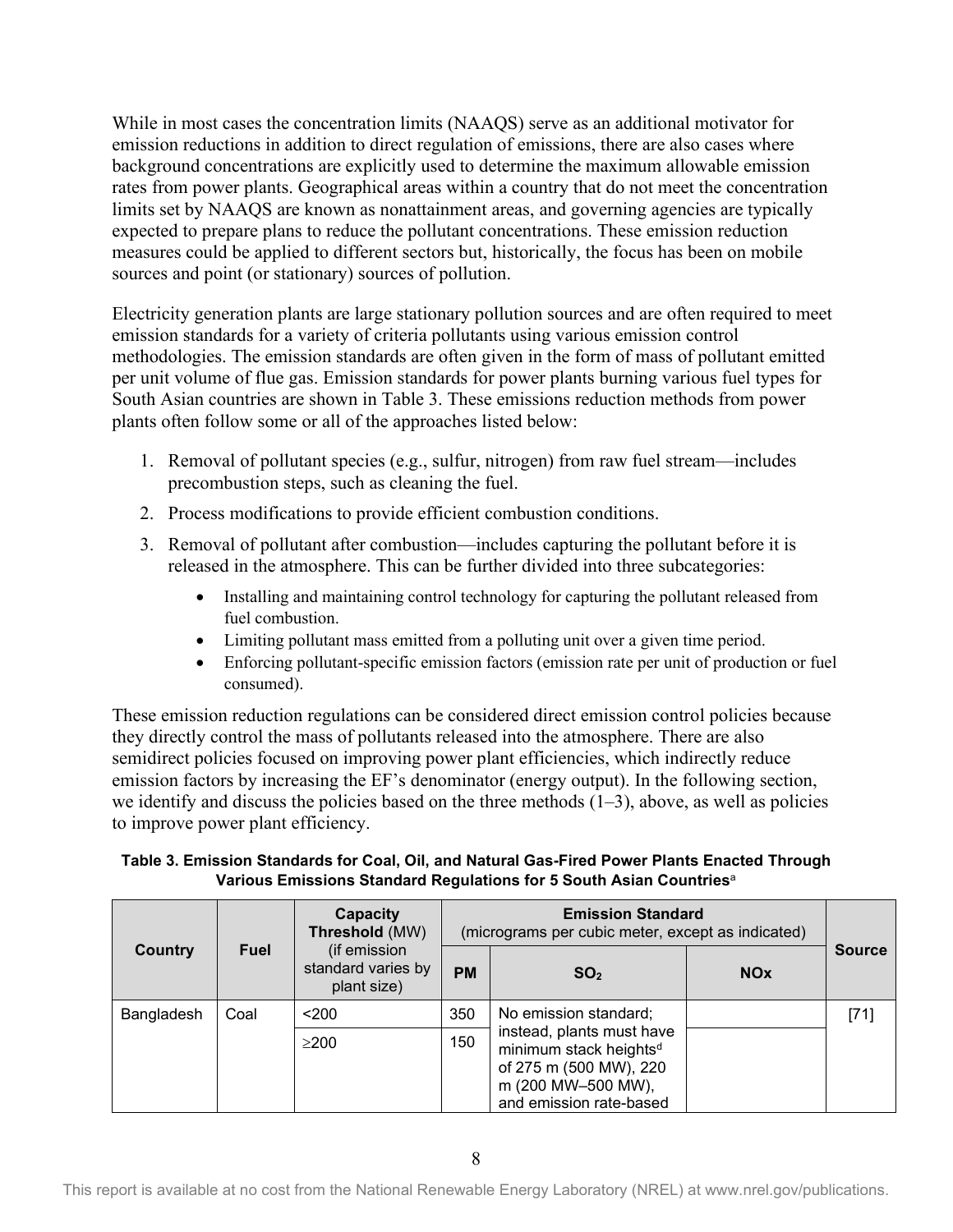While in most cases the concentration limits (NAAQS) serve as an additional motivator for emission reductions in addition to direct regulation of emissions, there are also cases where background concentrations are explicitly used to determine the maximum allowable emission rates from power plants. Geographical areas within a country that do not meet the concentration limits set by NAAQS are known as nonattainment areas, and governing agencies are typically expected to prepare plans to reduce the pollutant concentrations. These emission reduction measures could be applied to different sectors but, historically, the focus has been on mobile sources and point (or stationary) sources of pollution.

Electricity generation plants are large stationary pollution sources and are often required to meet emission standards for a variety of criteria pollutants using various emission control methodologies. The emission standards are often given in the form of mass of pollutant emitted per unit volume of flue gas. Emission standards for power plants burning various fuel types for South Asian countries are shown in Table 3. These emissions reduction methods from power plants often follow some or all of the approaches listed below:

- 1. Removal of pollutant species (e.g., sulfur, nitrogen) from raw fuel stream—includes precombustion steps, such as cleaning the fuel.
- 2. Process modifications to provide efficient combustion conditions.
- 3. Removal of pollutant after combustion—includes capturing the pollutant before it is released in the atmosphere. This can be further divided into three subcategories:
	- Installing and maintaining control technology for capturing the pollutant released from fuel combustion.
	- Limiting pollutant mass emitted from a polluting unit over a given time period.
	- Enforcing pollutant-specific emission factors (emission rate per unit of production or fuel consumed).

These emission reduction regulations can be considered direct emission control policies because they directly control the mass of pollutants released into the atmosphere. There are also semidirect policies focused on improving power plant efficiencies, which indirectly reduce emission factors by increasing the EF's denominator (energy output). In the following section, we identify and discuss the policies based on the three methods  $(1-3)$ , above, as well as policies to improve power plant efficiency.

#### <span id="page-15-0"></span>**Table 3. Emission Standards for Coal, Oil, and Natural Gas-Fired Power Plants Enacted Through Various Emissions Standard Regulations for 5 South Asian Countries**<sup>a</sup>

|            |             | Capacity<br>Threshold (MW)                        | (micrograms per cubic meter, except as indicated) |                                                                                                                                            |            |               |
|------------|-------------|---------------------------------------------------|---------------------------------------------------|--------------------------------------------------------------------------------------------------------------------------------------------|------------|---------------|
| Country    | <b>Fuel</b> | (if emission<br>standard varies by<br>plant size) | <b>PM</b>                                         | SO <sub>2</sub>                                                                                                                            | <b>NOx</b> | <b>Source</b> |
| Bangladesh | Coal        | $200$                                             | 350                                               | No emission standard;                                                                                                                      |            | [71]          |
|            |             | >200                                              | 150                                               | instead, plants must have<br>minimum stack heights <sup>d</sup><br>of 275 m (500 MW), 220<br>m (200 MW-500 MW),<br>and emission rate-based |            |               |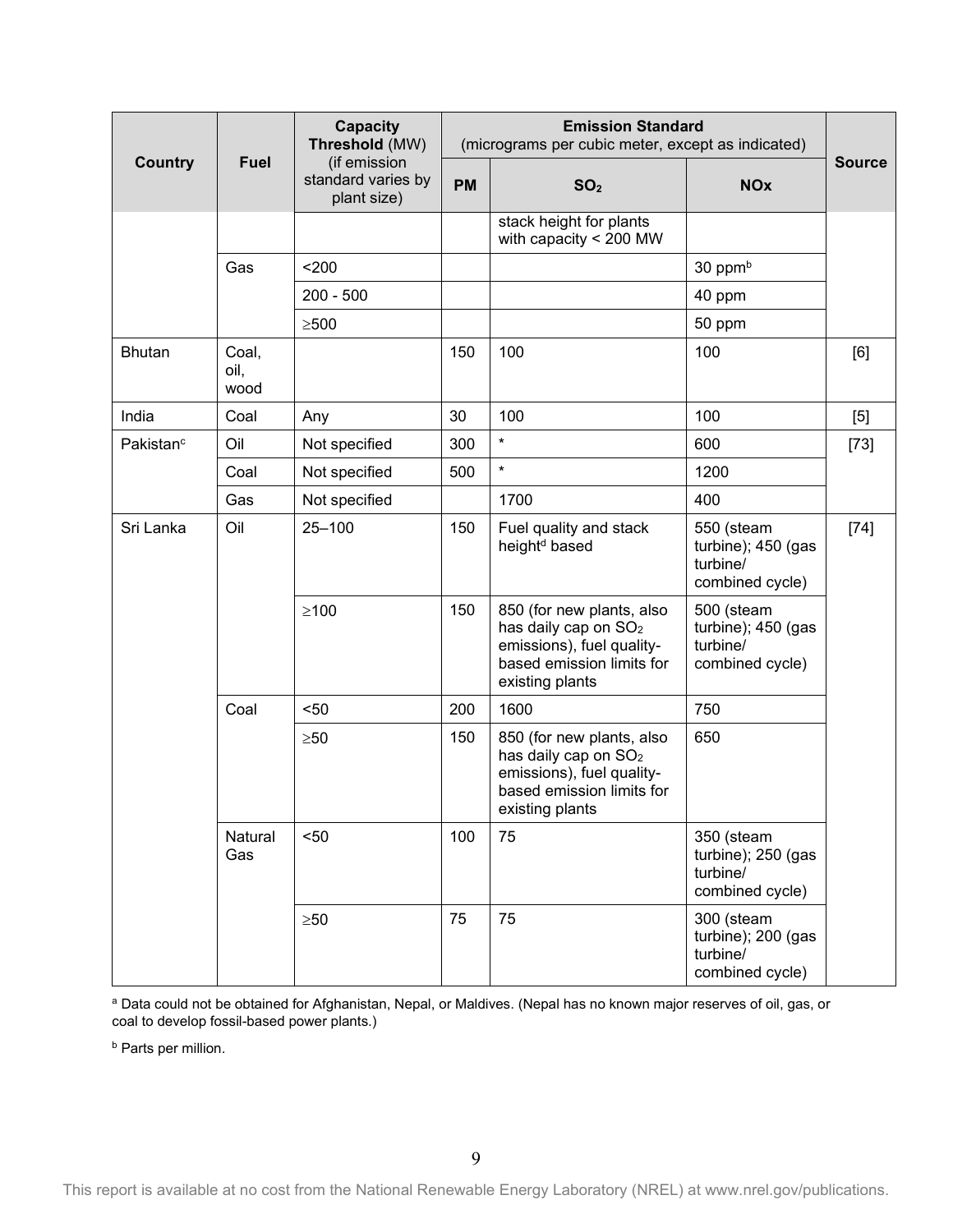|                       |                       | <b>Capacity</b><br>Threshold (MW)                 |           | <b>Emission Standard</b><br>(micrograms per cubic meter, except as indicated)                                                              |                                                                 |               |  |  |
|-----------------------|-----------------------|---------------------------------------------------|-----------|--------------------------------------------------------------------------------------------------------------------------------------------|-----------------------------------------------------------------|---------------|--|--|
| <b>Country</b>        | <b>Fuel</b>           | (if emission<br>standard varies by<br>plant size) | <b>PM</b> | SO <sub>2</sub>                                                                                                                            | <b>NOx</b>                                                      | <b>Source</b> |  |  |
|                       |                       |                                                   |           | stack height for plants<br>with capacity < 200 MW                                                                                          |                                                                 |               |  |  |
|                       | Gas                   | 200                                               |           |                                                                                                                                            | 30 ppm <sup>b</sup>                                             |               |  |  |
|                       |                       | $200 - 500$                                       |           |                                                                                                                                            | 40 ppm                                                          |               |  |  |
|                       |                       | $\geq 500$                                        |           |                                                                                                                                            | 50 ppm                                                          |               |  |  |
| <b>Bhutan</b>         | Coal,<br>oil,<br>wood |                                                   | 150       | 100                                                                                                                                        | 100                                                             | [6]           |  |  |
| India                 | Coal                  | Any                                               | 30        | 100                                                                                                                                        | 100                                                             | $[5]$         |  |  |
| Pakistan <sup>c</sup> | Oil                   | Not specified                                     | 300       | $\star$                                                                                                                                    | 600                                                             | $[73]$        |  |  |
|                       | Coal                  | Not specified                                     | 500       | $\star$                                                                                                                                    | 1200                                                            |               |  |  |
|                       | Gas                   | Not specified                                     |           | 1700                                                                                                                                       | 400                                                             |               |  |  |
| Sri Lanka             | Oil                   | $25 - 100$                                        | 150       | Fuel quality and stack<br>height <sup>d</sup> based                                                                                        | 550 (steam<br>turbine); 450 (gas<br>turbine/<br>combined cycle) | $[74]$        |  |  |
|                       |                       | $\geq 100$                                        | 150       | 850 (for new plants, also<br>has daily cap on SO <sub>2</sub><br>emissions), fuel quality-<br>based emission limits for<br>existing plants | 500 (steam<br>turbine); 450 (gas<br>turbine/<br>combined cycle) |               |  |  |
|                       | Coal                  | $50$                                              | 200       | 1600                                                                                                                                       | 750                                                             |               |  |  |
|                       |                       | $\geq 50$                                         | 150       | 850 (for new plants, also<br>has daily cap on SO <sub>2</sub><br>emissions), fuel quality-<br>based emission limits for<br>existing plants | 650                                                             |               |  |  |
|                       | Natural<br>Gas        | $50$                                              | 100       | 75                                                                                                                                         | 350 (steam<br>turbine); 250 (gas<br>turbine/<br>combined cycle) |               |  |  |
|                       |                       | $\geq 50$                                         | 75        | 75                                                                                                                                         | 300 (steam<br>turbine); 200 (gas<br>turbine/<br>combined cycle) |               |  |  |

a Data could not be obtained for Afghanistan, Nepal, or Maldives. (Nepal has no known major reserves of oil, gas, or coal to develop fossil-based power plants.)

**b** Parts per million.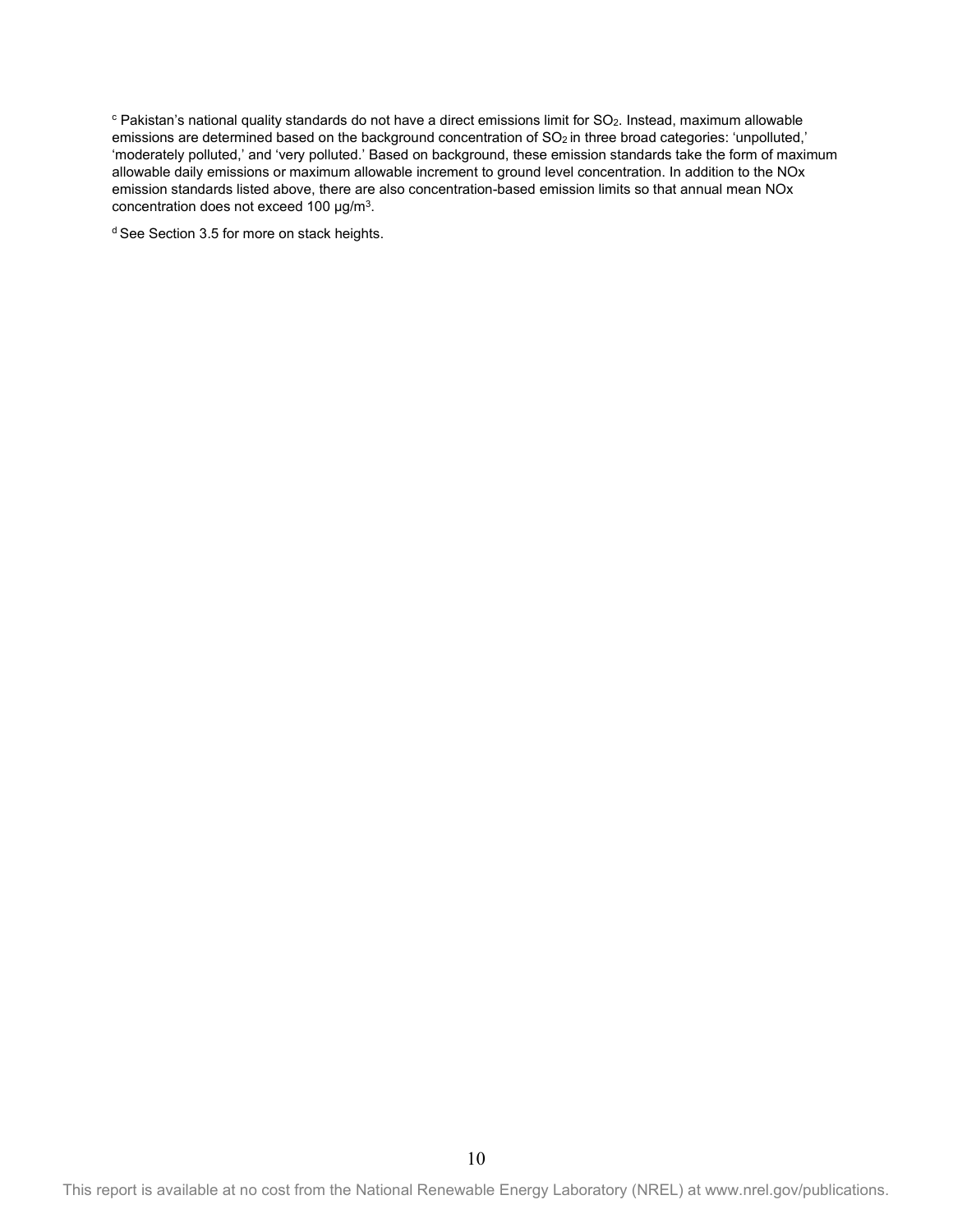$c$  Pakistan's national quality standards do not have a direct emissions limit for SO<sub>2</sub>. Instead, maximum allowable emissions are determined based on the background concentration of SO<sub>2</sub> in three broad categories: 'unpolluted,' 'moderately polluted,' and 'very polluted.' Based on background, these emission standards take the form of maximum allowable daily emissions or maximum allowable increment to ground level concentration. In addition to the NOx emission standards listed above, there are also concentration-based emission limits so that annual mean NOx concentration does not exceed 100 µg/m3.

<sup>d</sup> See Section 3.5 for more on stack heights.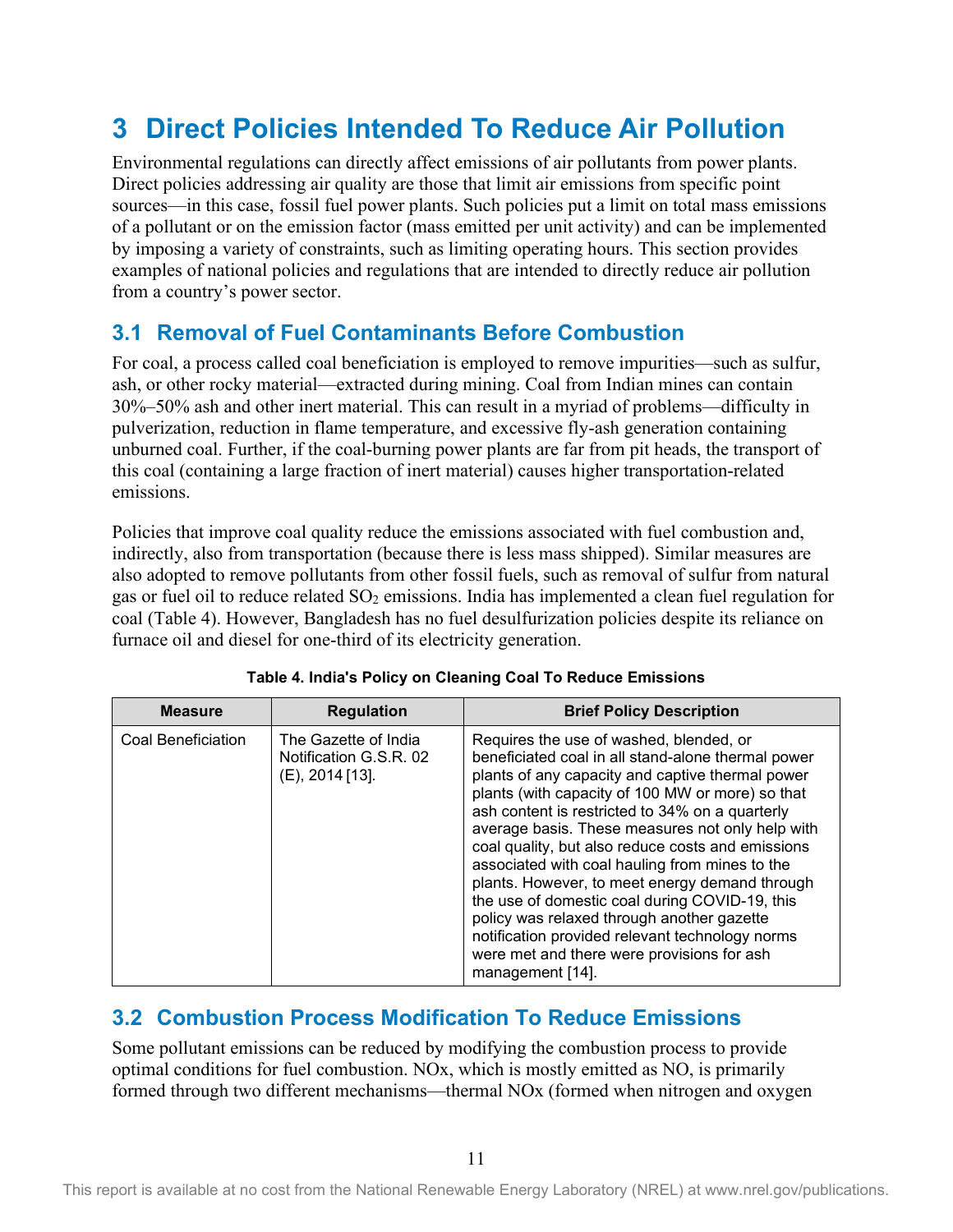## <span id="page-18-0"></span>**3 Direct Policies Intended To Reduce Air Pollution**

Environmental regulations can directly affect emissions of air pollutants from power plants. Direct policies addressing air quality are those that limit air emissions from specific point sources—in this case, fossil fuel power plants. Such policies put a limit on total mass emissions of a pollutant or on the emission factor (mass emitted per unit activity) and can be implemented by imposing a variety of constraints, such as limiting operating hours. This section provides examples of national policies and regulations that are intended to directly reduce air pollution from a country's power sector.

### <span id="page-18-1"></span>**3.1 Removal of Fuel Contaminants Before Combustion**

For coal, a process called coal beneficiation is employed to remove impurities—such as sulfur, ash, or other rocky material—extracted during mining. Coal from Indian mines can contain 30%–50% ash and other inert material. This can result in a myriad of problems—difficulty in pulverization, reduction in flame temperature, and excessive fly-ash generation containing unburned coal. Further, if the coal-burning power plants are far from pit heads, the transport of this coal (containing a large fraction of inert material) causes higher transportation-related emissions.

Policies that improve coal quality reduce the emissions associated with fuel combustion and, indirectly, also from transportation (because there is less mass shipped). Similar measures are also adopted to remove pollutants from other fossil fuels, such as removal of sulfur from natural gas or fuel oil to reduce related  $SO_2$  emissions. India has implemented a clean fuel regulation for coal (Table 4). However, Bangladesh has no fuel desulfurization policies despite its reliance on furnace oil and diesel for one-third of its electricity generation.

<span id="page-18-3"></span>

| <b>Measure</b>     | <b>Regulation</b>                                                    | <b>Brief Policy Description</b>                                                                                                                                                                                                                                                                                                                                                                                                                                                                                                                                                                                                                                                            |
|--------------------|----------------------------------------------------------------------|--------------------------------------------------------------------------------------------------------------------------------------------------------------------------------------------------------------------------------------------------------------------------------------------------------------------------------------------------------------------------------------------------------------------------------------------------------------------------------------------------------------------------------------------------------------------------------------------------------------------------------------------------------------------------------------------|
| Coal Beneficiation | The Gazette of India<br>Notification G.S.R. 02<br>$(E)$ , 2014 [13]. | Requires the use of washed, blended, or<br>beneficiated coal in all stand-alone thermal power<br>plants of any capacity and captive thermal power<br>plants (with capacity of 100 MW or more) so that<br>ash content is restricted to 34% on a quarterly<br>average basis. These measures not only help with<br>coal quality, but also reduce costs and emissions<br>associated with coal hauling from mines to the<br>plants. However, to meet energy demand through<br>the use of domestic coal during COVID-19, this<br>policy was relaxed through another gazette<br>notification provided relevant technology norms<br>were met and there were provisions for ash<br>management [14]. |

|  |  |  |  | Table 4. India's Policy on Cleaning Coal To Reduce Emissions |
|--|--|--|--|--------------------------------------------------------------|
|  |  |  |  |                                                              |

### <span id="page-18-2"></span>**3.2 Combustion Process Modification To Reduce Emissions**

Some pollutant emissions can be reduced by modifying the combustion process to provide optimal conditions for fuel combustion. NOx, which is mostly emitted as NO, is primarily formed through two different mechanisms—thermal NOx (formed when nitrogen and oxygen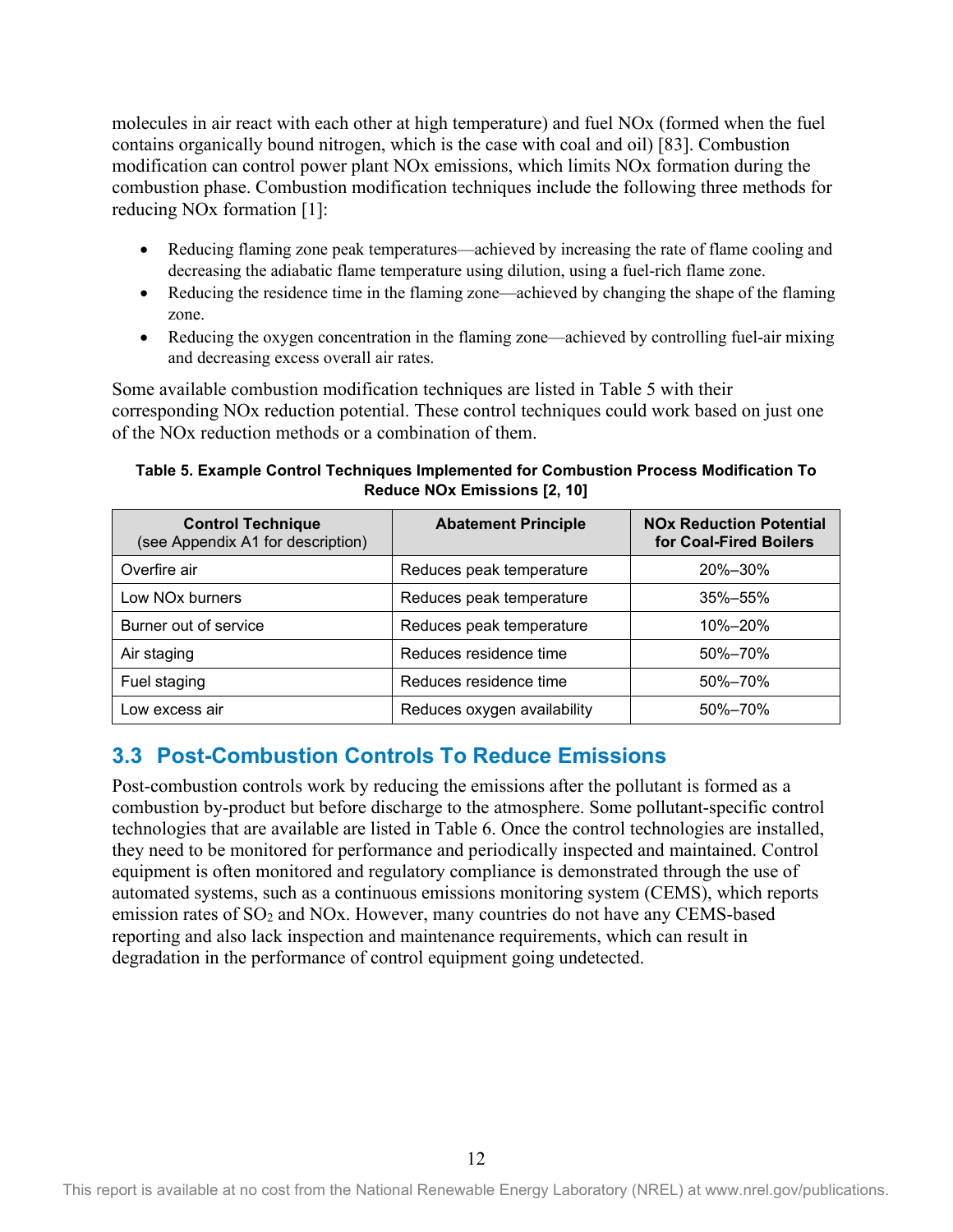molecules in air react with each other at high temperature) and fuel NOx (formed when the fuel contains organically bound nitrogen, which is the case with coal and oil) [83]. Combustion modification can control power plant NOx emissions, which limits NOx formation during the combustion phase. Combustion modification techniques include the following three methods for reducing NOx formation [1]:

- Reducing flaming zone peak temperatures—achieved by increasing the rate of flame cooling and decreasing the adiabatic flame temperature using dilution, using a fuel-rich flame zone.
- Reducing the residence time in the flaming zone—achieved by changing the shape of the flaming zone.
- Reducing the oxygen concentration in the flaming zone—achieved by controlling fuel-air mixing and decreasing excess overall air rates.

Some available combustion modification techniques are listed in Table 5 with their corresponding NOx reduction potential. These control techniques could work based on just one of the NOx reduction methods or a combination of them.

<span id="page-19-1"></span>**Table 5. Example Control Techniques Implemented for Combustion Process Modification To Reduce NOx Emissions [2, 10]** 

| <b>Control Technique</b><br>(see Appendix A1 for description) | <b>Abatement Principle</b>  | <b>NOx Reduction Potential</b><br>for Coal-Fired Boilers |
|---------------------------------------------------------------|-----------------------------|----------------------------------------------------------|
| Overfire air                                                  | Reduces peak temperature    | 20%-30%                                                  |
| Low NO <sub>x</sub> burners                                   | Reduces peak temperature    | 35%-55%                                                  |
| Burner out of service                                         | Reduces peak temperature    | 10%-20%                                                  |
| Air staging                                                   | Reduces residence time      | 50%-70%                                                  |
| Fuel staging                                                  | Reduces residence time      | 50%-70%                                                  |
| Low excess air                                                | Reduces oxygen availability | 50%-70%                                                  |

### <span id="page-19-0"></span>**3.3 Post-Combustion Controls To Reduce Emissions**

Post-combustion controls work by reducing the emissions after the pollutant is formed as a combustion by-product but before discharge to the atmosphere. Some pollutant-specific control technologies that are available are listed in Table 6. Once the control technologies are installed, they need to be monitored for performance and periodically inspected and maintained. Control equipment is often monitored and regulatory compliance is demonstrated through the use of automated systems, such as a continuous emissions monitoring system (CEMS), which reports emission rates of SO<sub>2</sub> and NOx. However, many countries do not have any CEMS-based reporting and also lack inspection and maintenance requirements, which can result in degradation in the performance of control equipment going undetected.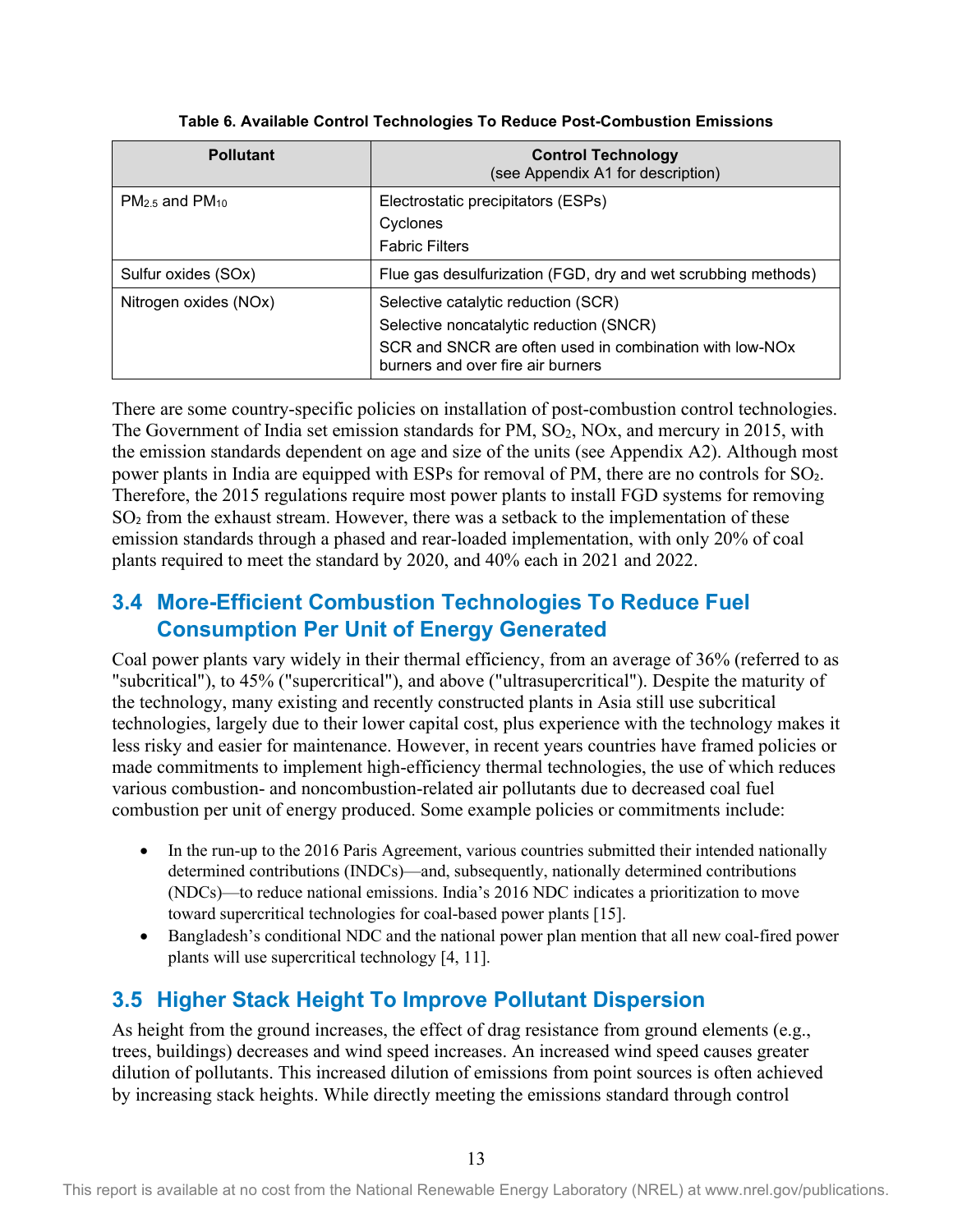<span id="page-20-2"></span>

| <b>Pollutant</b>      | <b>Control Technology</b><br>(see Appendix A1 for description)                               |
|-----------------------|----------------------------------------------------------------------------------------------|
| $PM2.5$ and $PM10$    | Electrostatic precipitators (ESPs)                                                           |
|                       | Cyclones                                                                                     |
|                       | <b>Fabric Filters</b>                                                                        |
| Sulfur oxides (SOx)   | Flue gas desulfurization (FGD, dry and wet scrubbing methods)                                |
| Nitrogen oxides (NOx) | Selective catalytic reduction (SCR)                                                          |
|                       | Selective noncatalytic reduction (SNCR)                                                      |
|                       | SCR and SNCR are often used in combination with low-NOx<br>burners and over fire air burners |

#### **Table 6. Available Control Technologies To Reduce Post-Combustion Emissions**

There are some country-specific policies on installation of post-combustion control technologies. The Government of India set emission standards for PM, SO<sub>2</sub>, NO<sub>x</sub>, and mercury in 2015, with the emission standards dependent on age and size of the units (see Appendix A2). Although most power plants in India are equipped with ESPs for removal of PM, there are no controls for SO<sub>2</sub>. Therefore, the 2015 regulations require most power plants to install FGD systems for removing SO<sub>2</sub> from the exhaust stream. However, there was a setback to the implementation of these emission standards through a phased and rear-loaded implementation, with only 20% of coal plants required to meet the standard by 2020, and 40% each in 2021 and 2022.

### <span id="page-20-0"></span>**3.4 More-Efficient Combustion Technologies To Reduce Fuel Consumption Per Unit of Energy Generated**

Coal power plants vary widely in their thermal efficiency, from an average of 36% (referred to as "subcritical"), to 45% ("supercritical"), and above ("ultrasupercritical"). Despite the maturity of the technology, many existing and recently constructed plants in Asia still use subcritical technologies, largely due to their lower capital cost, plus experience with the technology makes it less risky and easier for maintenance. However, in recent years countries have framed policies or made commitments to implement high-efficiency thermal technologies, the use of which reduces various combustion- and noncombustion-related air pollutants due to decreased coal fuel combustion per unit of energy produced. Some example policies or commitments include:

- In the run-up to the 2016 Paris Agreement, various countries submitted their intended nationally determined contributions (INDCs)—and, subsequently, nationally determined contributions (NDCs)—to reduce national emissions. India's 2016 NDC indicates a prioritization to move toward supercritical technologies for coal-based power plants [15].
- Bangladesh's conditional NDC and the national power plan mention that all new coal-fired power plants will use supercritical technology [4, 11].

## <span id="page-20-1"></span>**3.5 Higher Stack Height To Improve Pollutant Dispersion**

As height from the ground increases, the effect of drag resistance from ground elements (e.g., trees, buildings) decreases and wind speed increases. An increased wind speed causes greater dilution of pollutants. This increased dilution of emissions from point sources is often achieved by increasing stack heights. While directly meeting the emissions standard through control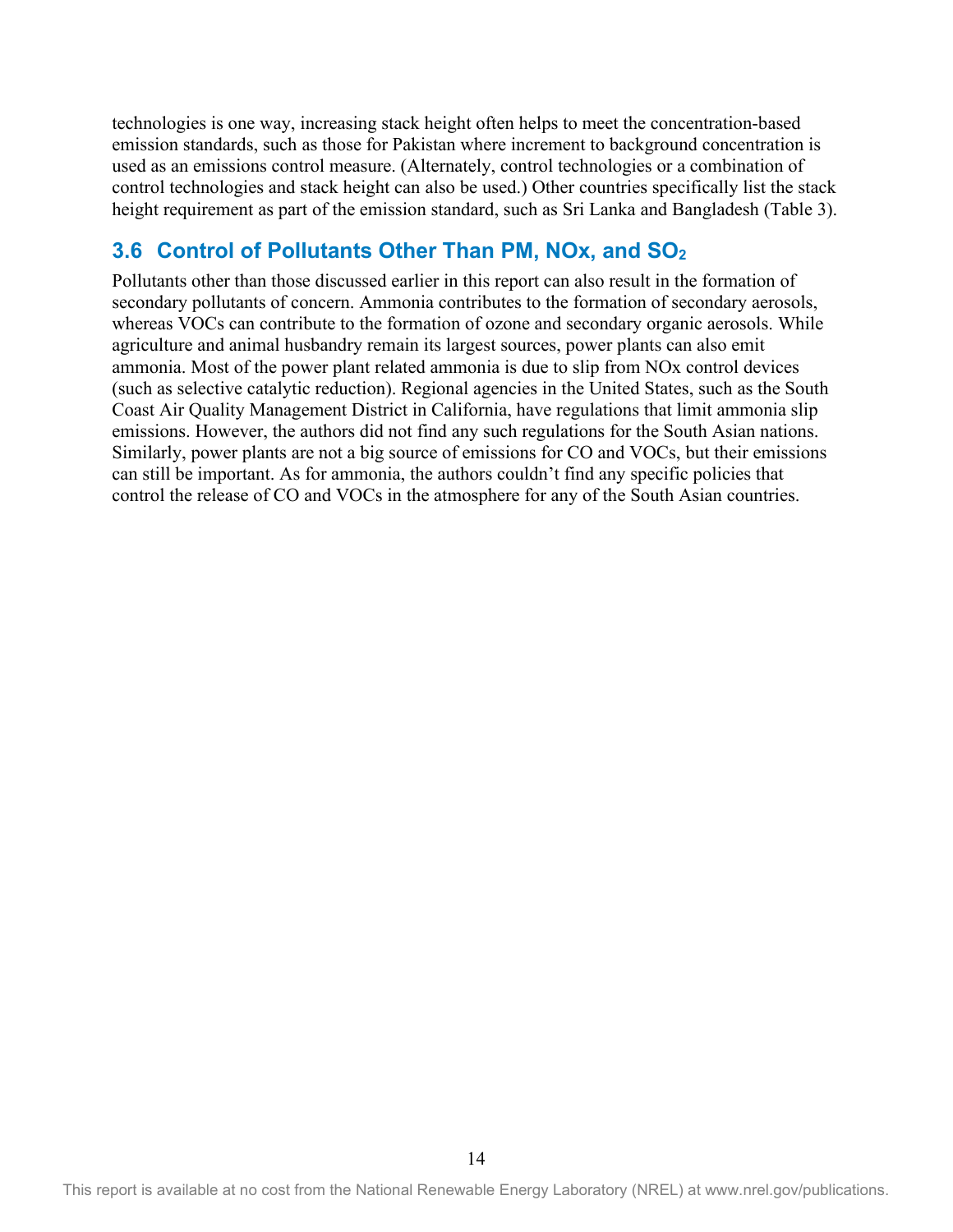technologies is one way, increasing stack height often helps to meet the concentration-based emission standards, such as those for Pakistan where increment to background concentration is used as an emissions control measure. (Alternately, control technologies or a combination of control technologies and stack height can also be used.) Other countries specifically list the stack height requirement as part of the emission standard, such as Sri Lanka and Bangladesh (Table 3).

### <span id="page-21-0"></span>**3.6 Control of Pollutants Other Than PM, NOx, and SO2**

Pollutants other than those discussed earlier in this report can also result in the formation of secondary pollutants of concern. Ammonia contributes to the formation of secondary aerosols, whereas VOCs can contribute to the formation of ozone and secondary organic aerosols. While agriculture and animal husbandry remain its largest sources, power plants can also emit ammonia. Most of the power plant related ammonia is due to slip from NOx control devices (such as selective catalytic reduction). Regional agencies in the United States, such as the South Coast Air Quality Management District in California, have regulations that limit ammonia slip emissions. However, the authors did not find any such regulations for the South Asian nations. Similarly, power plants are not a big source of emissions for CO and VOCs, but their emissions can still be important. As for ammonia, the authors couldn't find any specific policies that control the release of CO and VOCs in the atmosphere for any of the South Asian countries.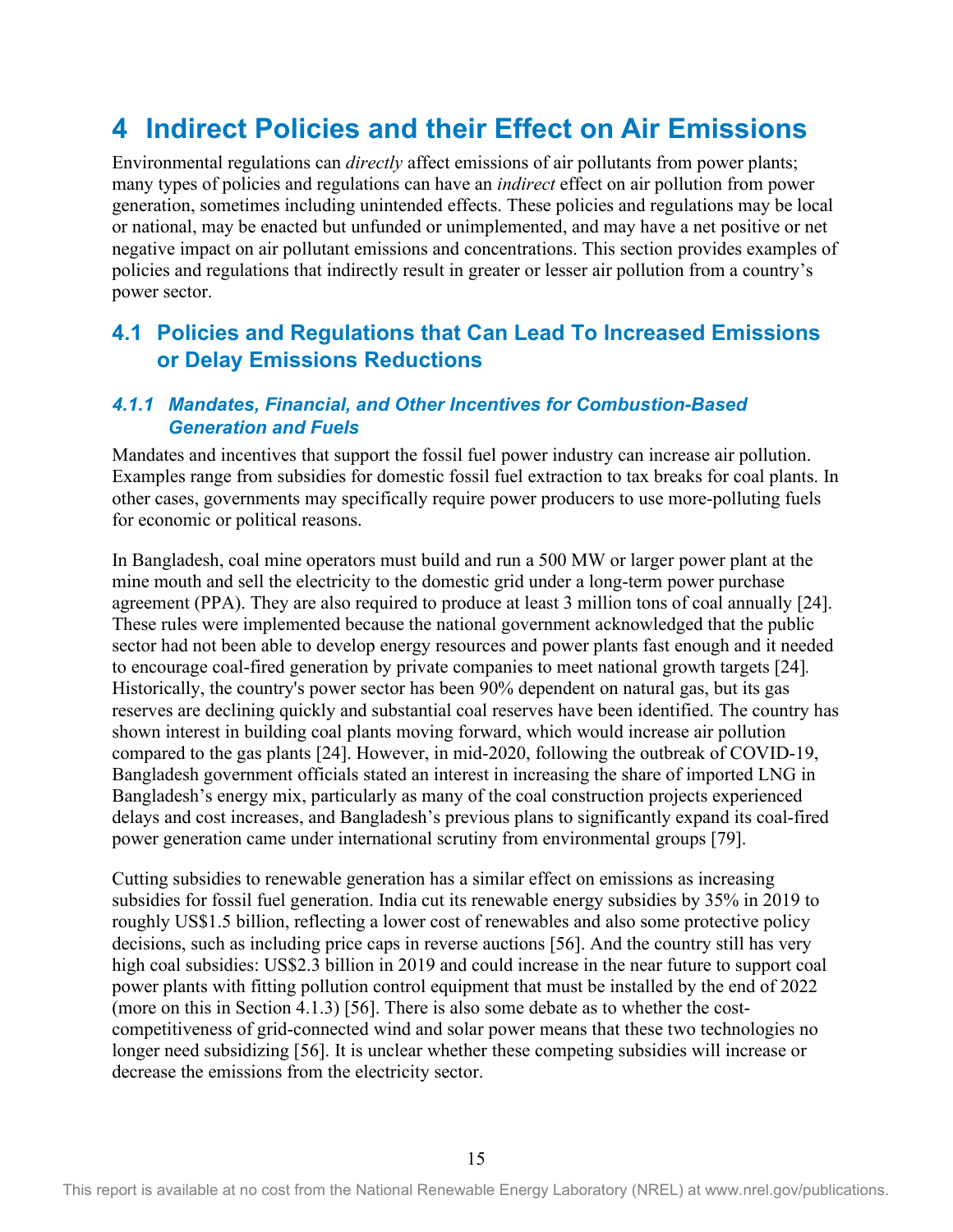## <span id="page-22-0"></span>**4 Indirect Policies and their Effect on Air Emissions**

Environmental regulations can *directly* affect emissions of air pollutants from power plants; many types of policies and regulations can have an *indirect* effect on air pollution from power generation, sometimes including unintended effects. These policies and regulations may be local or national, may be enacted but unfunded or unimplemented, and may have a net positive or net negative impact on air pollutant emissions and concentrations. This section provides examples of policies and regulations that indirectly result in greater or lesser air pollution from a country's power sector.

### <span id="page-22-1"></span>**4.1 Policies and Regulations that Can Lead To Increased Emissions or Delay Emissions Reductions**

#### <span id="page-22-2"></span>*4.1.1 Mandates, Financial, and Other Incentives for Combustion-Based Generation and Fuels*

Mandates and incentives that support the fossil fuel power industry can increase air pollution. Examples range from subsidies for domestic fossil fuel extraction to tax breaks for coal plants. In other cases, governments may specifically require power producers to use more-polluting fuels for economic or political reasons.

In Bangladesh, coal mine operators must build and run a 500 MW or larger power plant at the mine mouth and sell the electricity to the domestic grid under a long-term power purchase agreement (PPA). They are also required to produce at least 3 million tons of coal annually [24]. These rules were implemented because the national government acknowledged that the public sector had not been able to develop energy resources and power plants fast enough and it needed to encourage coal-fired generation by private companies to meet national growth targets [24]*.* Historically, the country's power sector has been 90% dependent on natural gas, but its gas reserves are declining quickly and substantial coal reserves have been identified. The country has shown interest in building coal plants moving forward, which would increase air pollution compared to the gas plants [24]. However, in mid-2020, following the outbreak of COVID-19, Bangladesh government officials stated an interest in increasing the share of imported LNG in Bangladesh's energy mix, particularly as many of the coal construction projects experienced delays and cost increases, and Bangladesh's previous plans to significantly expand its coal-fired power generation came under international scrutiny from environmental groups [79].

Cutting subsidies to renewable generation has a similar effect on emissions as increasing subsidies for fossil fuel generation. India cut its renewable energy subsidies by 35% in 2019 to roughly US\$1.5 billion, reflecting a lower cost of renewables and also some protective policy decisions, such as including price caps in reverse auctions [56]. And the country still has very high coal subsidies: US\$2.3 billion in 2019 and could increase in the near future to support coal power plants with fitting pollution control equipment that must be installed by the end of 2022 (more on this in Section 4.1.3) [56]. There is also some debate as to whether the costcompetitiveness of grid-connected wind and solar power means that these two technologies no longer need subsidizing [56]. It is unclear whether these competing subsidies will increase or decrease the emissions from the electricity sector.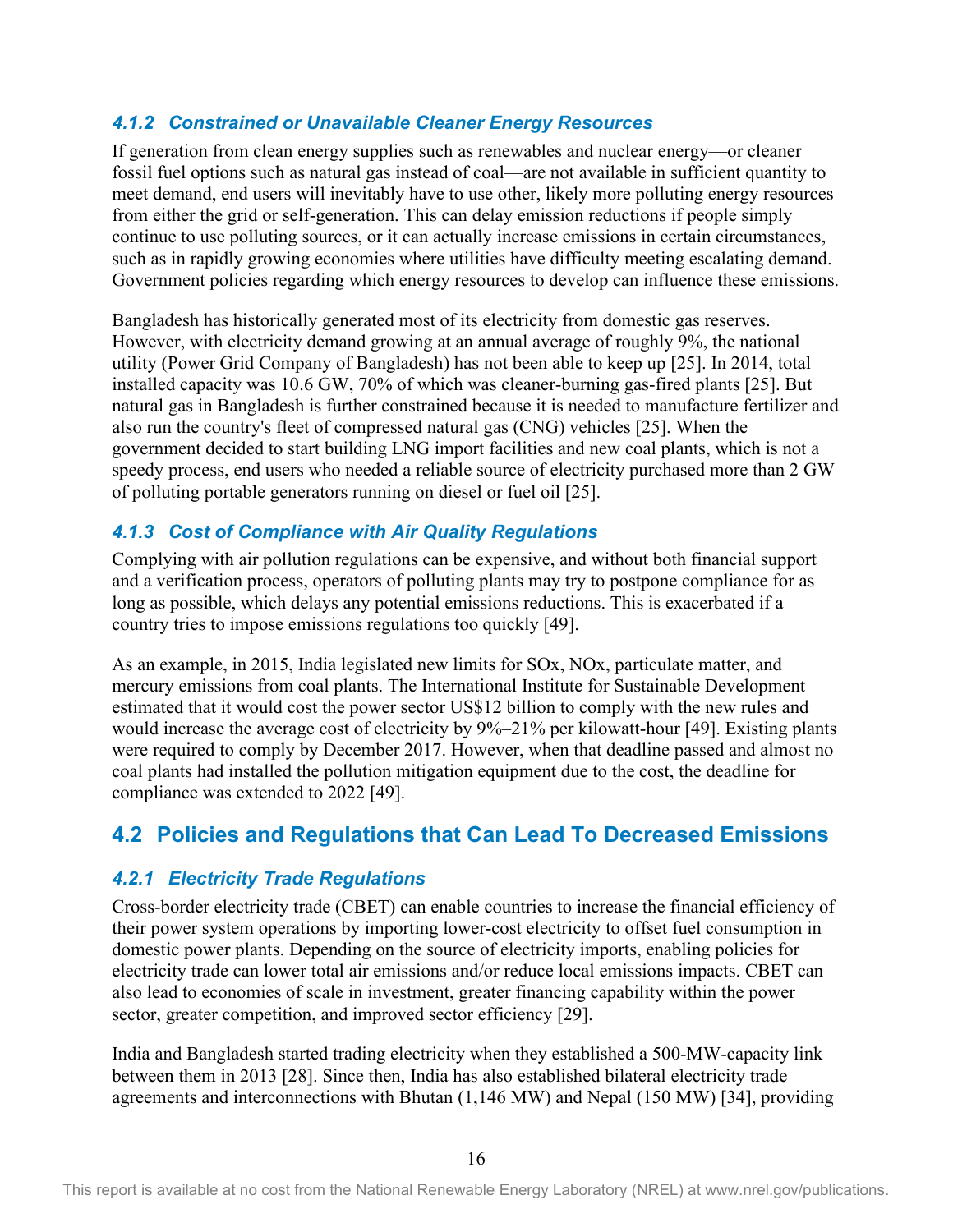#### <span id="page-23-0"></span>*4.1.2 Constrained or Unavailable Cleaner Energy Resources*

If generation from clean energy supplies such as renewables and nuclear energy—or cleaner fossil fuel options such as natural gas instead of coal—are not available in sufficient quantity to meet demand, end users will inevitably have to use other, likely more polluting energy resources from either the grid or self-generation. This can delay emission reductions if people simply continue to use polluting sources, or it can actually increase emissions in certain circumstances, such as in rapidly growing economies where utilities have difficulty meeting escalating demand. Government policies regarding which energy resources to develop can influence these emissions.

Bangladesh has historically generated most of its electricity from domestic gas reserves. However, with electricity demand growing at an annual average of roughly 9%, the national utility (Power Grid Company of Bangladesh) has not been able to keep up [25]. In 2014, total installed capacity was 10.6 GW, 70% of which was cleaner-burning gas-fired plants [25]. But natural gas in Bangladesh is further constrained because it is needed to manufacture fertilizer and also run the country's fleet of compressed natural gas (CNG) vehicles [25]. When the government decided to start building LNG import facilities and new coal plants, which is not a speedy process, end users who needed a reliable source of electricity purchased more than 2 GW of polluting portable generators running on diesel or fuel oil [25].

#### <span id="page-23-1"></span>*4.1.3 Cost of Compliance with Air Quality Regulations*

Complying with air pollution regulations can be expensive, and without both financial support and a verification process, operators of polluting plants may try to postpone compliance for as long as possible, which delays any potential emissions reductions. This is exacerbated if a country tries to impose emissions regulations too quickly [49].

As an example, in 2015, India legislated new limits for SOx, NOx, particulate matter, and mercury emissions from coal plants. The International Institute for Sustainable Development estimated that it would cost the power sector US\$12 billion to comply with the new rules and would increase the average cost of electricity by 9%–21% per kilowatt-hour [49]. Existing plants were required to comply by December 2017. However, when that deadline passed and almost no coal plants had installed the pollution mitigation equipment due to the cost, the deadline for compliance was extended to 2022 [49].

### <span id="page-23-2"></span>**4.2 Policies and Regulations that Can Lead To Decreased Emissions**

#### <span id="page-23-3"></span>*4.2.1 Electricity Trade Regulations*

Cross-border electricity trade (CBET) can enable countries to increase the financial efficiency of their power system operations by importing lower-cost electricity to offset fuel consumption in domestic power plants. Depending on the source of electricity imports, enabling policies for electricity trade can lower total air emissions and/or reduce local emissions impacts. CBET can also lead to economies of scale in investment, greater financing capability within the power sector, greater competition, and improved sector efficiency [29].

India and Bangladesh started trading electricity when they established a 500-MW-capacity link between them in 2013 [28]. Since then, India has also established bilateral electricity trade agreements and interconnections with Bhutan (1,146 MW) and Nepal (150 MW) [34], providing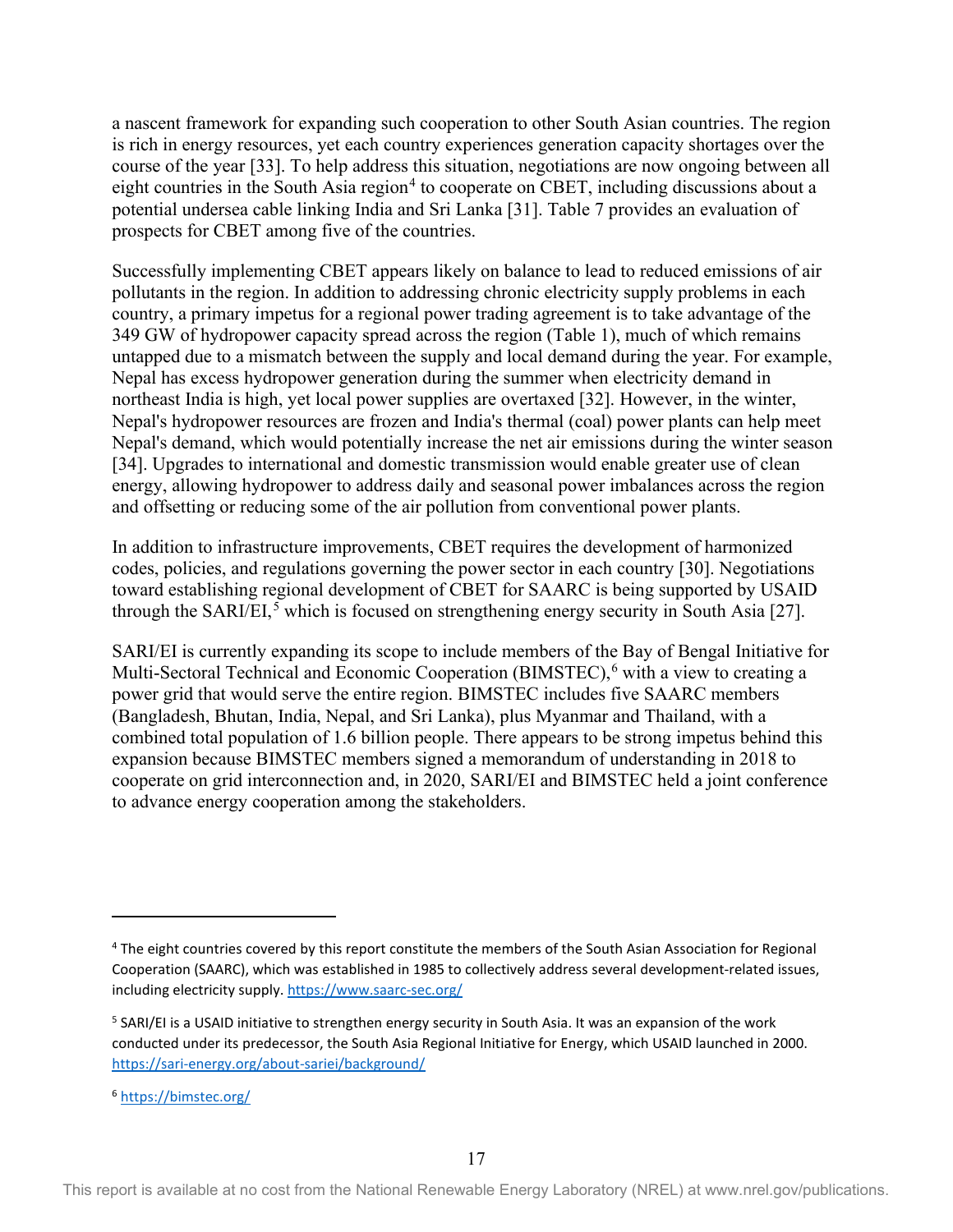a nascent framework for expanding such cooperation to other South Asian countries. The region is rich in energy resources, yet each country experiences generation capacity shortages over the course of the year [33]. To help address this situation, negotiations are now ongoing between all eight countries in the South Asia region<sup>[4](#page-24-0)</sup> to cooperate on CBET, including discussions about a potential undersea cable linking India and Sri Lanka [31]. Table 7 provides an evaluation of prospects for CBET among five of the countries.

Successfully implementing CBET appears likely on balance to lead to reduced emissions of air pollutants in the region. In addition to addressing chronic electricity supply problems in each country, a primary impetus for a regional power trading agreement is to take advantage of the 349 GW of hydropower capacity spread across the region (Table 1), much of which remains untapped due to a mismatch between the supply and local demand during the year. For example, Nepal has excess hydropower generation during the summer when electricity demand in northeast India is high, yet local power supplies are overtaxed [32]. However, in the winter, Nepal's hydropower resources are frozen and India's thermal (coal) power plants can help meet Nepal's demand, which would potentially increase the net air emissions during the winter season [34]. Upgrades to international and domestic transmission would enable greater use of clean energy, allowing hydropower to address daily and seasonal power imbalances across the region and offsetting or reducing some of the air pollution from conventional power plants.

In addition to infrastructure improvements, CBET requires the development of harmonized codes, policies, and regulations governing the power sector in each country [30]. Negotiations toward establishing regional development of CBET for SAARC is being supported by USAID through the SARI/EI,<sup>[5](#page-24-1)</sup> which is focused on strengthening energy security in South Asia [27].

SARI/EI is currently expanding its scope to include members of the Bay of Bengal Initiative for Multi-Sectoral Technical and Economic Cooperation (BIMSTEC),<sup>[6](#page-24-2)</sup> with a view to creating a power grid that would serve the entire region. BIMSTEC includes five SAARC members (Bangladesh, Bhutan, India, Nepal, and Sri Lanka), plus Myanmar and Thailand, with a combined total population of 1.6 billion people. There appears to be strong impetus behind this expansion because BIMSTEC members signed a memorandum of understanding in 2018 to cooperate on grid interconnection and, in 2020, SARI/EI and BIMSTEC held a joint conference to advance energy cooperation among the stakeholders.

<span id="page-24-0"></span><sup>4</sup> The eight countries covered by this report constitute the members of the South Asian Association for Regional Cooperation (SAARC), which was established in 1985 to collectively address several development-related issues, including electricity supply[. https://www.saarc-sec.org/](https://www.saarc-sec.org/) 

<span id="page-24-1"></span><sup>&</sup>lt;sup>5</sup> SARI/EI is a USAID initiative to strengthen energy security in South Asia. It was an expansion of the work conducted under its predecessor, the South Asia Regional Initiative for Energy, which USAID launched in 2000. <https://sari-energy.org/about-sariei/background/>

<span id="page-24-2"></span><sup>6</sup> <https://bimstec.org/>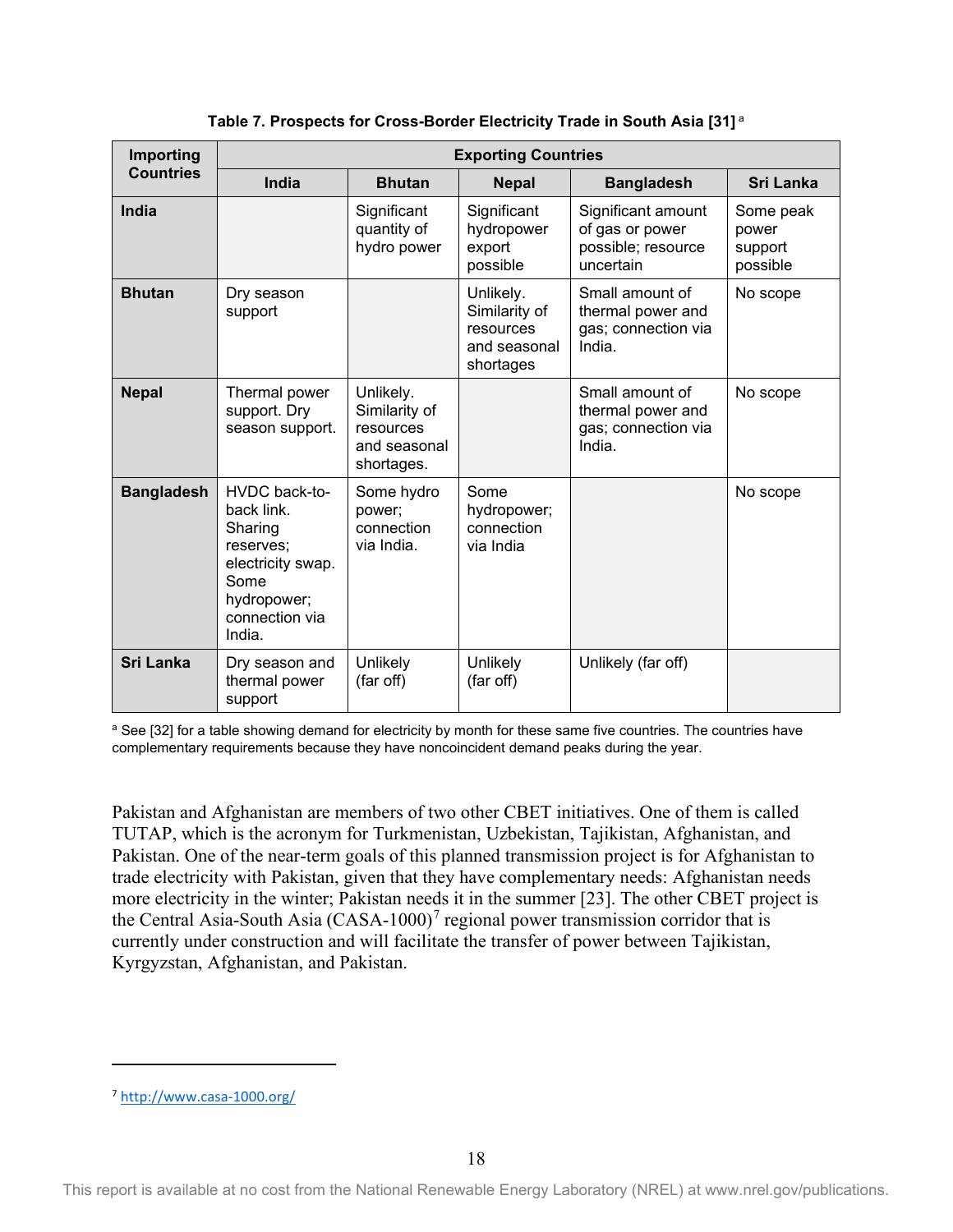<span id="page-25-0"></span>

| Importing         | <b>Exporting Countries</b>                                                                                                  |                                                                       |                                                                      |                                                                          |                                           |  |  |  |  |  |
|-------------------|-----------------------------------------------------------------------------------------------------------------------------|-----------------------------------------------------------------------|----------------------------------------------------------------------|--------------------------------------------------------------------------|-------------------------------------------|--|--|--|--|--|
| <b>Countries</b>  | India                                                                                                                       | <b>Bhutan</b>                                                         | <b>Nepal</b>                                                         | <b>Bangladesh</b>                                                        | <b>Sri Lanka</b>                          |  |  |  |  |  |
| India             |                                                                                                                             | Significant<br>quantity of<br>hydro power                             | Significant<br>hydropower<br>export<br>possible                      | Significant amount<br>of gas or power<br>possible; resource<br>uncertain | Some peak<br>power<br>support<br>possible |  |  |  |  |  |
| <b>Bhutan</b>     | Dry season<br>support                                                                                                       |                                                                       | Unlikely.<br>Similarity of<br>resources<br>and seasonal<br>shortages | Small amount of<br>thermal power and<br>gas; connection via<br>India.    | No scope                                  |  |  |  |  |  |
| <b>Nepal</b>      | Thermal power<br>support. Dry<br>season support.                                                                            | Unlikely.<br>Similarity of<br>resources<br>and seasonal<br>shortages. |                                                                      | Small amount of<br>thermal power and<br>gas; connection via<br>India.    | No scope                                  |  |  |  |  |  |
| <b>Bangladesh</b> | HVDC back-to-<br>back link.<br>Sharing<br>reserves:<br>electricity swap.<br>Some<br>hydropower;<br>connection via<br>India. | Some hydro<br>power;<br>connection<br>via India.                      | Some<br>hydropower;<br>connection<br>via India                       |                                                                          | No scope                                  |  |  |  |  |  |
| Sri Lanka         | Dry season and<br>thermal power<br>support                                                                                  | Unlikely<br>(far off)                                                 | Unlikely<br>(far off)                                                | Unlikely (far off)                                                       |                                           |  |  |  |  |  |

**Table 7. Prospects for Cross-Border Electricity Trade in South Asia [31]** <sup>a</sup>

<sup>a</sup> See [32] for a table showing demand for electricity by month for these same five countries. The countries have complementary requirements because they have noncoincident demand peaks during the year.

Pakistan and Afghanistan are members of two other CBET initiatives. One of them is called TUTAP, which is the acronym for Turkmenistan, Uzbekistan, Tajikistan, Afghanistan, and Pakistan. One of the near-term goals of this planned transmission project is for Afghanistan to trade electricity with Pakistan, given that they have complementary needs: Afghanistan needs more electricity in the winter; Pakistan needs it in the summer [23]. The other CBET project is the Central Asia-South Asia  $(CASA-1000)^7$  $(CASA-1000)^7$  regional power transmission corridor that is currently under construction and will facilitate the transfer of power between Tajikistan, Kyrgyzstan, Afghanistan, and Pakistan.

<span id="page-25-1"></span><sup>7</sup> <http://www.casa-1000.org/>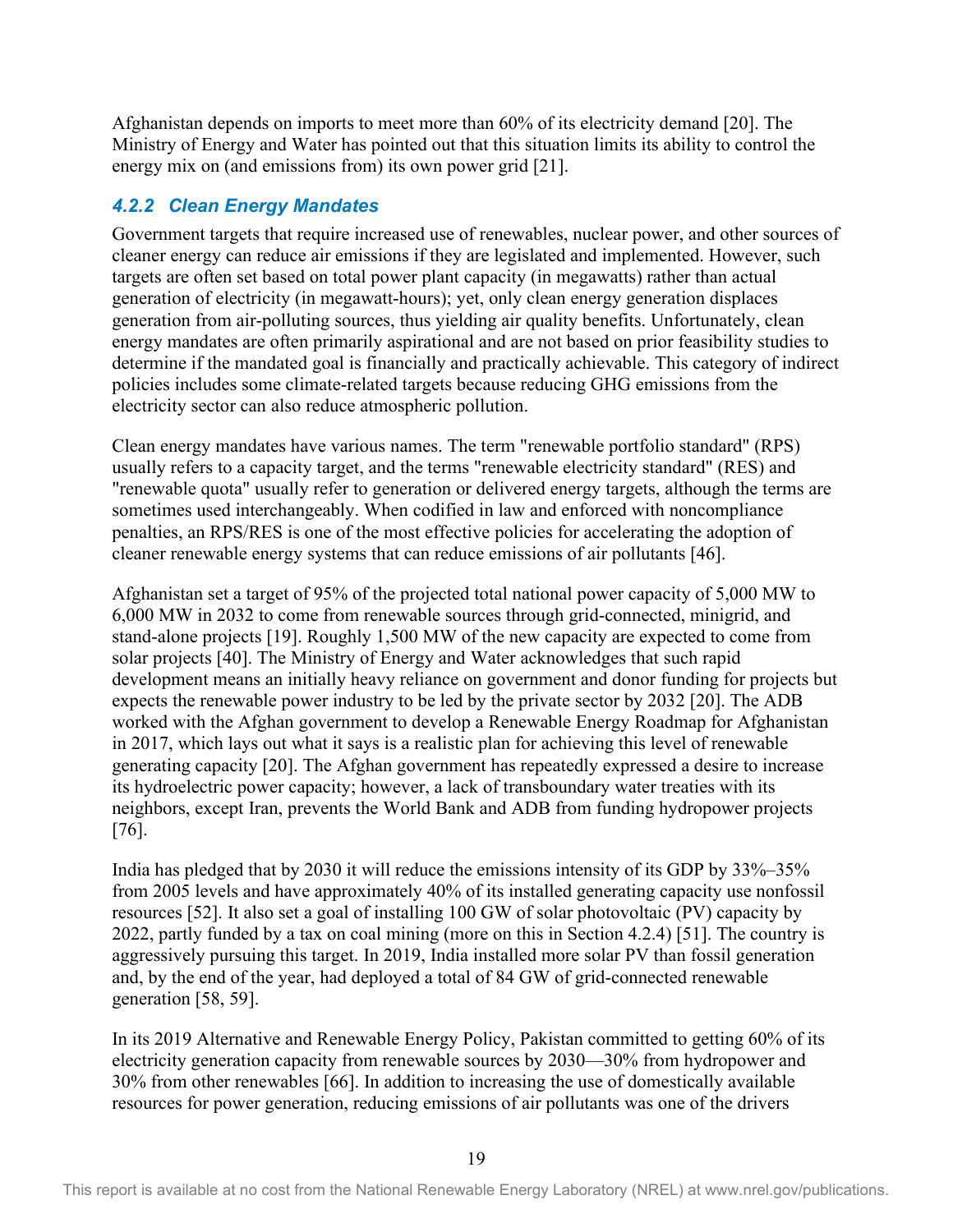Afghanistan depends on imports to meet more than 60% of its electricity demand [20]. The Ministry of Energy and Water has pointed out that this situation limits its ability to control the energy mix on (and emissions from) its own power grid [21].

#### <span id="page-26-0"></span>*4.2.2 Clean Energy Mandates*

Government targets that require increased use of renewables, nuclear power, and other sources of cleaner energy can reduce air emissions if they are legislated and implemented. However, such targets are often set based on total power plant capacity (in megawatts) rather than actual generation of electricity (in megawatt-hours); yet, only clean energy generation displaces generation from air-polluting sources, thus yielding air quality benefits. Unfortunately, clean energy mandates are often primarily aspirational and are not based on prior feasibility studies to determine if the mandated goal is financially and practically achievable. This category of indirect policies includes some climate-related targets because reducing GHG emissions from the electricity sector can also reduce atmospheric pollution.

Clean energy mandates have various names. The term "renewable portfolio standard" (RPS) usually refers to a capacity target, and the terms "renewable electricity standard" (RES) and "renewable quota" usually refer to generation or delivered energy targets, although the terms are sometimes used interchangeably. When codified in law and enforced with noncompliance penalties, an RPS/RES is one of the most effective policies for accelerating the adoption of cleaner renewable energy systems that can reduce emissions of air pollutants [46].

Afghanistan set a target of 95% of the projected total national power capacity of 5,000 MW to 6,000 MW in 2032 to come from renewable sources through grid-connected, minigrid, and stand-alone projects [19]. Roughly 1,500 MW of the new capacity are expected to come from solar projects [40]. The Ministry of Energy and Water acknowledges that such rapid development means an initially heavy reliance on government and donor funding for projects but expects the renewable power industry to be led by the private sector by 2032 [20]. The ADB worked with the Afghan government to develop a Renewable Energy Roadmap for Afghanistan in 2017, which lays out what it says is a realistic plan for achieving this level of renewable generating capacity [20]. The Afghan government has repeatedly expressed a desire to increase its hydroelectric power capacity; however, a lack of transboundary water treaties with its neighbors, except Iran, prevents the World Bank and ADB from funding hydropower projects [76].

India has pledged that by 2030 it will reduce the emissions intensity of its GDP by 33%–35% from 2005 levels and have approximately 40% of its installed generating capacity use nonfossil resources [52]. It also set a goal of installing 100 GW of solar photovoltaic (PV) capacity by 2022, partly funded by a tax on coal mining (more on this in Section 4.2.4) [51]. The country is aggressively pursuing this target. In 2019, India installed more solar PV than fossil generation and, by the end of the year, had deployed a total of 84 GW of grid-connected renewable generation [58, 59].

In its 2019 Alternative and Renewable Energy Policy, Pakistan committed to getting 60% of its electricity generation capacity from renewable sources by 2030—30% from hydropower and 30% from other renewables [66]. In addition to increasing the use of domestically available resources for power generation, reducing emissions of air pollutants was one of the drivers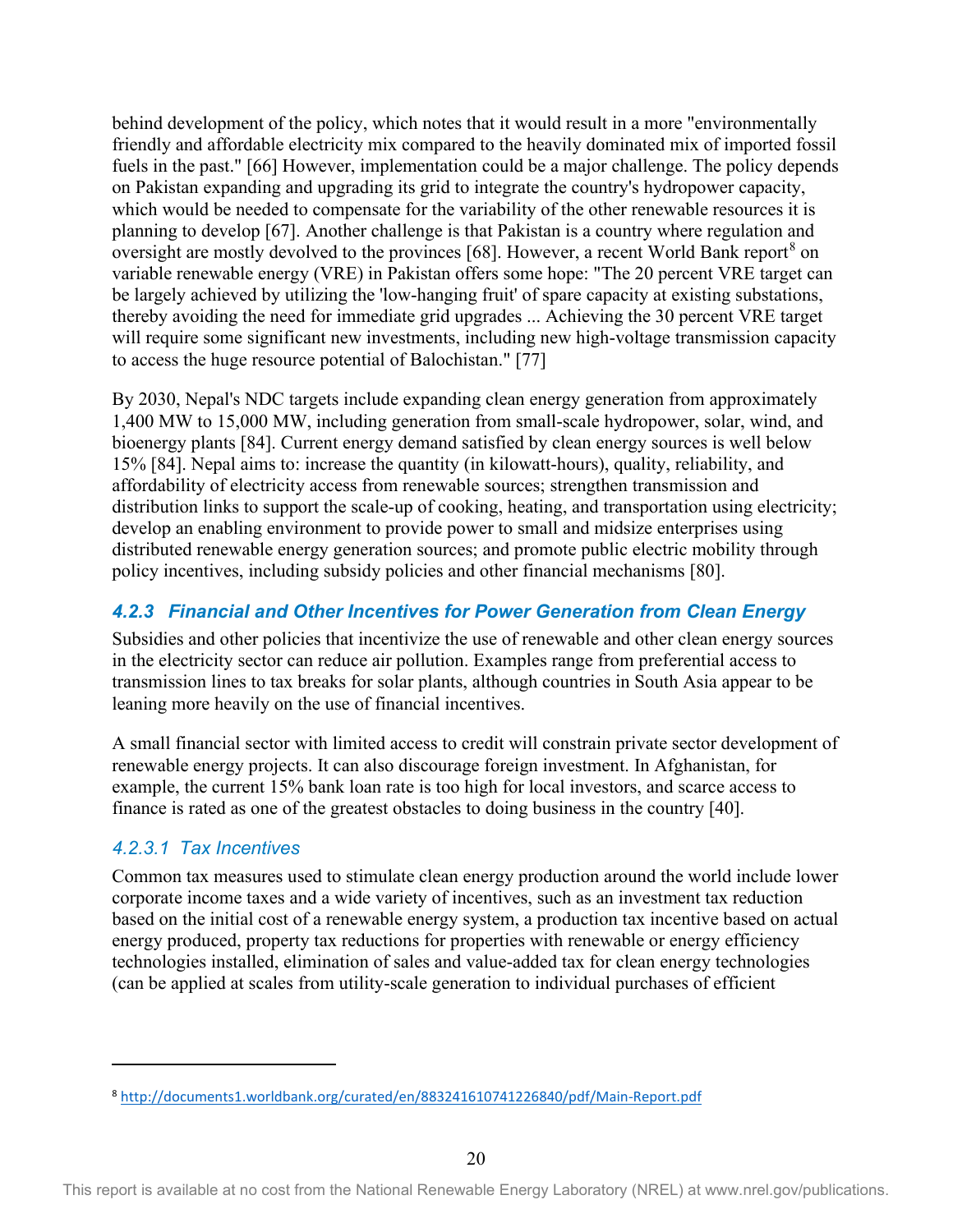behind development of the policy, which notes that it would result in a more "environmentally friendly and affordable electricity mix compared to the heavily dominated mix of imported fossil fuels in the past." [66] However, implementation could be a major challenge. The policy depends on Pakistan expanding and upgrading its grid to integrate the country's hydropower capacity, which would be needed to compensate for the variability of the other renewable resources it is planning to develop [67]. Another challenge is that Pakistan is a country where regulation and oversight are mostly devolved to the provinces [6[8](#page-27-1)]. However, a recent World Bank report<sup>8</sup> on variable renewable energy (VRE) in Pakistan offers some hope: "The 20 percent VRE target can be largely achieved by utilizing the 'low-hanging fruit' of spare capacity at existing substations, thereby avoiding the need for immediate grid upgrades ... Achieving the 30 percent VRE target will require some significant new investments, including new high-voltage transmission capacity to access the huge resource potential of Balochistan." [77]

By 2030, Nepal's NDC targets include expanding clean energy generation from approximately 1,400 MW to 15,000 MW, including generation from small-scale hydropower, solar, wind, and bioenergy plants [84]. Current energy demand satisfied by clean energy sources is well below 15% [84]. Nepal aims to: increase the quantity (in kilowatt-hours), quality, reliability, and affordability of electricity access from renewable sources; strengthen transmission and distribution links to support the scale-up of cooking, heating, and transportation using electricity; develop an enabling environment to provide power to small and midsize enterprises using distributed renewable energy generation sources; and promote public electric mobility through policy incentives, including subsidy policies and other financial mechanisms [80].

#### <span id="page-27-0"></span>*4.2.3 Financial and Other Incentives for Power Generation from Clean Energy*

Subsidies and other policies that incentivize the use of renewable and other clean energy sources in the electricity sector can reduce air pollution. Examples range from preferential access to transmission lines to tax breaks for solar plants, although countries in South Asia appear to be leaning more heavily on the use of financial incentives.

A small financial sector with limited access to credit will constrain private sector development of renewable energy projects. It can also discourage foreign investment. In Afghanistan, for example, the current 15% bank loan rate is too high for local investors, and scarce access to finance is rated as one of the greatest obstacles to doing business in the country [40].

#### *4.2.3.1 Tax Incentives*

Common tax measures used to stimulate clean energy production around the world include lower corporate income taxes and a wide variety of incentives, such as an investment tax reduction based on the initial cost of a renewable energy system, a production tax incentive based on actual energy produced, property tax reductions for properties with renewable or energy efficiency technologies installed, elimination of sales and value-added tax for clean energy technologies (can be applied at scales from utility-scale generation to individual purchases of efficient

<span id="page-27-1"></span><sup>8</sup> <http://documents1.worldbank.org/curated/en/883241610741226840/pdf/Main-Report.pdf>

This report is available at no cost from the National Renewable Energy Laboratory (NREL) at www.nrel.gov/publications.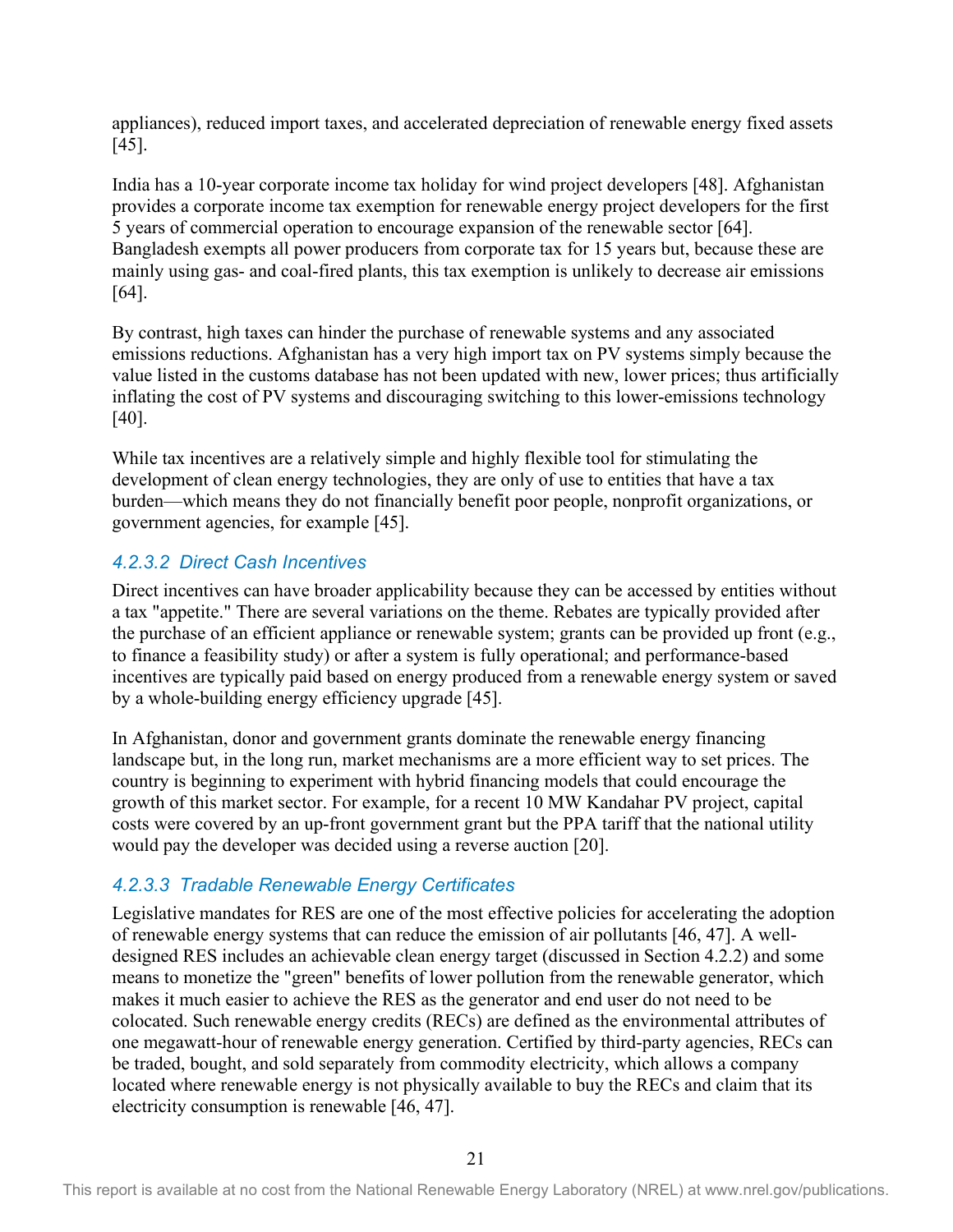appliances), reduced import taxes, and accelerated depreciation of renewable energy fixed assets [45].

India has a 10-year corporate income tax holiday for wind project developers [48]. Afghanistan provides a corporate income tax exemption for renewable energy project developers for the first 5 years of commercial operation to encourage expansion of the renewable sector [64]. Bangladesh exempts all power producers from corporate tax for 15 years but, because these are mainly using gas- and coal-fired plants, this tax exemption is unlikely to decrease air emissions [64].

By contrast, high taxes can hinder the purchase of renewable systems and any associated emissions reductions. Afghanistan has a very high import tax on PV systems simply because the value listed in the customs database has not been updated with new, lower prices; thus artificially inflating the cost of PV systems and discouraging switching to this lower-emissions technology [40].

While tax incentives are a relatively simple and highly flexible tool for stimulating the development of clean energy technologies, they are only of use to entities that have a tax burden—which means they do not financially benefit poor people, nonprofit organizations, or government agencies, for example [45].

#### *4.2.3.2 Direct Cash Incentives*

Direct incentives can have broader applicability because they can be accessed by entities without a tax "appetite." There are several variations on the theme. Rebates are typically provided after the purchase of an efficient appliance or renewable system; grants can be provided up front (e.g., to finance a feasibility study) or after a system is fully operational; and performance-based incentives are typically paid based on energy produced from a renewable energy system or saved by a whole-building energy efficiency upgrade [45].

In Afghanistan, donor and government grants dominate the renewable energy financing landscape but, in the long run, market mechanisms are a more efficient way to set prices. The country is beginning to experiment with hybrid financing models that could encourage the growth of this market sector. For example, for a recent 10 MW Kandahar PV project, capital costs were covered by an up-front government grant but the PPA tariff that the national utility would pay the developer was decided using a reverse auction [20].

#### *4.2.3.3 Tradable Renewable Energy Certificates*

Legislative mandates for RES are one of the most effective policies for accelerating the adoption of renewable energy systems that can reduce the emission of air pollutants [46, 47]. A welldesigned RES includes an achievable clean energy target (discussed in Section 4.2.2) and some means to monetize the "green" benefits of lower pollution from the renewable generator, which makes it much easier to achieve the RES as the generator and end user do not need to be colocated. Such renewable energy credits (RECs) are defined as the environmental attributes of one megawatt-hour of renewable energy generation. Certified by third-party agencies, RECs can be traded, bought, and sold separately from commodity electricity, which allows a company located where renewable energy is not physically available to buy the RECs and claim that its electricity consumption is renewable [46, 47].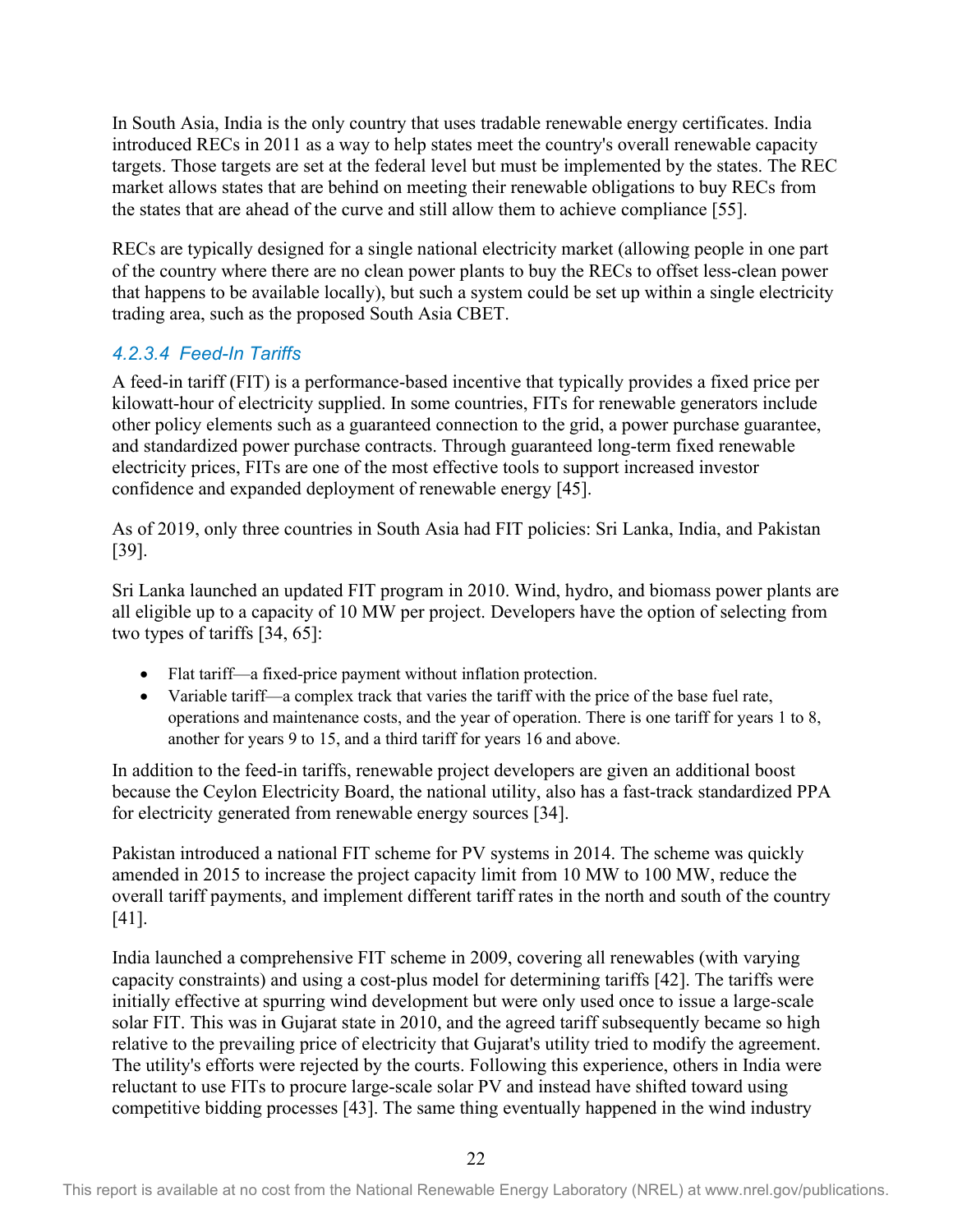In South Asia, India is the only country that uses tradable renewable energy certificates. India introduced RECs in 2011 as a way to help states meet the country's overall renewable capacity targets. Those targets are set at the federal level but must be implemented by the states. The REC market allows states that are behind on meeting their renewable obligations to buy RECs from the states that are ahead of the curve and still allow them to achieve compliance [55].

RECs are typically designed for a single national electricity market (allowing people in one part of the country where there are no clean power plants to buy the RECs to offset less-clean power that happens to be available locally), but such a system could be set up within a single electricity trading area, such as the proposed South Asia CBET.

#### *4.2.3.4 Feed-In Tariffs*

A feed-in tariff (FIT) is a performance-based incentive that typically provides a fixed price per kilowatt-hour of electricity supplied. In some countries, FITs for renewable generators include other policy elements such as a guaranteed connection to the grid, a power purchase guarantee, and standardized power purchase contracts. Through guaranteed long-term fixed renewable electricity prices, FITs are one of the most effective tools to support increased investor confidence and expanded deployment of renewable energy [45].

As of 2019, only three countries in South Asia had FIT policies: Sri Lanka, India, and Pakistan [39].

Sri Lanka launched an updated FIT program in 2010. Wind, hydro, and biomass power plants are all eligible up to a capacity of 10 MW per project. Developers have the option of selecting from two types of tariffs [34, 65]:

- Flat tariff—a fixed-price payment without inflation protection.
- Variable tariff—a complex track that varies the tariff with the price of the base fuel rate, operations and maintenance costs, and the year of operation. There is one tariff for years 1 to 8, another for years 9 to 15, and a third tariff for years 16 and above.

In addition to the feed-in tariffs, renewable project developers are given an additional boost because the Ceylon Electricity Board, the national utility, also has a fast-track standardized PPA for electricity generated from renewable energy sources [34].

Pakistan introduced a national FIT scheme for PV systems in 2014. The scheme was quickly amended in 2015 to increase the project capacity limit from 10 MW to 100 MW, reduce the overall tariff payments, and implement different tariff rates in the north and south of the country [41].

India launched a comprehensive FIT scheme in 2009, covering all renewables (with varying capacity constraints) and using a cost-plus model for determining tariffs [42]. The tariffs were initially effective at spurring wind development but were only used once to issue a large-scale solar FIT. This was in Gujarat state in 2010, and the agreed tariff subsequently became so high relative to the prevailing price of electricity that Gujarat's utility tried to modify the agreement. The utility's efforts were rejected by the courts. Following this experience, others in India were reluctant to use FITs to procure large-scale solar PV and instead have shifted toward using competitive bidding processes [43]. The same thing eventually happened in the wind industry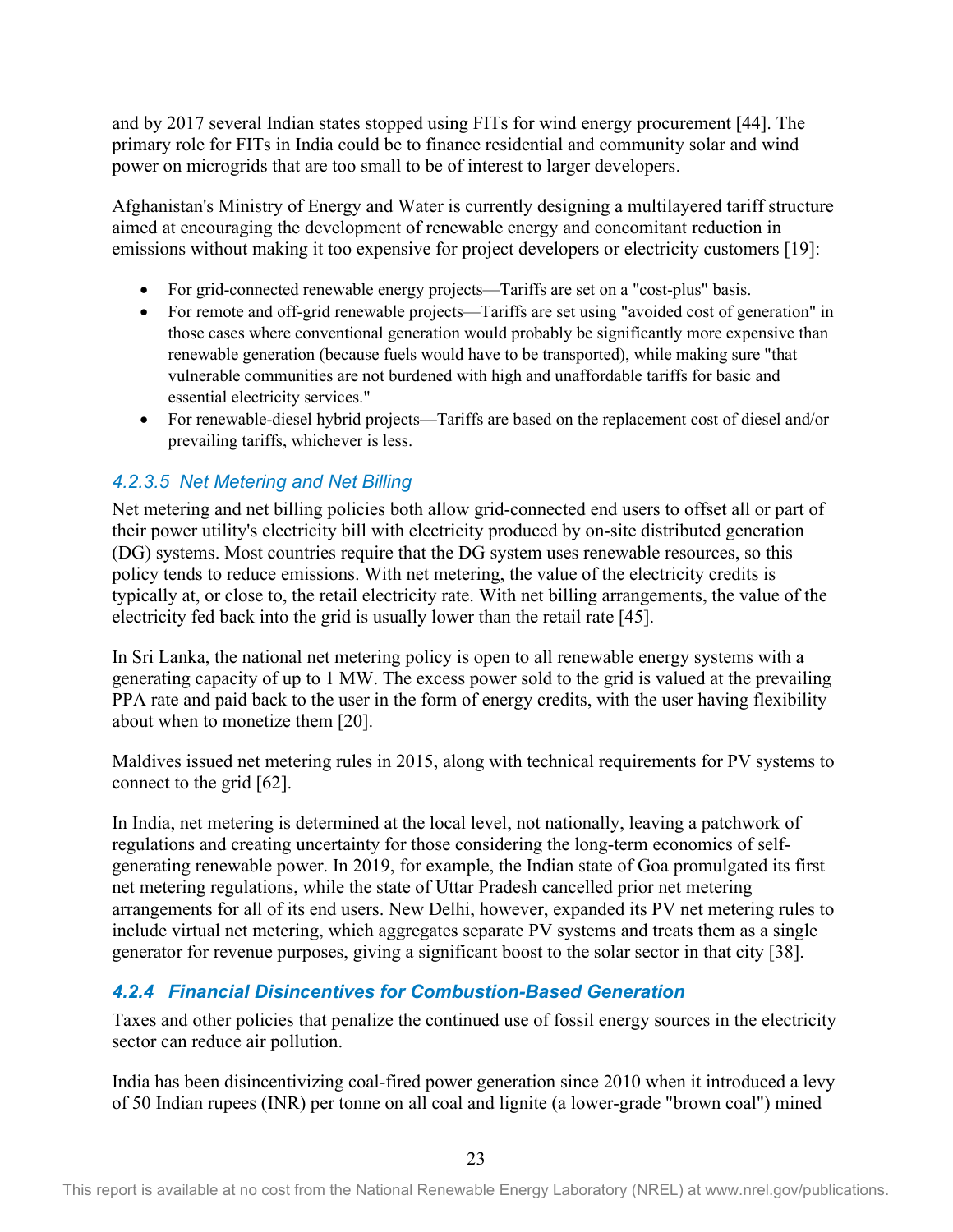and by 2017 several Indian states stopped using FITs for wind energy procurement [44]. The primary role for FITs in India could be to finance residential and community solar and wind power on microgrids that are too small to be of interest to larger developers.

Afghanistan's Ministry of Energy and Water is currently designing a multilayered tariff structure aimed at encouraging the development of renewable energy and concomitant reduction in emissions without making it too expensive for project developers or electricity customers [19]:

- For grid-connected renewable energy projects—Tariffs are set on a "cost-plus" basis.
- For remote and off-grid renewable projects—Tariffs are set using "avoided cost of generation" in those cases where conventional generation would probably be significantly more expensive than renewable generation (because fuels would have to be transported), while making sure "that vulnerable communities are not burdened with high and unaffordable tariffs for basic and essential electricity services."
- For renewable-diesel hybrid projects—Tariffs are based on the replacement cost of diesel and/or prevailing tariffs, whichever is less.

#### *4.2.3.5 Net Metering and Net Billing*

Net metering and net billing policies both allow grid-connected end users to offset all or part of their power utility's electricity bill with electricity produced by on-site distributed generation (DG) systems. Most countries require that the DG system uses renewable resources, so this policy tends to reduce emissions. With net metering, the value of the electricity credits is typically at, or close to, the retail electricity rate. With net billing arrangements, the value of the electricity fed back into the grid is usually lower than the retail rate [45].

In Sri Lanka, the national net metering policy is open to all renewable energy systems with a generating capacity of up to 1 MW. The excess power sold to the grid is valued at the prevailing PPA rate and paid back to the user in the form of energy credits, with the user having flexibility about when to monetize them [20].

Maldives issued net metering rules in 2015, along with technical requirements for PV systems to connect to the grid [62].

In India, net metering is determined at the local level, not nationally, leaving a patchwork of regulations and creating uncertainty for those considering the long-term economics of selfgenerating renewable power. In 2019, for example, the Indian state of Goa promulgated its first net metering regulations, while the state of Uttar Pradesh cancelled prior net metering arrangements for all of its end users. New Delhi, however, expanded its PV net metering rules to include virtual net metering, which aggregates separate PV systems and treats them as a single generator for revenue purposes, giving a significant boost to the solar sector in that city [38].

#### <span id="page-30-0"></span>*4.2.4 Financial Disincentives for Combustion-Based Generation*

Taxes and other policies that penalize the continued use of fossil energy sources in the electricity sector can reduce air pollution.

India has been disincentivizing coal-fired power generation since 2010 when it introduced a levy of 50 Indian rupees (INR) per tonne on all coal and lignite (a lower-grade "brown coal") mined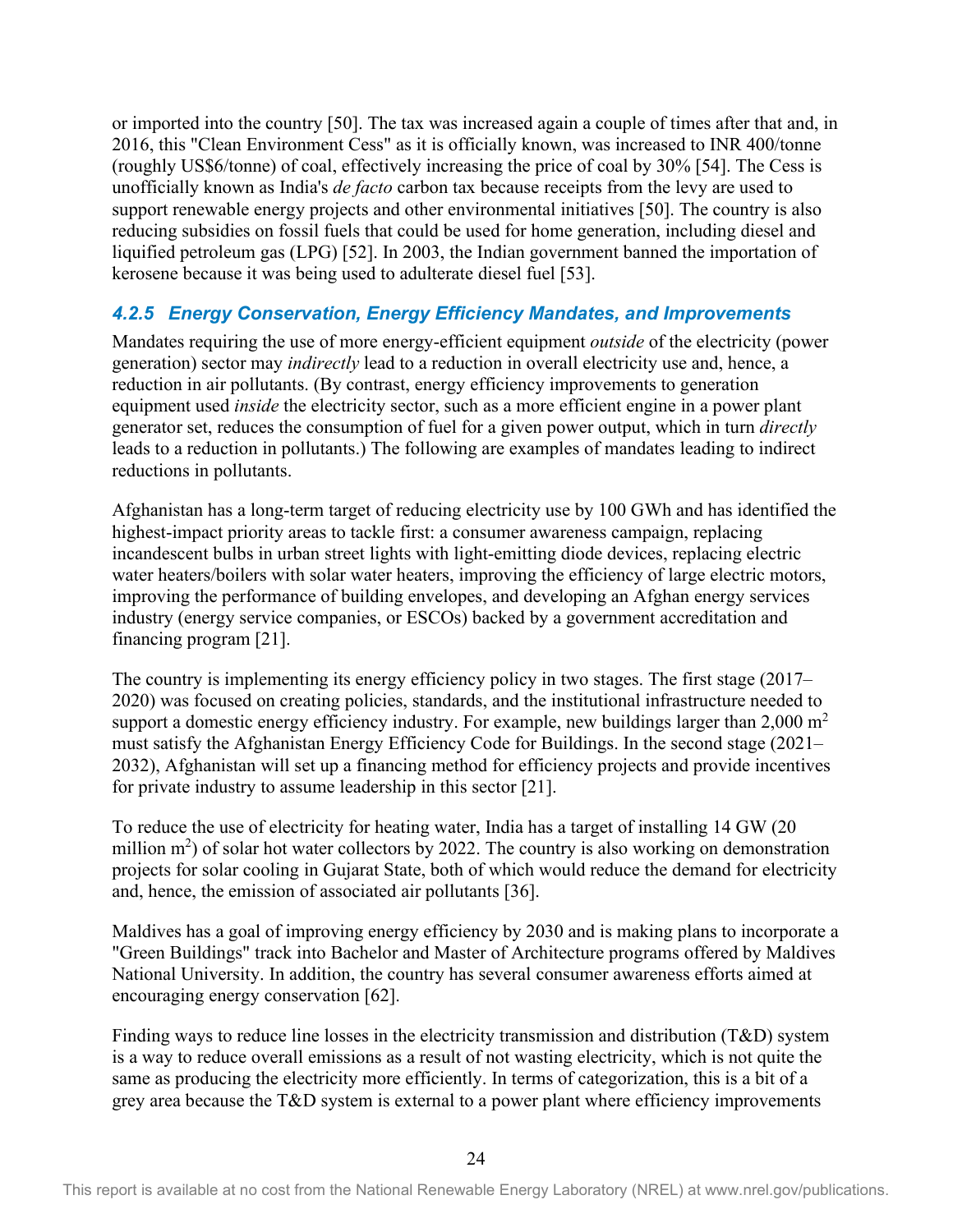or imported into the country [50]. The tax was increased again a couple of times after that and, in 2016, this "Clean Environment Cess" as it is officially known, was increased to INR 400/tonne (roughly US\$6/tonne) of coal, effectively increasing the price of coal by 30% [54]. The Cess is unofficially known as India's *de facto* carbon tax because receipts from the levy are used to support renewable energy projects and other environmental initiatives [50]. The country is also reducing subsidies on fossil fuels that could be used for home generation, including diesel and liquified petroleum gas (LPG) [52]. In 2003, the Indian government banned the importation of kerosene because it was being used to adulterate diesel fuel [53].

#### <span id="page-31-0"></span>*4.2.5 Energy Conservation, Energy Efficiency Mandates, and Improvements*

Mandates requiring the use of more energy-efficient equipment *outside* of the electricity (power generation) sector may *indirectly* lead to a reduction in overall electricity use and, hence, a reduction in air pollutants. (By contrast, energy efficiency improvements to generation equipment used *inside* the electricity sector, such as a more efficient engine in a power plant generator set, reduces the consumption of fuel for a given power output, which in turn *directly* leads to a reduction in pollutants.) The following are examples of mandates leading to indirect reductions in pollutants.

Afghanistan has a long-term target of reducing electricity use by 100 GWh and has identified the highest-impact priority areas to tackle first: a consumer awareness campaign, replacing incandescent bulbs in urban street lights with light-emitting diode devices, replacing electric water heaters/boilers with solar water heaters, improving the efficiency of large electric motors, improving the performance of building envelopes, and developing an Afghan energy services industry (energy service companies, or ESCOs) backed by a government accreditation and financing program [21].

The country is implementing its energy efficiency policy in two stages. The first stage (2017– 2020) was focused on creating policies, standards, and the institutional infrastructure needed to support a domestic energy efficiency industry. For example, new buildings larger than  $2,000 \text{ m}^2$ must satisfy the Afghanistan Energy Efficiency Code for Buildings. In the second stage (2021– 2032), Afghanistan will set up a financing method for efficiency projects and provide incentives for private industry to assume leadership in this sector [21].

To reduce the use of electricity for heating water, India has a target of installing 14 GW (20 million  $m^2$ ) of solar hot water collectors by 2022. The country is also working on demonstration projects for solar cooling in Gujarat State, both of which would reduce the demand for electricity and, hence, the emission of associated air pollutants [36].

Maldives has a goal of improving energy efficiency by 2030 and is making plans to incorporate a "Green Buildings" track into Bachelor and Master of Architecture programs offered by Maldives National University. In addition, the country has several consumer awareness efforts aimed at encouraging energy conservation [62].

Finding ways to reduce line losses in the electricity transmission and distribution (T&D) system is a way to reduce overall emissions as a result of not wasting electricity, which is not quite the same as producing the electricity more efficiently. In terms of categorization, this is a bit of a grey area because the T&D system is external to a power plant where efficiency improvements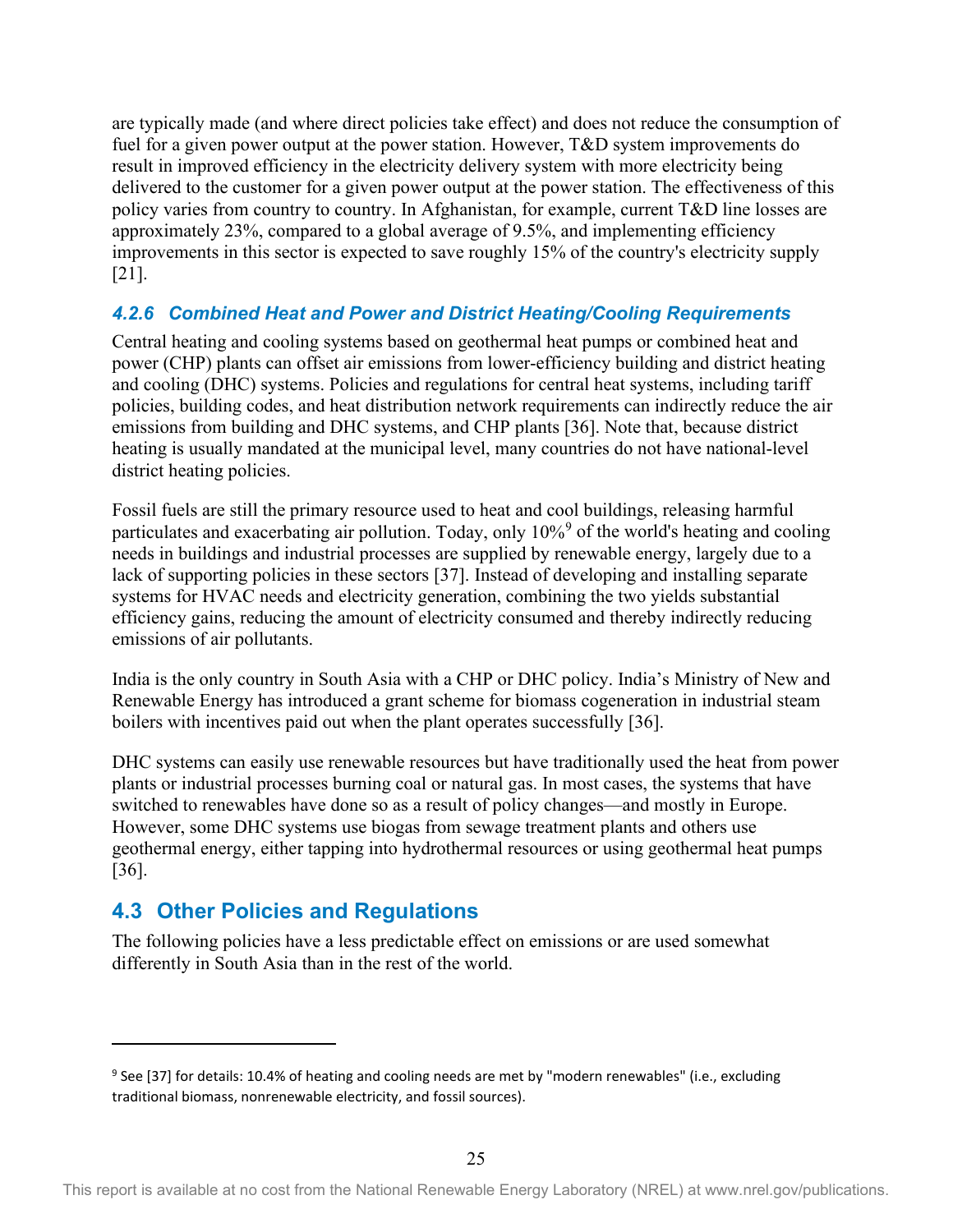are typically made (and where direct policies take effect) and does not reduce the consumption of fuel for a given power output at the power station. However, T&D system improvements do result in improved efficiency in the electricity delivery system with more electricity being delivered to the customer for a given power output at the power station. The effectiveness of this policy varies from country to country. In Afghanistan, for example, current T&D line losses are approximately 23%, compared to a global average of 9.5%, and implementing efficiency improvements in this sector is expected to save roughly 15% of the country's electricity supply [21].

#### <span id="page-32-0"></span>*4.2.6 Combined Heat and Power and District Heating/Cooling Requirements*

Central heating and cooling systems based on geothermal heat pumps or combined heat and power (CHP) plants can offset air emissions from lower-efficiency building and district heating and cooling (DHC) systems. Policies and regulations for central heat systems, including tariff policies, building codes, and heat distribution network requirements can indirectly reduce the air emissions from building and DHC systems, and CHP plants [36]. Note that, because district heating is usually mandated at the municipal level, many countries do not have national-level district heating policies.

Fossil fuels are still the primary resource used to heat and cool buildings, releasing harmful particulates and exacerbating air pollution. Today, only 10%<sup>[9](#page-32-2)</sup> of the world's heating and cooling needs in buildings and industrial processes are supplied by renewable energy, largely due to a lack of supporting policies in these sectors [37]. Instead of developing and installing separate systems for HVAC needs and electricity generation, combining the two yields substantial efficiency gains, reducing the amount of electricity consumed and thereby indirectly reducing emissions of air pollutants.

India is the only country in South Asia with a CHP or DHC policy. India's Ministry of New and Renewable Energy has introduced a grant scheme for biomass cogeneration in industrial steam boilers with incentives paid out when the plant operates successfully [36].

DHC systems can easily use renewable resources but have traditionally used the heat from power plants or industrial processes burning coal or natural gas. In most cases, the systems that have switched to renewables have done so as a result of policy changes—and mostly in Europe. However, some DHC systems use biogas from sewage treatment plants and others use geothermal energy, either tapping into hydrothermal resources or using geothermal heat pumps [36].

### <span id="page-32-1"></span>**4.3 Other Policies and Regulations**

The following policies have a less predictable effect on emissions or are used somewhat differently in South Asia than in the rest of the world.

<span id="page-32-2"></span><sup>&</sup>lt;sup>9</sup> See [37] for details: 10.4% of heating and cooling needs are met by "modern renewables" (i.e., excluding traditional biomass, nonrenewable electricity, and fossil sources).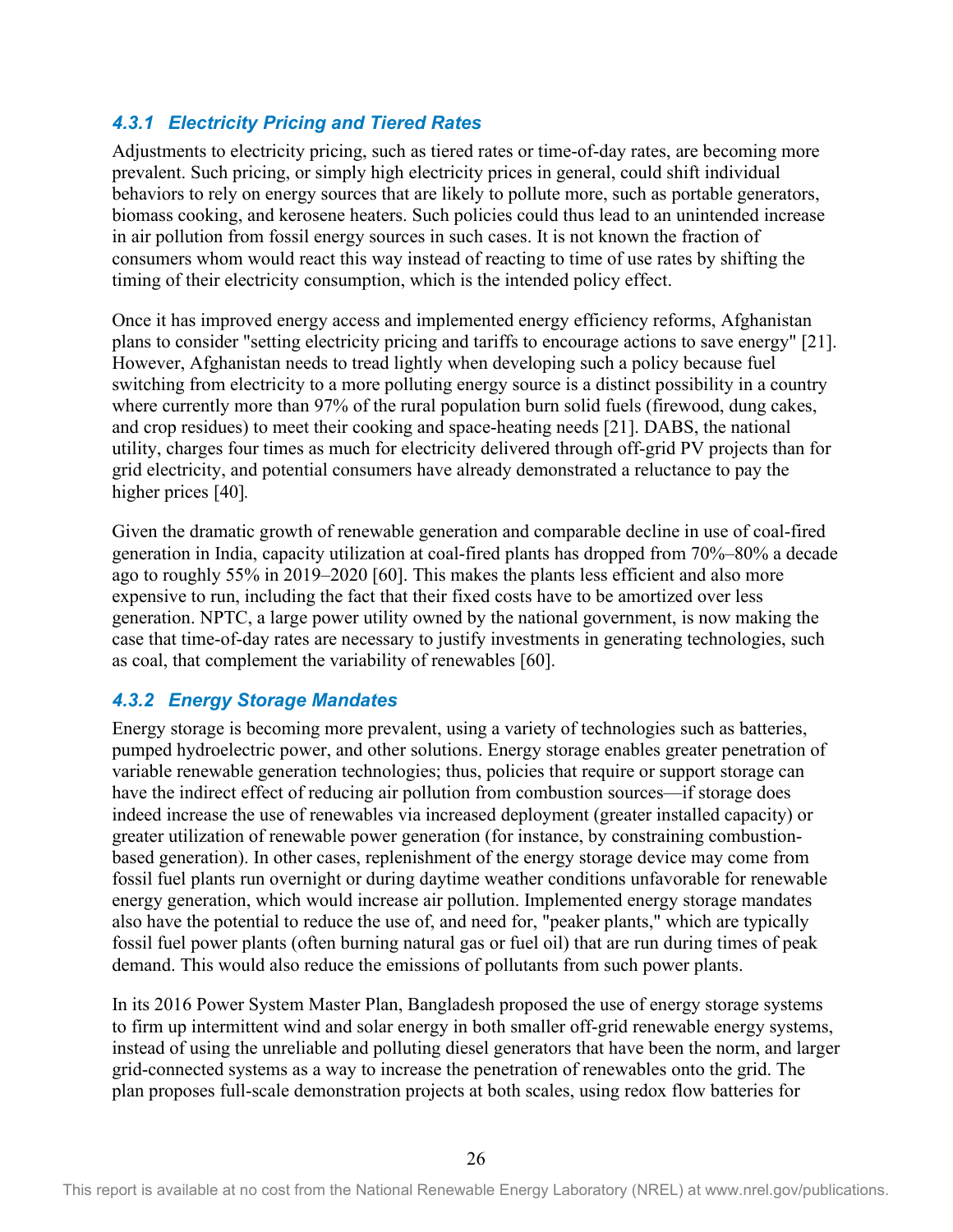#### <span id="page-33-0"></span>*4.3.1 Electricity Pricing and Tiered Rates*

Adjustments to electricity pricing, such as tiered rates or time-of-day rates, are becoming more prevalent. Such pricing, or simply high electricity prices in general, could shift individual behaviors to rely on energy sources that are likely to pollute more, such as portable generators, biomass cooking, and kerosene heaters. Such policies could thus lead to an unintended increase in air pollution from fossil energy sources in such cases. It is not known the fraction of consumers whom would react this way instead of reacting to time of use rates by shifting the timing of their electricity consumption, which is the intended policy effect.

Once it has improved energy access and implemented energy efficiency reforms, Afghanistan plans to consider "setting electricity pricing and tariffs to encourage actions to save energy" [21]. However, Afghanistan needs to tread lightly when developing such a policy because fuel switching from electricity to a more polluting energy source is a distinct possibility in a country where currently more than 97% of the rural population burn solid fuels (firewood, dung cakes, and crop residues) to meet their cooking and space-heating needs [21]. DABS, the national utility, charges four times as much for electricity delivered through off-grid PV projects than for grid electricity, and potential consumers have already demonstrated a reluctance to pay the higher prices [40]*.*

Given the dramatic growth of renewable generation and comparable decline in use of coal-fired generation in India, capacity utilization at coal-fired plants has dropped from 70%–80% a decade ago to roughly 55% in 2019–2020 [60]. This makes the plants less efficient and also more expensive to run, including the fact that their fixed costs have to be amortized over less generation. NPTC, a large power utility owned by the national government, is now making the case that time-of-day rates are necessary to justify investments in generating technologies, such as coal, that complement the variability of renewables [60].

#### <span id="page-33-1"></span>*4.3.2 Energy Storage Mandates*

Energy storage is becoming more prevalent, using a variety of technologies such as batteries, pumped hydroelectric power, and other solutions. Energy storage enables greater penetration of variable renewable generation technologies; thus, policies that require or support storage can have the indirect effect of reducing air pollution from combustion sources—if storage does indeed increase the use of renewables via increased deployment (greater installed capacity) or greater utilization of renewable power generation (for instance, by constraining combustionbased generation). In other cases, replenishment of the energy storage device may come from fossil fuel plants run overnight or during daytime weather conditions unfavorable for renewable energy generation, which would increase air pollution. Implemented energy storage mandates also have the potential to reduce the use of, and need for, "peaker plants," which are typically fossil fuel power plants (often burning natural gas or fuel oil) that are run during times of peak demand. This would also reduce the emissions of pollutants from such power plants.

In its 2016 Power System Master Plan, Bangladesh proposed the use of energy storage systems to firm up intermittent wind and solar energy in both smaller off-grid renewable energy systems, instead of using the unreliable and polluting diesel generators that have been the norm, and larger grid-connected systems as a way to increase the penetration of renewables onto the grid. The plan proposes full-scale demonstration projects at both scales, using redox flow batteries for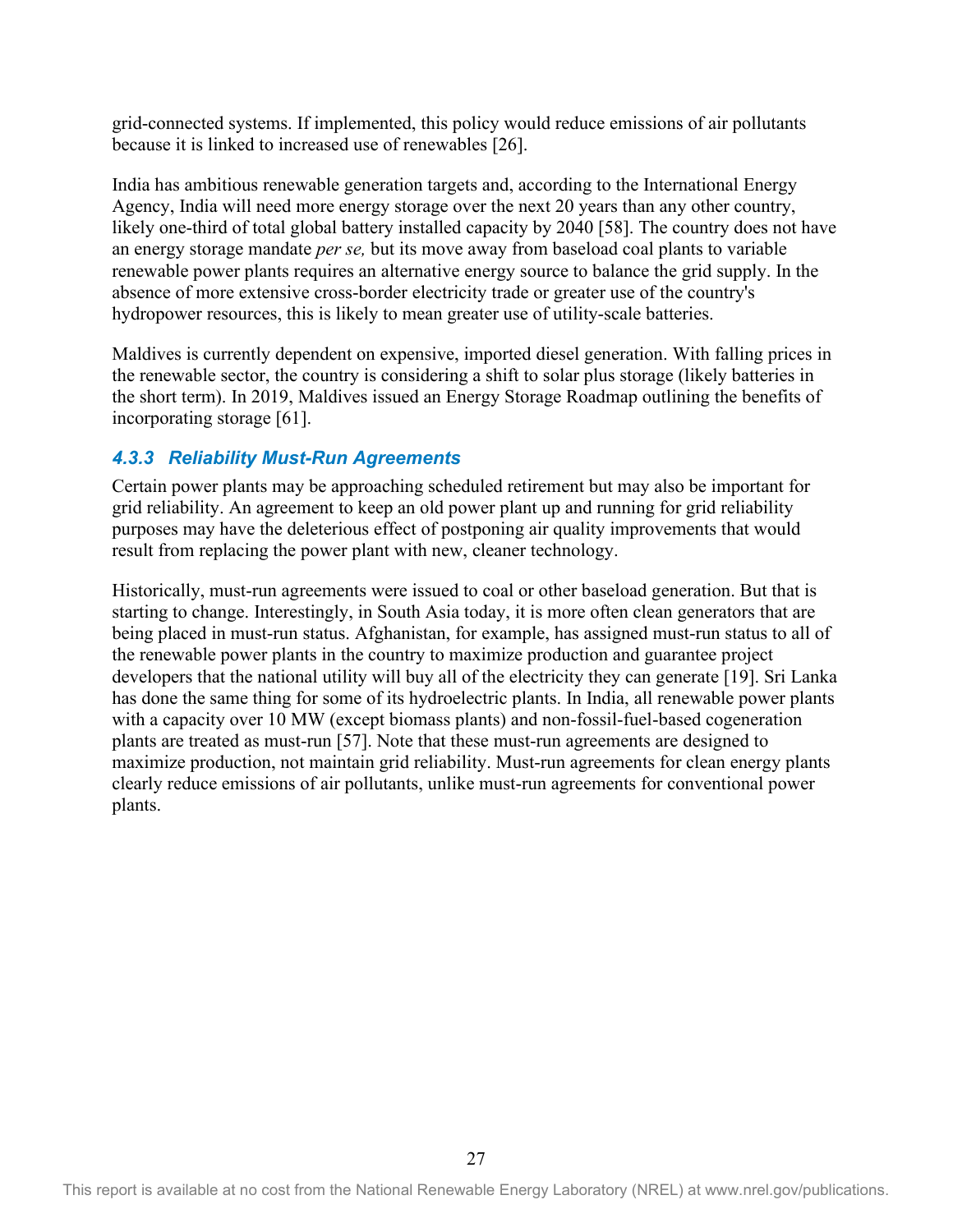grid-connected systems. If implemented, this policy would reduce emissions of air pollutants because it is linked to increased use of renewables [26].

India has ambitious renewable generation targets and, according to the International Energy Agency, India will need more energy storage over the next 20 years than any other country, likely one-third of total global battery installed capacity by 2040 [58]. The country does not have an energy storage mandate *per se,* but its move away from baseload coal plants to variable renewable power plants requires an alternative energy source to balance the grid supply. In the absence of more extensive cross-border electricity trade or greater use of the country's hydropower resources, this is likely to mean greater use of utility-scale batteries.

Maldives is currently dependent on expensive, imported diesel generation. With falling prices in the renewable sector, the country is considering a shift to solar plus storage (likely batteries in the short term). In 2019, Maldives issued an Energy Storage Roadmap outlining the benefits of incorporating storage [61].

#### <span id="page-34-0"></span>*4.3.3 Reliability Must-Run Agreements*

Certain power plants may be approaching scheduled retirement but may also be important for grid reliability. An agreement to keep an old power plant up and running for grid reliability purposes may have the deleterious effect of postponing air quality improvements that would result from replacing the power plant with new, cleaner technology.

Historically, must-run agreements were issued to coal or other baseload generation. But that is starting to change. Interestingly, in South Asia today, it is more often clean generators that are being placed in must-run status. Afghanistan, for example, has assigned must-run status to all of the renewable power plants in the country to maximize production and guarantee project developers that the national utility will buy all of the electricity they can generate [19]. Sri Lanka has done the same thing for some of its hydroelectric plants. In India, all renewable power plants with a capacity over 10 MW (except biomass plants) and non-fossil-fuel-based cogeneration plants are treated as must-run [57]. Note that these must-run agreements are designed to maximize production, not maintain grid reliability. Must-run agreements for clean energy plants clearly reduce emissions of air pollutants, unlike must-run agreements for conventional power plants.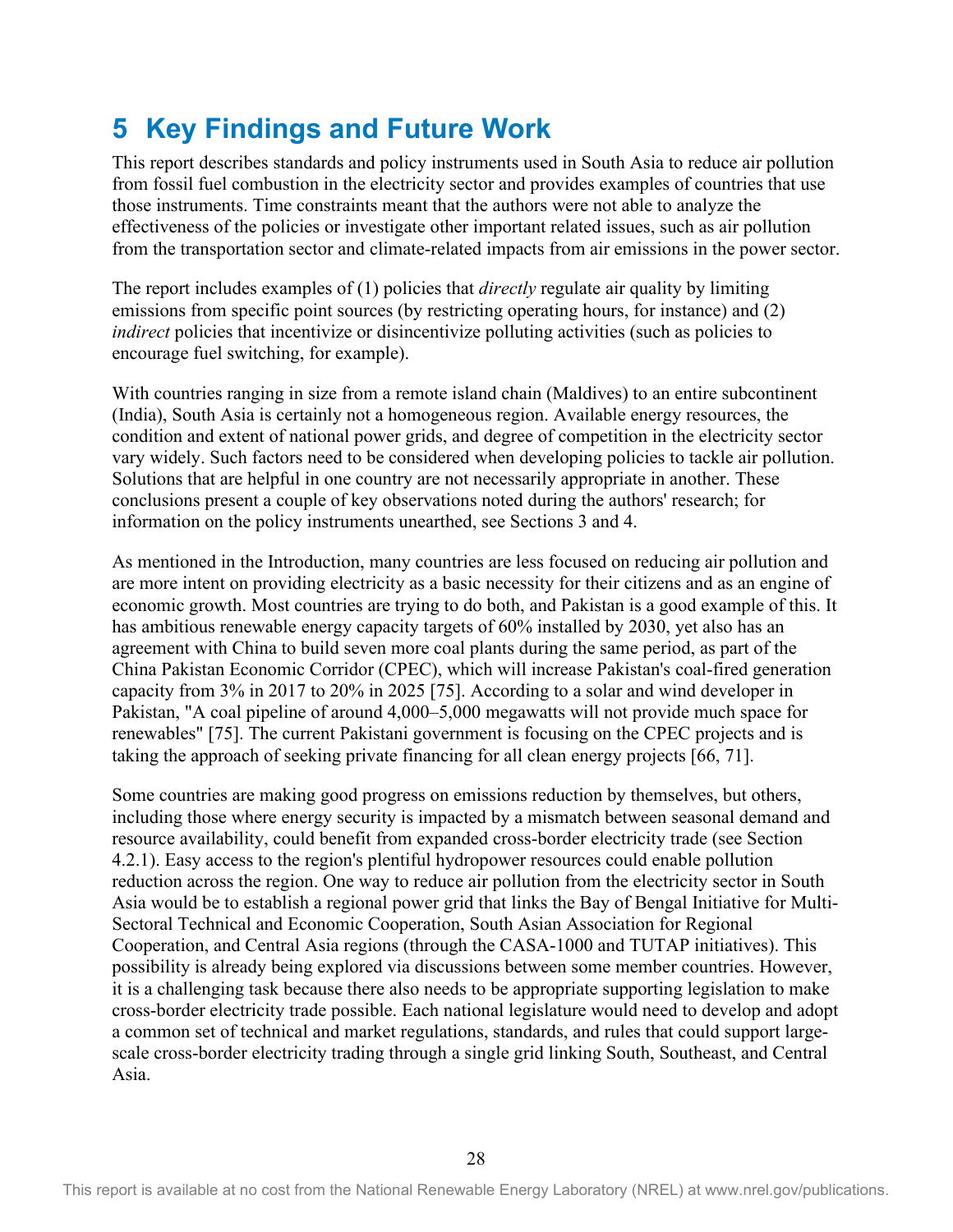## <span id="page-35-0"></span>**5 Key Findings and Future Work**

This report describes standards and policy instruments used in South Asia to reduce air pollution from fossil fuel combustion in the electricity sector and provides examples of countries that use those instruments. Time constraints meant that the authors were not able to analyze the effectiveness of the policies or investigate other important related issues, such as air pollution from the transportation sector and climate-related impacts from air emissions in the power sector.

The report includes examples of (1) policies that *directly* regulate air quality by limiting emissions from specific point sources (by restricting operating hours, for instance) and (2) *indirect* policies that incentivize or disincentivize polluting activities (such as policies to encourage fuel switching, for example).

With countries ranging in size from a remote island chain (Maldives) to an entire subcontinent (India), South Asia is certainly not a homogeneous region. Available energy resources, the condition and extent of national power grids, and degree of competition in the electricity sector vary widely. Such factors need to be considered when developing policies to tackle air pollution. Solutions that are helpful in one country are not necessarily appropriate in another. These conclusions present a couple of key observations noted during the authors' research; for information on the policy instruments unearthed, see Sections 3 and 4.

As mentioned in the Introduction, many countries are less focused on reducing air pollution and are more intent on providing electricity as a basic necessity for their citizens and as an engine of economic growth. Most countries are trying to do both, and Pakistan is a good example of this. It has ambitious renewable energy capacity targets of 60% installed by 2030, yet also has an agreement with China to build seven more coal plants during the same period, as part of the China Pakistan Economic Corridor (CPEC), which will increase Pakistan's coal-fired generation capacity from 3% in 2017 to 20% in 2025 [75]. According to a solar and wind developer in Pakistan, "A coal pipeline of around 4,000–5,000 megawatts will not provide much space for renewables" [75]. The current Pakistani government is focusing on the CPEC projects and is taking the approach of seeking private financing for all clean energy projects [66, 71].

Some countries are making good progress on emissions reduction by themselves, but others, including those where energy security is impacted by a mismatch between seasonal demand and resource availability, could benefit from expanded cross-border electricity trade (see Section 4.2.1). Easy access to the region's plentiful hydropower resources could enable pollution reduction across the region. One way to reduce air pollution from the electricity sector in South Asia would be to establish a regional power grid that links the Bay of Bengal Initiative for Multi-Sectoral Technical and Economic Cooperation, South Asian Association for Regional Cooperation, and Central Asia regions (through the CASA-1000 and TUTAP initiatives). This possibility is already being explored via discussions between some member countries. However, it is a challenging task because there also needs to be appropriate supporting legislation to make cross-border electricity trade possible. Each national legislature would need to develop and adopt a common set of technical and market regulations, standards, and rules that could support largescale cross-border electricity trading through a single grid linking South, Southeast, and Central Asia.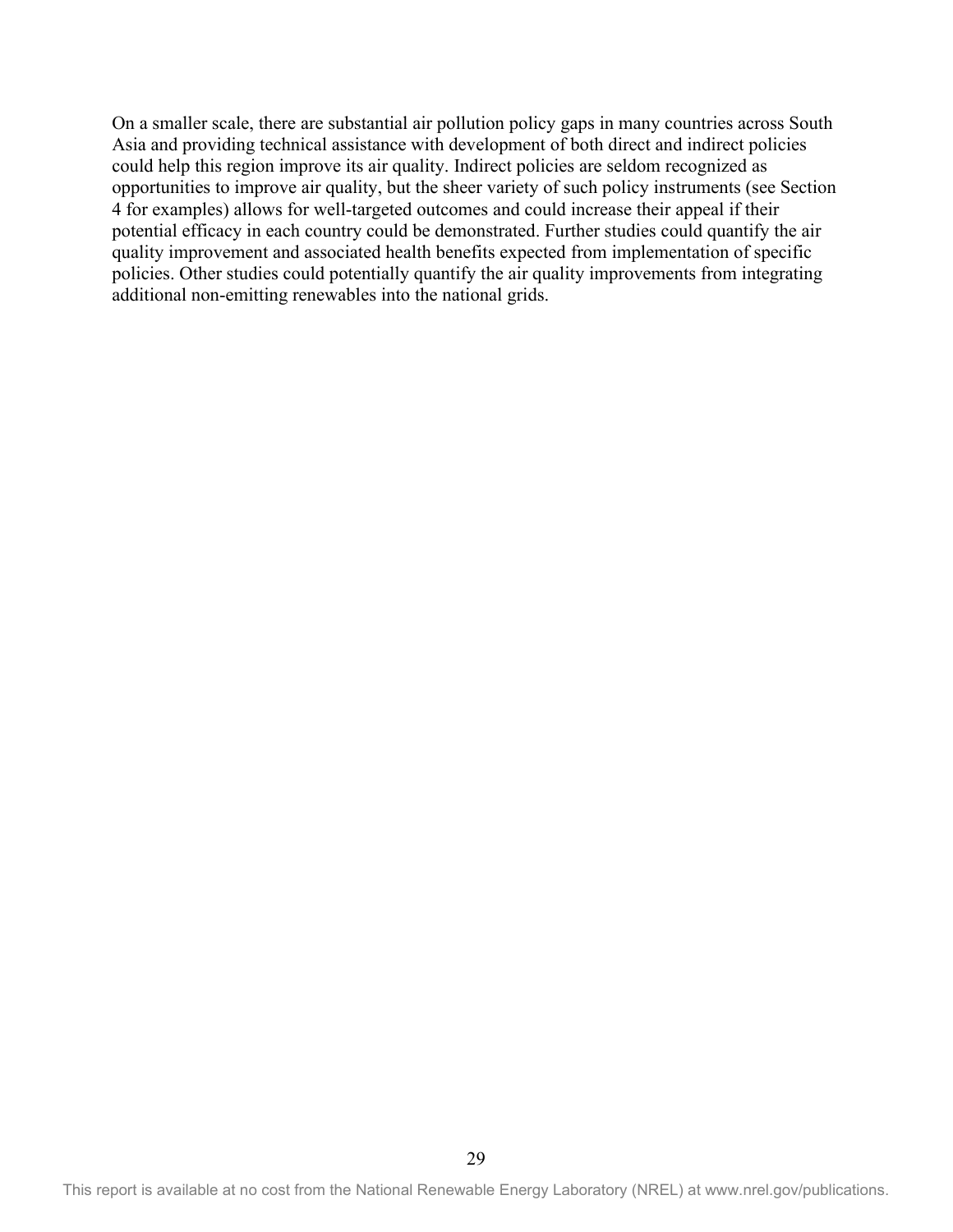On a smaller scale, there are substantial air pollution policy gaps in many countries across South Asia and providing technical assistance with development of both direct and indirect policies could help this region improve its air quality. Indirect policies are seldom recognized as opportunities to improve air quality, but the sheer variety of such policy instruments (see Section 4 for examples) allows for well-targeted outcomes and could increase their appeal if their potential efficacy in each country could be demonstrated. Further studies could quantify the air quality improvement and associated health benefits expected from implementation of specific policies. Other studies could potentially quantify the air quality improvements from integrating additional non-emitting renewables into the national grids.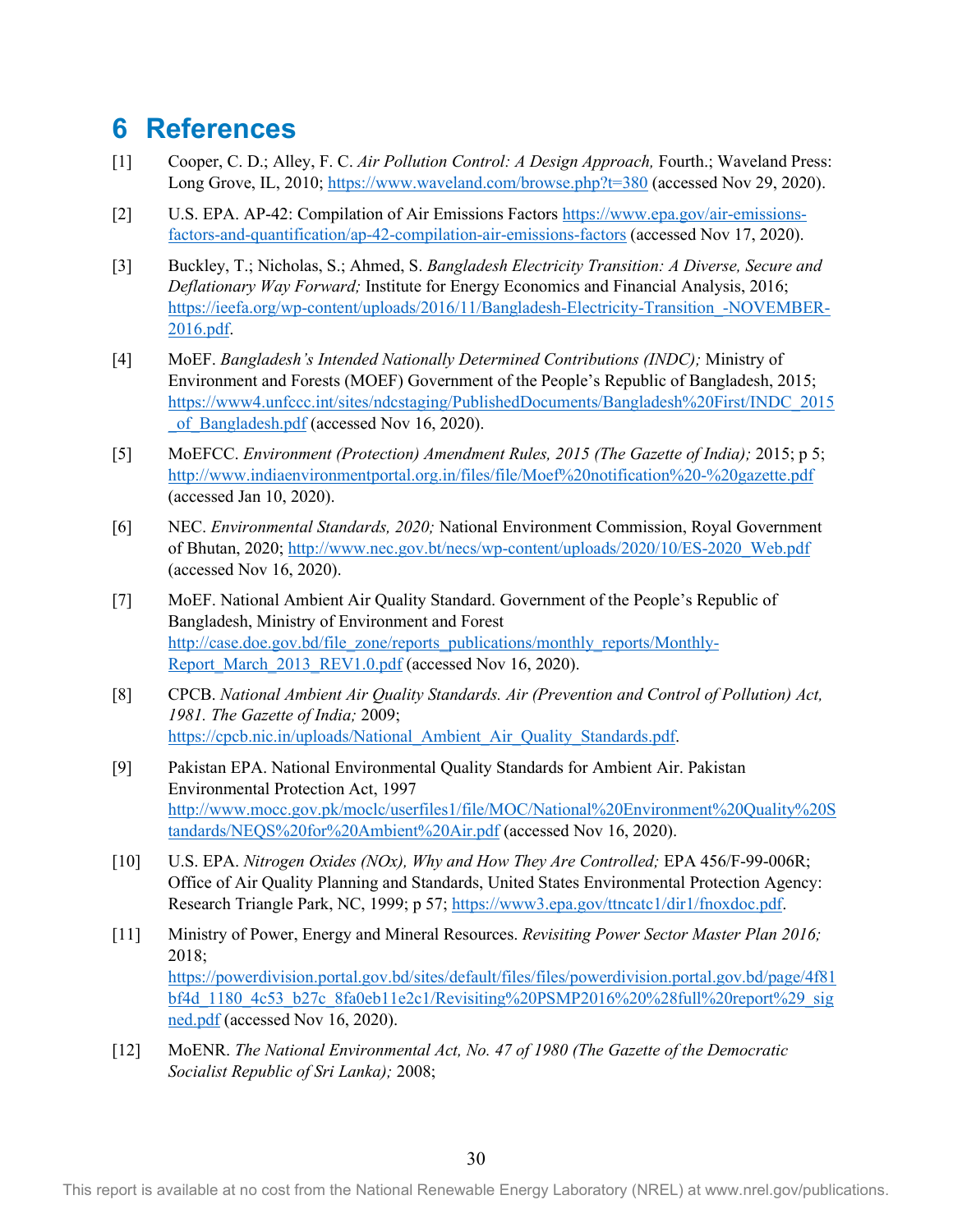## <span id="page-37-0"></span>**6 References**

- [1] Cooper, C. D.; Alley, F. C. *Air Pollution Control: A Design Approach,* Fourth.; Waveland Press: Long Grove, IL, 2010[; https://www.waveland.com/browse.php?t=380](https://www.waveland.com/browse.php?t=380) (accessed Nov 29, 2020).
- [2] U.S. EPA. AP-42: Compilation of Air Emissions Factors [https://www.epa.gov/air-emissions](https://www.epa.gov/air-emissions-factors-and-quantification/ap-42-compilation-air-emissions-factors)[factors-and-quantification/ap-42-compilation-air-emissions-factors](https://www.epa.gov/air-emissions-factors-and-quantification/ap-42-compilation-air-emissions-factors) (accessed Nov 17, 2020).
- [3] Buckley, T.; Nicholas, S.; Ahmed, S. *Bangladesh Electricity Transition: A Diverse, Secure and Deflationary Way Forward;* Institute for Energy Economics and Financial Analysis, 2016; https://ieefa.org/wp-content/uploads/2016/11/Bangladesh-Electricity-Transition -NOVEMBER-[2016.pdf.](https://ieefa.org/wp-content/uploads/2016/11/Bangladesh-Electricity-Transition_-NOVEMBER-2016.pdf)
- [4] MoEF. *Bangladesh's Intended Nationally Determined Contributions (INDC);* Ministry of Environment and Forests (MOEF) Government of the People's Republic of Bangladesh, 2015; [https://www4.unfccc.int/sites/ndcstaging/PublishedDocuments/Bangladesh%20First/INDC\\_2015](https://www4.unfccc.int/sites/ndcstaging/PublishedDocuments/Bangladesh%20First/INDC_2015_of_Bangladesh.pdf) of Bangladesh.pdf (accessed Nov 16, 2020).
- [5] MoEFCC. *Environment (Protection) Amendment Rules, 2015 (The Gazette of India);* 2015; p 5; <http://www.indiaenvironmentportal.org.in/files/file/Moef%20notification%20-%20gazette.pdf> (accessed Jan 10, 2020).
- [6] NEC. *Environmental Standards, 2020;* National Environment Commission, Royal Government of Bhutan, 2020; [http://www.nec.gov.bt/necs/wp-content/uploads/2020/10/ES-2020\\_Web.pdf](http://www.nec.gov.bt/necs/wp-content/uploads/2020/10/ES-2020_Web.pdf) (accessed Nov 16, 2020).
- [7] MoEF. National Ambient Air Quality Standard. Government of the People's Republic of Bangladesh, Ministry of Environment and Forest [http://case.doe.gov.bd/file\\_zone/reports\\_publications/monthly\\_reports/Monthly-](http://case.doe.gov.bd/file_zone/reports_publications/monthly_reports/Monthly-Report_March_2013_REV1.0.pdf)[Report\\_March\\_2013\\_REV1.0.pdf](http://case.doe.gov.bd/file_zone/reports_publications/monthly_reports/Monthly-Report_March_2013_REV1.0.pdf) (accessed Nov 16, 2020).
- [8] CPCB. *National Ambient Air Quality Standards. Air (Prevention and Control of Pollution) Act, 1981. The Gazette of India;* 2009; [https://cpcb.nic.in/uploads/National\\_Ambient\\_Air\\_Quality\\_Standards.pdf.](https://cpcb.nic.in/uploads/National_Ambient_Air_Quality_Standards.pdf)
- [9] Pakistan EPA. National Environmental Quality Standards for Ambient Air. Pakistan Environmental Protection Act, 1997 [http://www.mocc.gov.pk/moclc/userfiles1/file/MOC/National%20Environment%20Quality%20S](http://www.mocc.gov.pk/moclc/userfiles1/file/MOC/National%20Environment%20Quality%20Standards/NEQS%20for%20Ambient%20Air.pdf) [tandards/NEQS%20for%20Ambient%20Air.pdf](http://www.mocc.gov.pk/moclc/userfiles1/file/MOC/National%20Environment%20Quality%20Standards/NEQS%20for%20Ambient%20Air.pdf) (accessed Nov 16, 2020).
- [10] U.S. EPA. *Nitrogen Oxides (NOx), Why and How They Are Controlled;* EPA 456/F-99-006R; Office of Air Quality Planning and Standards, United States Environmental Protection Agency: Research Triangle Park, NC, 1999; p 57; [https://www3.epa.gov/ttncatc1/dir1/fnoxdoc.pdf.](https://www3.epa.gov/ttncatc1/dir1/fnoxdoc.pdf)
- [11] Ministry of Power, Energy and Mineral Resources. *Revisiting Power Sector Master Plan 2016;* 2018; [https://powerdivision.portal.gov.bd/sites/default/files/files/powerdivision.portal.gov.bd/page/4f81](https://powerdivision.portal.gov.bd/sites/default/files/files/powerdivision.portal.gov.bd/page/4f81bf4d_1180_4c53_b27c_8fa0eb11e2c1/Revisiting%20PSMP2016%20%28full%20report%29_signed.pdf) [bf4d\\_1180\\_4c53\\_b27c\\_8fa0eb11e2c1/Revisiting%20PSMP2016%20%28full%20report%29\\_sig](https://powerdivision.portal.gov.bd/sites/default/files/files/powerdivision.portal.gov.bd/page/4f81bf4d_1180_4c53_b27c_8fa0eb11e2c1/Revisiting%20PSMP2016%20%28full%20report%29_signed.pdf) [ned.pdf](https://powerdivision.portal.gov.bd/sites/default/files/files/powerdivision.portal.gov.bd/page/4f81bf4d_1180_4c53_b27c_8fa0eb11e2c1/Revisiting%20PSMP2016%20%28full%20report%29_signed.pdf) (accessed Nov 16, 2020).
- [12] MoENR. *The National Environmental Act, No. 47 of 1980 (The Gazette of the Democratic Socialist Republic of Sri Lanka);* 2008;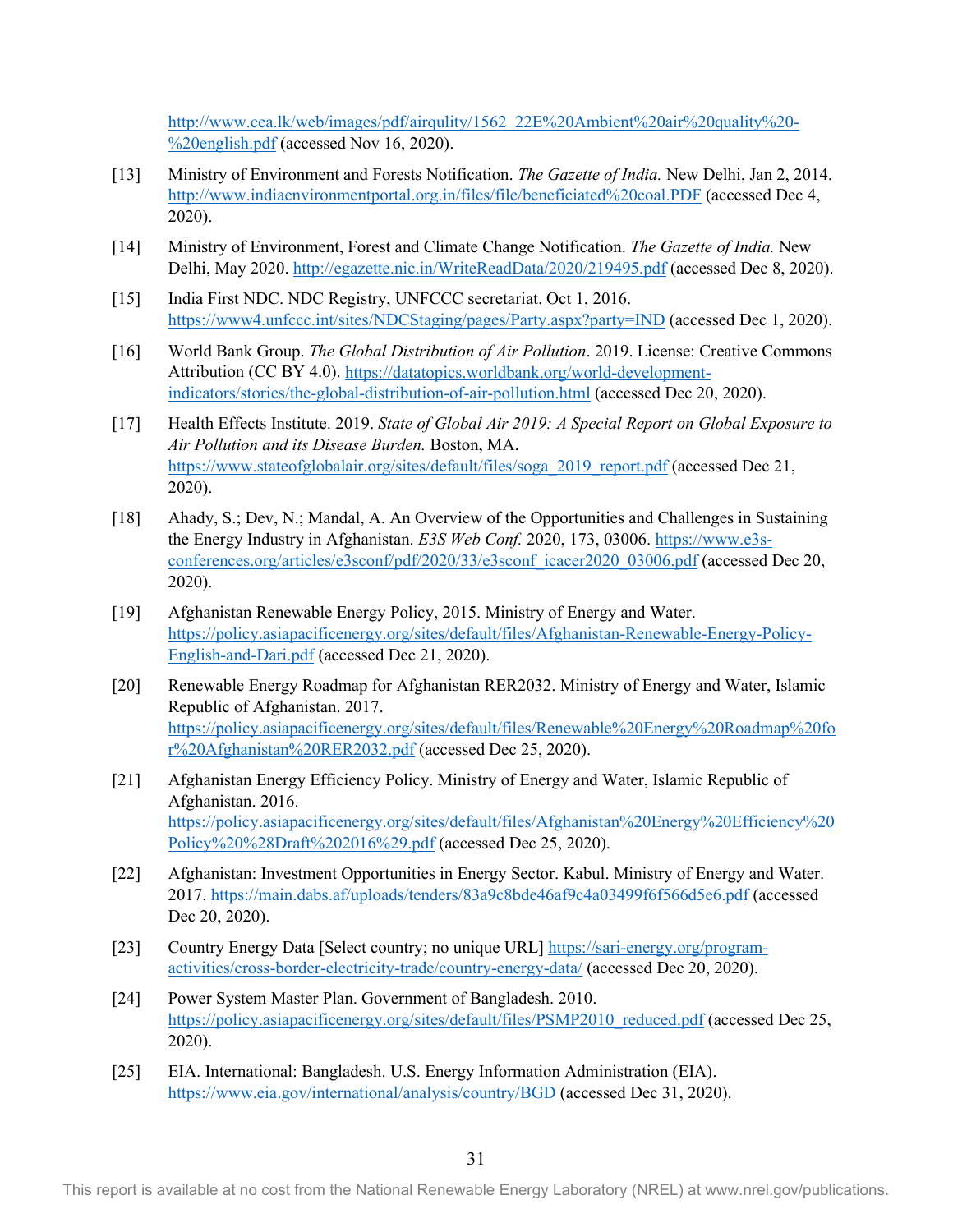[http://www.cea.lk/web/images/pdf/airqulity/1562\\_22E%20Ambient%20air%20quality%20-](http://www.cea.lk/web/images/pdf/airqulity/1562_22E%20Ambient%20air%20quality%20-%20english.pdf) [%20english.pdf](http://www.cea.lk/web/images/pdf/airqulity/1562_22E%20Ambient%20air%20quality%20-%20english.pdf) (accessed Nov 16, 2020).

- [13] Ministry of Environment and Forests Notification. *The Gazette of India.* New Delhi, Jan 2, 2014. <http://www.indiaenvironmentportal.org.in/files/file/beneficiated%20coal.PDF> (accessed Dec 4, 2020).
- [14] Ministry of Environment, Forest and Climate Change Notification. *The Gazette of India.* New Delhi, May 2020.<http://egazette.nic.in/WriteReadData/2020/219495.pdf> (accessed Dec 8, 2020).
- [15] India First NDC. NDC Registry, UNFCCC secretariat. Oct 1, 2016. <https://www4.unfccc.int/sites/NDCStaging/pages/Party.aspx?party=IND>(accessed Dec 1, 2020).
- [16] World Bank Group. *The Global Distribution of Air Pollution*. 2019. License: Creative Commons Attribution (CC BY 4.0). [https://datatopics.worldbank.org/world-development](https://datatopics.worldbank.org/world-development-indicators/stories/the-global-distribution-of-air-pollution.html)[indicators/stories/the-global-distribution-of-air-pollution.html](https://datatopics.worldbank.org/world-development-indicators/stories/the-global-distribution-of-air-pollution.html) (accessed Dec 20, 2020).
- [17] Health Effects Institute. 2019. *State of Global Air 2019: A Special Report on Global Exposure to Air Pollution and its Disease Burden.* Boston, MA. [https://www.stateofglobalair.org/sites/default/files/soga\\_2019\\_report.pdf](https://www.stateofglobalair.org/sites/default/files/soga_2019_report.pdf) (accessed Dec 21, 2020).
- [18] Ahady, S.; Dev, N.; Mandal, A. An Overview of the Opportunities and Challenges in Sustaining the Energy Industry in Afghanistan. *E3S Web Conf.* 2020, 173, 03006. [https://www.e3s](https://www.e3s-conferences.org/articles/e3sconf/pdf/2020/33/e3sconf_icacer2020_03006.pdf)[conferences.org/articles/e3sconf/pdf/2020/33/e3sconf\\_icacer2020\\_03006.pdf](https://www.e3s-conferences.org/articles/e3sconf/pdf/2020/33/e3sconf_icacer2020_03006.pdf) (accessed Dec 20, 2020).
- [19] Afghanistan Renewable Energy Policy, 2015. Ministry of Energy and Water. [https://policy.asiapacificenergy.org/sites/default/files/Afghanistan-Renewable-Energy-Policy-](https://policy.asiapacificenergy.org/sites/default/files/Afghanistan-Renewable-Energy-Policy-English-and-Dari.pdf)[English-and-Dari.pdf](https://policy.asiapacificenergy.org/sites/default/files/Afghanistan-Renewable-Energy-Policy-English-and-Dari.pdf) (accessed Dec 21, 2020).
- [20] Renewable Energy Roadmap for Afghanistan RER2032. Ministry of Energy and Water, Islamic Republic of Afghanistan. 2017. [https://policy.asiapacificenergy.org/sites/default/files/Renewable%20Energy%20Roadmap%20fo](https://policy.asiapacificenergy.org/sites/default/files/Renewable%20Energy%20Roadmap%20for%20Afghanistan%20RER2032.pdf) [r%20Afghanistan%20RER2032.pdf](https://policy.asiapacificenergy.org/sites/default/files/Renewable%20Energy%20Roadmap%20for%20Afghanistan%20RER2032.pdf) (accessed Dec 25, 2020).
- [21] Afghanistan Energy Efficiency Policy. Ministry of Energy and Water, Islamic Republic of Afghanistan. 2016. [https://policy.asiapacificenergy.org/sites/default/files/Afghanistan%20Energy%20Efficiency%20](https://policy.asiapacificenergy.org/sites/default/files/Afghanistan%20Energy%20Efficiency%20Policy%20%28Draft%202016%29.pdf) [Policy%20%28Draft%202016%29.pdf](https://policy.asiapacificenergy.org/sites/default/files/Afghanistan%20Energy%20Efficiency%20Policy%20%28Draft%202016%29.pdf) (accessed Dec 25, 2020).
- [22] Afghanistan: Investment Opportunities in Energy Sector. Kabul. Ministry of Energy and Water. 2017.<https://main.dabs.af/uploads/tenders/83a9c8bde46af9c4a03499f6f566d5e6.pdf> (accessed Dec 20, 2020).
- [23] Country Energy Data [Select country; no unique URL] [https://sari-energy.org/program](https://sari-energy.org/program-activities/cross-border-electricity-trade/country-energy-data/)[activities/cross-border-electricity-trade/country-energy-data/](https://sari-energy.org/program-activities/cross-border-electricity-trade/country-energy-data/) (accessed Dec 20, 2020).
- [24] Power System Master Plan. Government of Bangladesh. 2010. [https://policy.asiapacificenergy.org/sites/default/files/PSMP2010\\_reduced.pdf](https://policy.asiapacificenergy.org/sites/default/files/PSMP2010_reduced.pdf) (accessed Dec 25, 2020).
- [25] EIA. International: Bangladesh. U.S. Energy Information Administration (EIA). <https://www.eia.gov/international/analysis/country/BGD> (accessed Dec 31, 2020).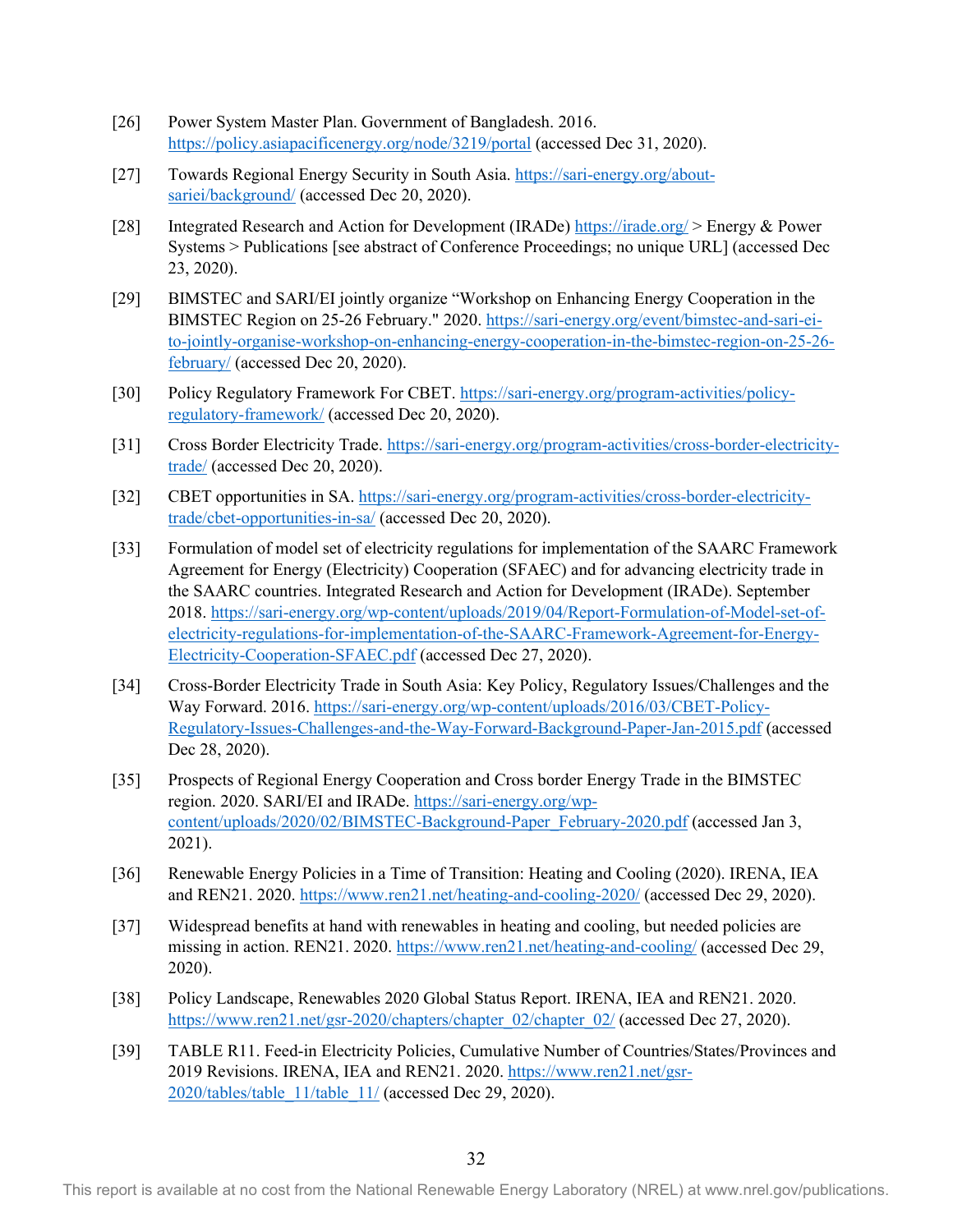- [26] Power System Master Plan. Government of Bangladesh. 2016. <https://policy.asiapacificenergy.org/node/3219/portal> (accessed Dec 31, 2020).
- [27] Towards Regional Energy Security in South Asia. [https://sari-energy.org/about](https://sari-energy.org/about-sariei/background/)[sariei/background/](https://sari-energy.org/about-sariei/background/) (accessed Dec 20, 2020).
- [28] Integrated Research and Action for Development (IRADe)<https://irade.org/>> Energy & Power Systems > Publications [see abstract of Conference Proceedings; no unique URL] (accessed Dec 23, 2020).
- [29] BIMSTEC and SARI/EI jointly organize "Workshop on Enhancing Energy Cooperation in the BIMSTEC Region on 25-26 February." 2020. [https://sari-energy.org/event/bimstec-and-sari-ei](https://sari-energy.org/event/bimstec-and-sari-ei-to-jointly-organise-workshop-on-enhancing-energy-cooperation-in-the-bimstec-region-on-25-26-february/)[to-jointly-organise-workshop-on-enhancing-energy-cooperation-in-the-bimstec-region-on-25-26](https://sari-energy.org/event/bimstec-and-sari-ei-to-jointly-organise-workshop-on-enhancing-energy-cooperation-in-the-bimstec-region-on-25-26-february/) [february/](https://sari-energy.org/event/bimstec-and-sari-ei-to-jointly-organise-workshop-on-enhancing-energy-cooperation-in-the-bimstec-region-on-25-26-february/) (accessed Dec 20, 2020).
- [30] Policy Regulatory Framework For CBET. [https://sari-energy.org/program-activities/policy](https://sari-energy.org/program-activities/policy-regulatory-framework/)[regulatory-framework/](https://sari-energy.org/program-activities/policy-regulatory-framework/) (accessed Dec 20, 2020).
- [31] Cross Border Electricity Trade. [https://sari-energy.org/program-activities/cross-border-electricity](https://sari-energy.org/program-activities/cross-border-electricity-trade/)[trade/](https://sari-energy.org/program-activities/cross-border-electricity-trade/) (accessed Dec 20, 2020).
- [32] CBET opportunities in SA. [https://sari-energy.org/program-activities/cross-border-electricity](https://sari-energy.org/program-activities/cross-border-electricity-trade/cbet-opportunities-in-sa/)[trade/cbet-opportunities-in-sa/](https://sari-energy.org/program-activities/cross-border-electricity-trade/cbet-opportunities-in-sa/) (accessed Dec 20, 2020).
- [33] Formulation of model set of electricity regulations for implementation of the SAARC Framework Agreement for Energy (Electricity) Cooperation (SFAEC) and for advancing electricity trade in the SAARC countries. Integrated Research and Action for Development (IRADe). September 2018. [https://sari-energy.org/wp-content/uploads/2019/04/Report-Formulation-of-Model-set-of](https://sari-energy.org/wp-content/uploads/2019/04/Report-Formulation-of-Model-set-of-electricity-regulations-for-implementation-of-the-SAARC-Framework-Agreement-for-Energy-Electricity-Cooperation-SFAEC.pdf)[electricity-regulations-for-implementation-of-the-SAARC-Framework-Agreement-for-Energy-](https://sari-energy.org/wp-content/uploads/2019/04/Report-Formulation-of-Model-set-of-electricity-regulations-for-implementation-of-the-SAARC-Framework-Agreement-for-Energy-Electricity-Cooperation-SFAEC.pdf)[Electricity-Cooperation-SFAEC.pdf](https://sari-energy.org/wp-content/uploads/2019/04/Report-Formulation-of-Model-set-of-electricity-regulations-for-implementation-of-the-SAARC-Framework-Agreement-for-Energy-Electricity-Cooperation-SFAEC.pdf) (accessed Dec 27, 2020).
- [34] Cross-Border Electricity Trade in South Asia: Key Policy, Regulatory Issues/Challenges and the Way Forward. 2016. [https://sari-energy.org/wp-content/uploads/2016/03/CBET-Policy-](https://sari-energy.org/wp-content/uploads/2016/03/CBET-Policy-Regulatory-Issues-Challenges-and-the-Way-Forward-Background-Paper-Jan-2015.pdf)[Regulatory-Issues-Challenges-and-the-Way-Forward-Background-Paper-Jan-2015.pdf](https://sari-energy.org/wp-content/uploads/2016/03/CBET-Policy-Regulatory-Issues-Challenges-and-the-Way-Forward-Background-Paper-Jan-2015.pdf) (accessed Dec 28, 2020).
- [35] Prospects of Regional Energy Cooperation and Cross border Energy Trade in the BIMSTEC region. 2020. SARI/EI and IRADe. [https://sari-energy.org/wp](https://sari-energy.org/wp-content/uploads/2020/02/BIMSTEC-Background-Paper_February-2020.pdf)[content/uploads/2020/02/BIMSTEC-Background-Paper\\_February-2020.pdf](https://sari-energy.org/wp-content/uploads/2020/02/BIMSTEC-Background-Paper_February-2020.pdf) (accessed Jan 3, 2021).
- [36] Renewable Energy Policies in a Time of Transition: Heating and Cooling (2020). IRENA, IEA and REN21. 2020.<https://www.ren21.net/heating-and-cooling-2020/>(accessed Dec 29, 2020).
- [37] Widespread benefits at hand with renewables in heating and cooling, but needed policies are missing in action. REN21. 2020[. https://www.ren21.net/heating-and-cooling/](https://www.ren21.net/heating-and-cooling/) (accessed Dec 29, 2020).
- [38] Policy Landscape, Renewables 2020 Global Status Report. IRENA, IEA and REN21. 2020. [https://www.ren21.net/gsr-2020/chapters/chapter\\_02/chapter\\_02/](https://www.ren21.net/gsr-2020/chapters/chapter_02/chapter_02/) (accessed Dec 27, 2020).
- [39] TABLE R11. Feed-in Electricity Policies, Cumulative Number of Countries/States/Provinces and 2019 Revisions. IRENA, IEA and REN21. 2020. [https://www.ren21.net/gsr-](https://www.ren21.net/gsr-2020/tables/table_11/table_11/)[2020/tables/table\\_11/table\\_11/](https://www.ren21.net/gsr-2020/tables/table_11/table_11/) (accessed Dec 29, 2020).

This report is available at no cost from the National Renewable Energy Laboratory (NREL) at www.nrel.gov/publications.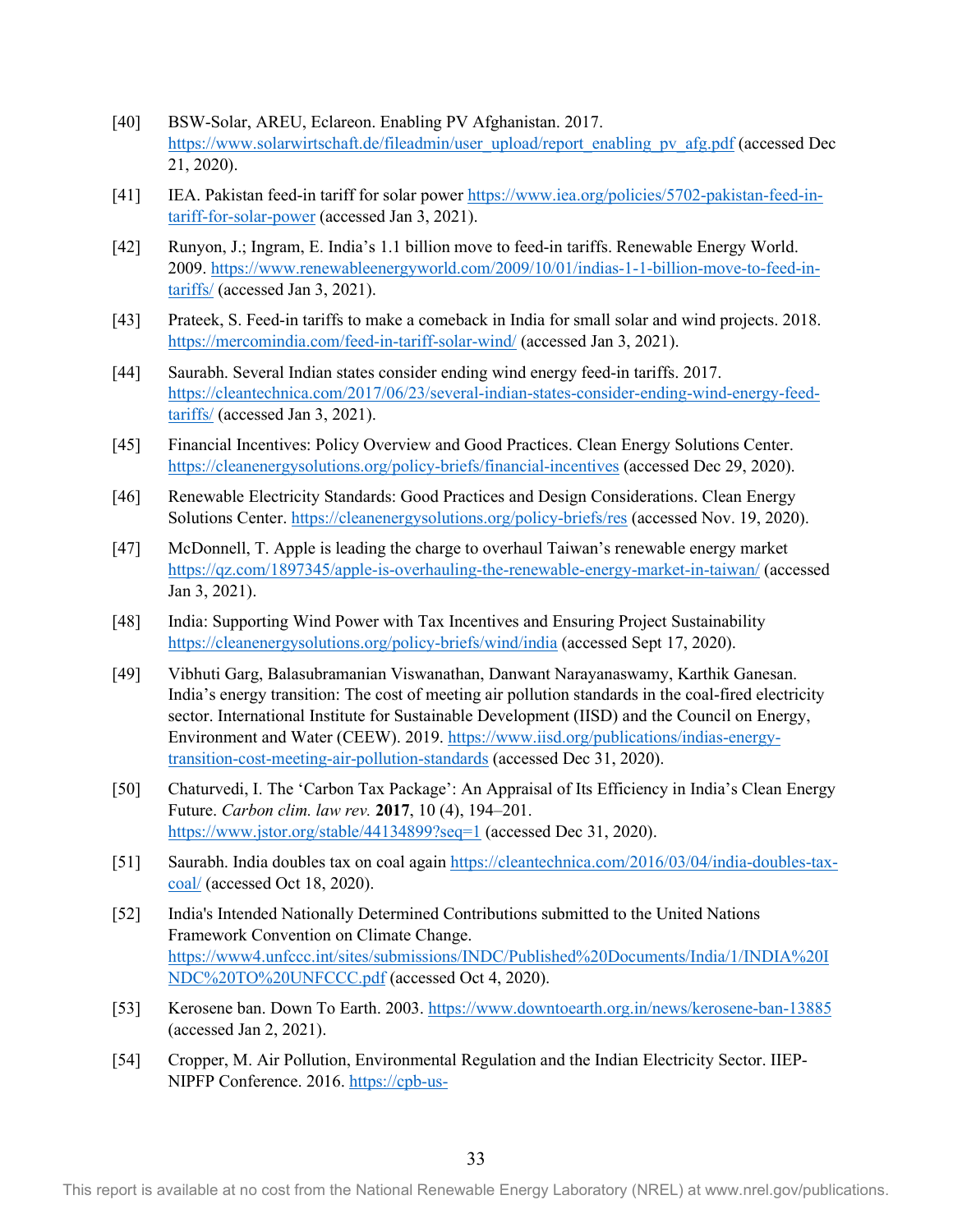- [40] BSW-Solar, AREU, Eclareon. Enabling PV Afghanistan. 2017. [https://www.solarwirtschaft.de/fileadmin/user\\_upload/report\\_enabling\\_pv\\_afg.pdf](https://www.solarwirtschaft.de/fileadmin/user_upload/report_enabling_pv_afg.pdf) (accessed Dec 21, 2020).
- [41] IEA. Pakistan feed-in tariff for solar power [https://www.iea.org/policies/5702-pakistan-feed-in](https://www.iea.org/policies/5702-pakistan-feed-in-tariff-for-solar-power)[tariff-for-solar-power](https://www.iea.org/policies/5702-pakistan-feed-in-tariff-for-solar-power) (accessed Jan 3, 2021).
- [42] Runyon, J.; Ingram, E. India's 1.1 billion move to feed-in tariffs. Renewable Energy World. 2009. [https://www.renewableenergyworld.com/2009/10/01/indias-1-1-billion-move-to-feed-in](https://www.renewableenergyworld.com/2009/10/01/indias-1-1-billion-move-to-feed-in-tariffs/)[tariffs/](https://www.renewableenergyworld.com/2009/10/01/indias-1-1-billion-move-to-feed-in-tariffs/) (accessed Jan 3, 2021).
- [43] Prateek, S. Feed-in tariffs to make a comeback in India for small solar and wind projects. 2018. <https://mercomindia.com/feed-in-tariff-solar-wind/>(accessed Jan 3, 2021).
- [44] Saurabh. Several Indian states consider ending wind energy feed-in tariffs. 2017. [https://cleantechnica.com/2017/06/23/several-indian-states-consider-ending-wind-energy-feed](https://cleantechnica.com/2017/06/23/several-indian-states-consider-ending-wind-energy-feed-tariffs/)[tariffs/](https://cleantechnica.com/2017/06/23/several-indian-states-consider-ending-wind-energy-feed-tariffs/) (accessed Jan 3, 2021).
- [45] Financial Incentives: Policy Overview and Good Practices. Clean Energy Solutions Center. <https://cleanenergysolutions.org/policy-briefs/financial-incentives>(accessed Dec 29, 2020).
- [46] Renewable Electricity Standards: Good Practices and Design Considerations. Clean Energy Solutions Center.<https://cleanenergysolutions.org/policy-briefs/res>(accessed Nov. 19, 2020).
- [47] McDonnell, T. Apple is leading the charge to overhaul Taiwan's renewable energy market <https://qz.com/1897345/apple-is-overhauling-the-renewable-energy-market-in-taiwan/> (accessed Jan 3, 2021).
- [48] India: Supporting Wind Power with Tax Incentives and Ensuring Project Sustainability <https://cleanenergysolutions.org/policy-briefs/wind/india>(accessed Sept 17, 2020).
- [49] Vibhuti Garg, Balasubramanian Viswanathan, Danwant Narayanaswamy, Karthik Ganesan. India's energy transition: The cost of meeting air pollution standards in the coal-fired electricity sector. International Institute for Sustainable Development (IISD) and the Council on Energy, Environment and Water (CEEW). 2019. [https://www.iisd.org/publications/indias-energy](https://www.iisd.org/publications/indias-energy-transition-cost-meeting-air-pollution-standards)[transition-cost-meeting-air-pollution-standards](https://www.iisd.org/publications/indias-energy-transition-cost-meeting-air-pollution-standards) (accessed Dec 31, 2020).
- [50] Chaturvedi, I. The 'Carbon Tax Package': An Appraisal of Its Efficiency in India's Clean Energy Future. *Carbon clim. law rev.* **2017**, 10 (4), 194–201. <https://www.jstor.org/stable/44134899?seq=1>(accessed Dec 31, 2020).
- [51] Saurabh. India doubles tax on coal again [https://cleantechnica.com/2016/03/04/india-doubles-tax](https://cleantechnica.com/2016/03/04/india-doubles-tax-coal/)[coal/](https://cleantechnica.com/2016/03/04/india-doubles-tax-coal/) (accessed Oct 18, 2020).
- [52] India's Intended Nationally Determined Contributions submitted to the United Nations Framework Convention on Climate Change. [https://www4.unfccc.int/sites/submissions/INDC/Published%20Documents/India/1/INDIA%20I](https://www4.unfccc.int/sites/submissions/INDC/Published%20Documents/India/1/INDIA%20INDC%20TO%20UNFCCC.pdf) [NDC%20TO%20UNFCCC.pdf](https://www4.unfccc.int/sites/submissions/INDC/Published%20Documents/India/1/INDIA%20INDC%20TO%20UNFCCC.pdf) (accessed Oct 4, 2020).
- [53] Kerosene ban. Down To Earth. 2003.<https://www.downtoearth.org.in/news/kerosene-ban-13885> (accessed Jan 2, 2021).
- [54] Cropper, M. Air Pollution, Environmental Regulation and the Indian Electricity Sector. IIEP-NIPFP Conference. 2016. [https://cpb-us-](https://cpb-us-e1.wpmucdn.com/blogs.gwu.edu/dist/5/1304/files/2018/05/Cropper-India-Presentation-IIEP-NIPFP-24zw9bh.pdf)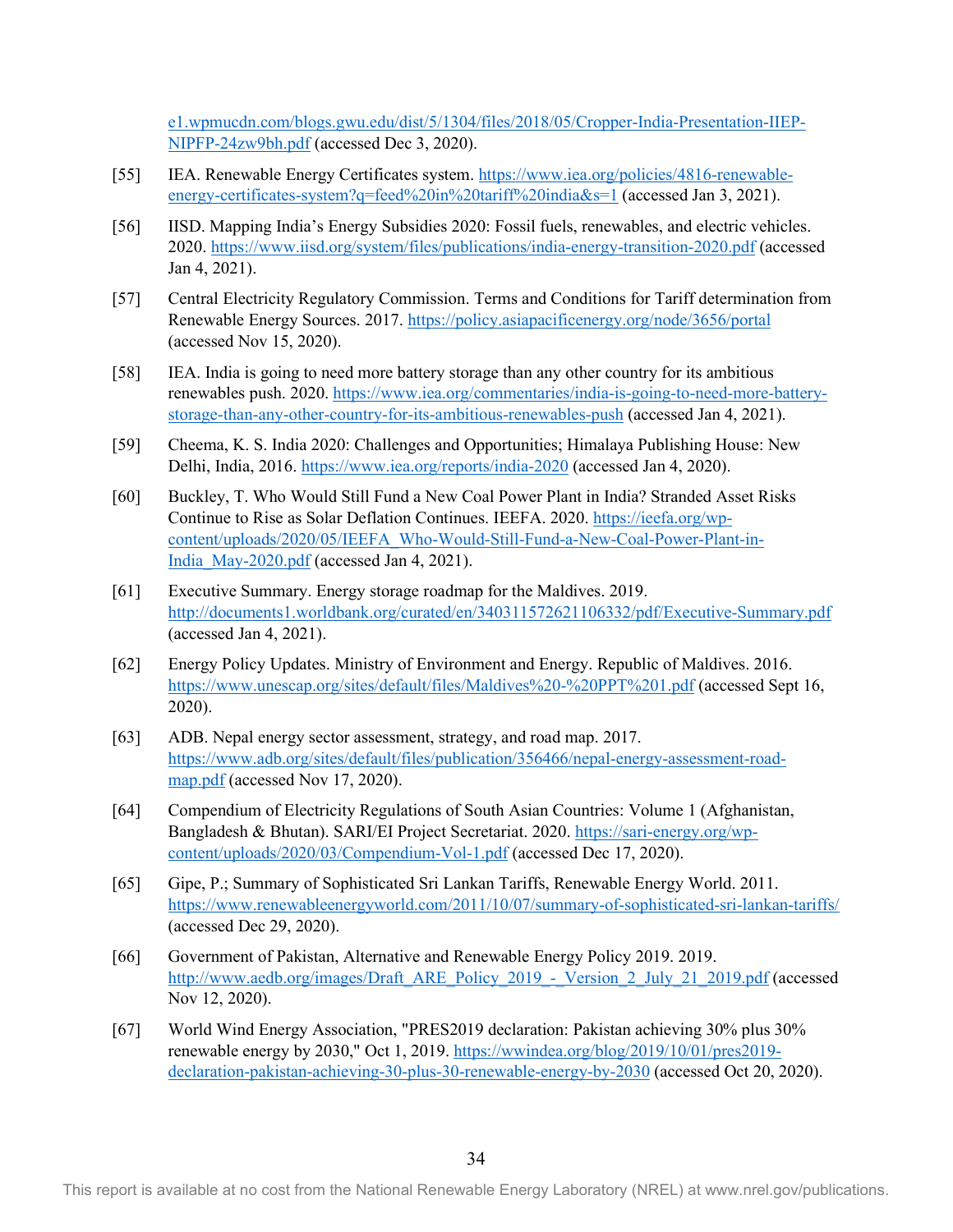[e1.wpmucdn.com/blogs.gwu.edu/dist/5/1304/files/2018/05/Cropper-India-Presentation-IIEP-](https://cpb-us-e1.wpmucdn.com/blogs.gwu.edu/dist/5/1304/files/2018/05/Cropper-India-Presentation-IIEP-NIPFP-24zw9bh.pdf)[NIPFP-24zw9bh.pdf](https://cpb-us-e1.wpmucdn.com/blogs.gwu.edu/dist/5/1304/files/2018/05/Cropper-India-Presentation-IIEP-NIPFP-24zw9bh.pdf) (accessed Dec 3, 2020).

- [55] IEA. Renewable Energy Certificates system. [https://www.iea.org/policies/4816-renewable](https://www.iea.org/policies/4816-renewable-energy-certificates-system?q=feed%20in%20tariff%20india&s=1)[energy-certificates-system?q=feed%20in%20tariff%20india&s=1](https://www.iea.org/policies/4816-renewable-energy-certificates-system?q=feed%20in%20tariff%20india&s=1) (accessed Jan 3, 2021).
- [56] IISD. Mapping India's Energy Subsidies 2020: Fossil fuels, renewables, and electric vehicles. 2020.<https://www.iisd.org/system/files/publications/india-energy-transition-2020.pdf> (accessed Jan 4, 2021).
- [57] Central Electricity Regulatory Commission. Terms and Conditions for Tariff determination from Renewable Energy Sources. 2017.<https://policy.asiapacificenergy.org/node/3656/portal> (accessed Nov 15, 2020).
- [58] IEA. India is going to need more battery storage than any other country for its ambitious renewables push. 2020. [https://www.iea.org/commentaries/india-is-going-to-need-more-battery](https://www.iea.org/commentaries/india-is-going-to-need-more-battery-storage-than-any-other-country-for-its-ambitious-renewables-push)[storage-than-any-other-country-for-its-ambitious-renewables-push](https://www.iea.org/commentaries/india-is-going-to-need-more-battery-storage-than-any-other-country-for-its-ambitious-renewables-push) (accessed Jan 4, 2021).
- [59] Cheema, K. S. India 2020: Challenges and Opportunities; Himalaya Publishing House: New Delhi, India, 2016.<https://www.iea.org/reports/india-2020> (accessed Jan 4, 2020).
- [60] Buckley, T. Who Would Still Fund a New Coal Power Plant in India? Stranded Asset Risks Continue to Rise as Solar Deflation Continues. IEEFA. 2020. [https://ieefa.org/wp](https://ieefa.org/wp-content/uploads/2020/05/IEEFA_Who-Would-Still-Fund-a-New-Coal-Power-Plant-in-India_May-2020.pdf)[content/uploads/2020/05/IEEFA\\_Who-Would-Still-Fund-a-New-Coal-Power-Plant-in-](https://ieefa.org/wp-content/uploads/2020/05/IEEFA_Who-Would-Still-Fund-a-New-Coal-Power-Plant-in-India_May-2020.pdf)[India\\_May-2020.pdf](https://ieefa.org/wp-content/uploads/2020/05/IEEFA_Who-Would-Still-Fund-a-New-Coal-Power-Plant-in-India_May-2020.pdf) (accessed Jan 4, 2021).
- [61] Executive Summary. Energy storage roadmap for the Maldives. 2019. <http://documents1.worldbank.org/curated/en/340311572621106332/pdf/Executive-Summary.pdf> (accessed Jan 4, 2021).
- [62] Energy Policy Updates. Ministry of Environment and Energy. Republic of Maldives. 2016. <https://www.unescap.org/sites/default/files/Maldives%20-%20PPT%201.pdf> (accessed Sept 16, 2020).
- [63] ADB. Nepal energy sector assessment, strategy, and road map. 2017. [https://www.adb.org/sites/default/files/publication/356466/nepal-energy-assessment-road](https://www.adb.org/sites/default/files/publication/356466/nepal-energy-assessment-road-map.pdf)[map.pdf](https://www.adb.org/sites/default/files/publication/356466/nepal-energy-assessment-road-map.pdf) (accessed Nov 17, 2020).
- [64] Compendium of Electricity Regulations of South Asian Countries: Volume 1 (Afghanistan, Bangladesh & Bhutan). SARI/EI Project Secretariat. 2020. [https://sari-energy.org/wp](https://sari-energy.org/wp-content/uploads/2020/03/Compendium-Vol-1.pdf)[content/uploads/2020/03/Compendium-Vol-1.pdf](https://sari-energy.org/wp-content/uploads/2020/03/Compendium-Vol-1.pdf) (accessed Dec 17, 2020).
- [65] Gipe, P.; Summary of Sophisticated Sri Lankan Tariffs, Renewable Energy World. 2011. <https://www.renewableenergyworld.com/2011/10/07/summary-of-sophisticated-sri-lankan-tariffs/> (accessed Dec 29, 2020).
- [66] Government of Pakistan, Alternative and Renewable Energy Policy 2019. 2019. [http://www.aedb.org/images/Draft\\_ARE\\_Policy\\_2019\\_-\\_Version\\_2\\_July\\_21\\_2019.pdf](http://www.aedb.org/images/Draft_ARE_Policy_2019_-_Version_2_July_21_2019.pdf) (accessed Nov 12, 2020).
- [67] World Wind Energy Association, "PRES2019 declaration: Pakistan achieving 30% plus 30% renewable energy by 2030," Oct 1, 2019. [https://wwindea.org/blog/2019/10/01/pres2019](https://wwindea.org/blog/2019/10/01/pres2019-declaration-pakistan-achieving-30-plus-30-renewable-energy-by-2030) [declaration-pakistan-achieving-30-plus-30-renewable-energy-by-2030](https://wwindea.org/blog/2019/10/01/pres2019-declaration-pakistan-achieving-30-plus-30-renewable-energy-by-2030) (accessed Oct 20, 2020).

This report is available at no cost from the National Renewable Energy Laboratory (NREL) at www.nrel.gov/publications.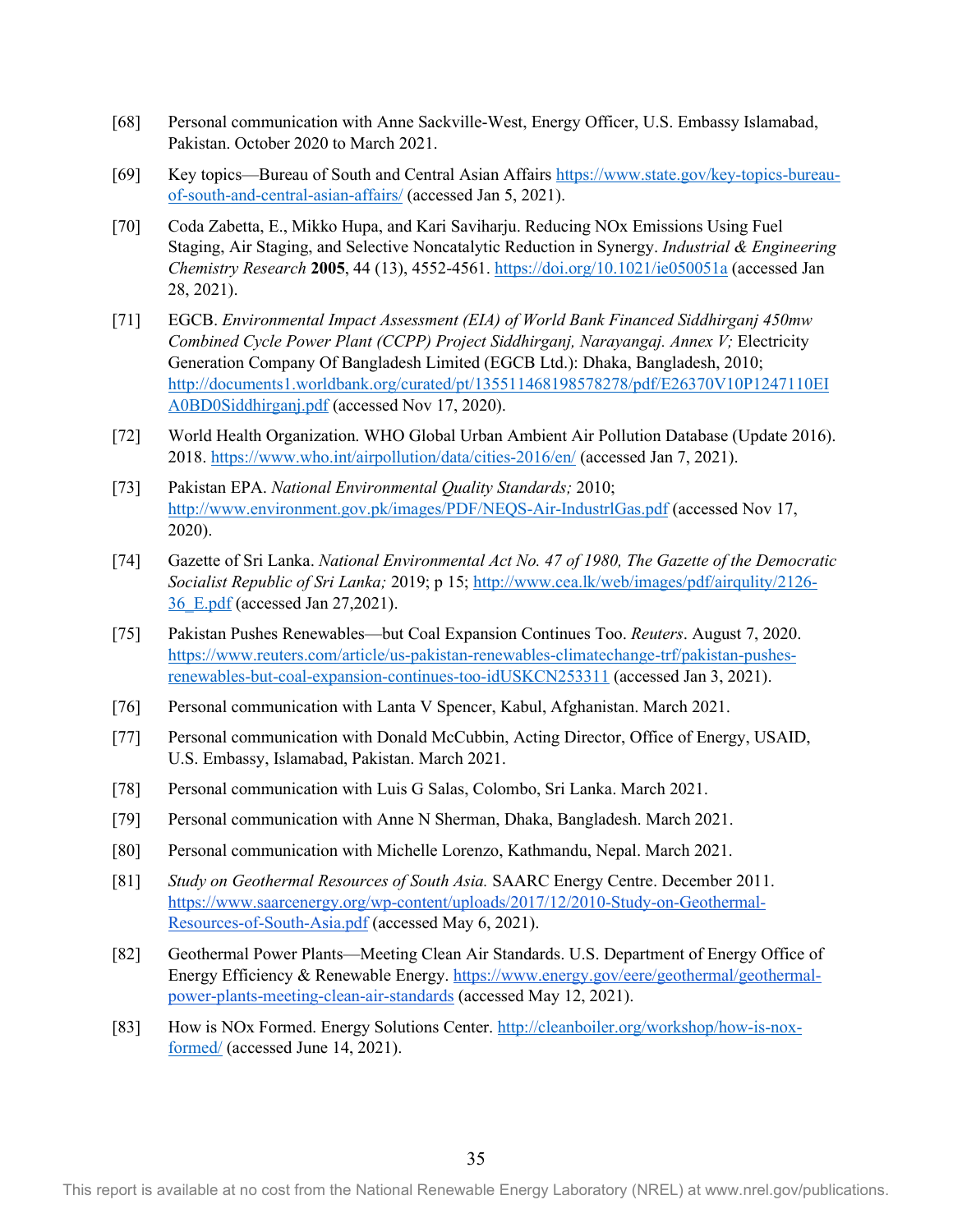- [68] Personal communication with Anne Sackville-West, Energy Officer, U.S. Embassy Islamabad, Pakistan. October 2020 to March 2021.
- [69] Key topics—Bureau of South and Central Asian Affairs [https://www.state.gov/key-topics-bureau](https://www.state.gov/key-topics-bureau-of-south-and-central-asian-affairs/)[of-south-and-central-asian-affairs/](https://www.state.gov/key-topics-bureau-of-south-and-central-asian-affairs/) (accessed Jan 5, 2021).
- [70] Coda Zabetta, E., Mikko Hupa, and Kari Saviharju. Reducing NOx Emissions Using Fuel Staging, Air Staging, and Selective Noncatalytic Reduction in Synergy. *Industrial & Engineering Chemistry Research* **2005**, 44 (13), 4552-4561.<https://doi.org/10.1021/ie050051a> (accessed Jan 28, 2021).
- [71] EGCB. *Environmental Impact Assessment (EIA) of World Bank Financed Siddhirganj 450mw Combined Cycle Power Plant (CCPP) Project Siddhirganj, Narayangaj. Annex V;* Electricity Generation Company Of Bangladesh Limited (EGCB Ltd.): Dhaka, Bangladesh, 2010; [http://documents1.worldbank.org/curated/pt/135511468198578278/pdf/E26370V10P1247110EI](http://documents1.worldbank.org/curated/pt/135511468198578278/pdf/E26370V10P1247110EIA0BD0Siddhirganj.pdf) [A0BD0Siddhirganj.pdf](http://documents1.worldbank.org/curated/pt/135511468198578278/pdf/E26370V10P1247110EIA0BD0Siddhirganj.pdf) (accessed Nov 17, 2020).
- [72] World Health Organization. WHO Global Urban Ambient Air Pollution Database (Update 2016). 2018.<https://www.who.int/airpollution/data/cities-2016/en/> (accessed Jan 7, 2021).
- [73] Pakistan EPA. *National Environmental Quality Standards;* 2010; <http://www.environment.gov.pk/images/PDF/NEQS-Air-IndustrlGas.pdf>(accessed Nov 17, 2020).
- [74] Gazette of Sri Lanka. *National Environmental Act No. 47 of 1980, The Gazette of the Democratic Socialist Republic of Sri Lanka;* 2019; p 15; [http://www.cea.lk/web/images/pdf/airqulity/2126-](http://www.cea.lk/web/images/pdf/airqulity/2126-36_E.pdf) [36\\_E.pdf](http://www.cea.lk/web/images/pdf/airqulity/2126-36_E.pdf) (accessed Jan 27,2021).
- [75] Pakistan Pushes Renewables—but Coal Expansion Continues Too. *Reuters*. August 7, 2020. [https://www.reuters.com/article/us-pakistan-renewables-climatechange-trf/pakistan-pushes](https://www.reuters.com/article/us-pakistan-renewables-climatechange-trf/pakistan-pushes-renewables-but-coal-expansion-continues-too-idUSKCN253311)[renewables-but-coal-expansion-continues-too-idUSKCN253311](https://www.reuters.com/article/us-pakistan-renewables-climatechange-trf/pakistan-pushes-renewables-but-coal-expansion-continues-too-idUSKCN253311) (accessed Jan 3, 2021).
- [76] Personal communication with Lanta V Spencer, Kabul, Afghanistan. March 2021.
- [77] Personal communication with Donald McCubbin, Acting Director, Office of Energy, USAID, U.S. Embassy, Islamabad, Pakistan. March 2021.
- [78] Personal communication with Luis G Salas, Colombo, Sri Lanka. March 2021.
- [79] Personal communication with Anne N Sherman, Dhaka, Bangladesh. March 2021.
- [80] Personal communication with Michelle Lorenzo, Kathmandu, Nepal. March 2021.
- [81] *Study on Geothermal Resources of South Asia.* SAARC Energy Centre. December 2011. [https://www.saarcenergy.org/wp-content/uploads/2017/12/2010-Study-on-Geothermal-](https://www.saarcenergy.org/wp-content/uploads/2017/12/2010-Study-on-Geothermal-Resources-of-South-Asia.pdf)[Resources-of-South-Asia.pdf](https://www.saarcenergy.org/wp-content/uploads/2017/12/2010-Study-on-Geothermal-Resources-of-South-Asia.pdf) (accessed May 6, 2021).
- [82] Geothermal Power Plants—Meeting Clean Air Standards. U.S. Department of Energy Office of Energy Efficiency & Renewable Energy. [https://www.energy.gov/eere/geothermal/geothermal](https://www.energy.gov/eere/geothermal/geothermal-power-plants-meeting-clean-air-standards)[power-plants-meeting-clean-air-standards](https://www.energy.gov/eere/geothermal/geothermal-power-plants-meeting-clean-air-standards) (accessed May 12, 2021).
- [83] How is NOx Formed. Energy Solutions Center[. http://cleanboiler.org/workshop/how-is-nox](http://cleanboiler.org/workshop/how-is-nox-formed/)[formed/](http://cleanboiler.org/workshop/how-is-nox-formed/) (accessed June 14, 2021).

This report is available at no cost from the National Renewable Energy Laboratory (NREL) at www.nrel.gov/publications.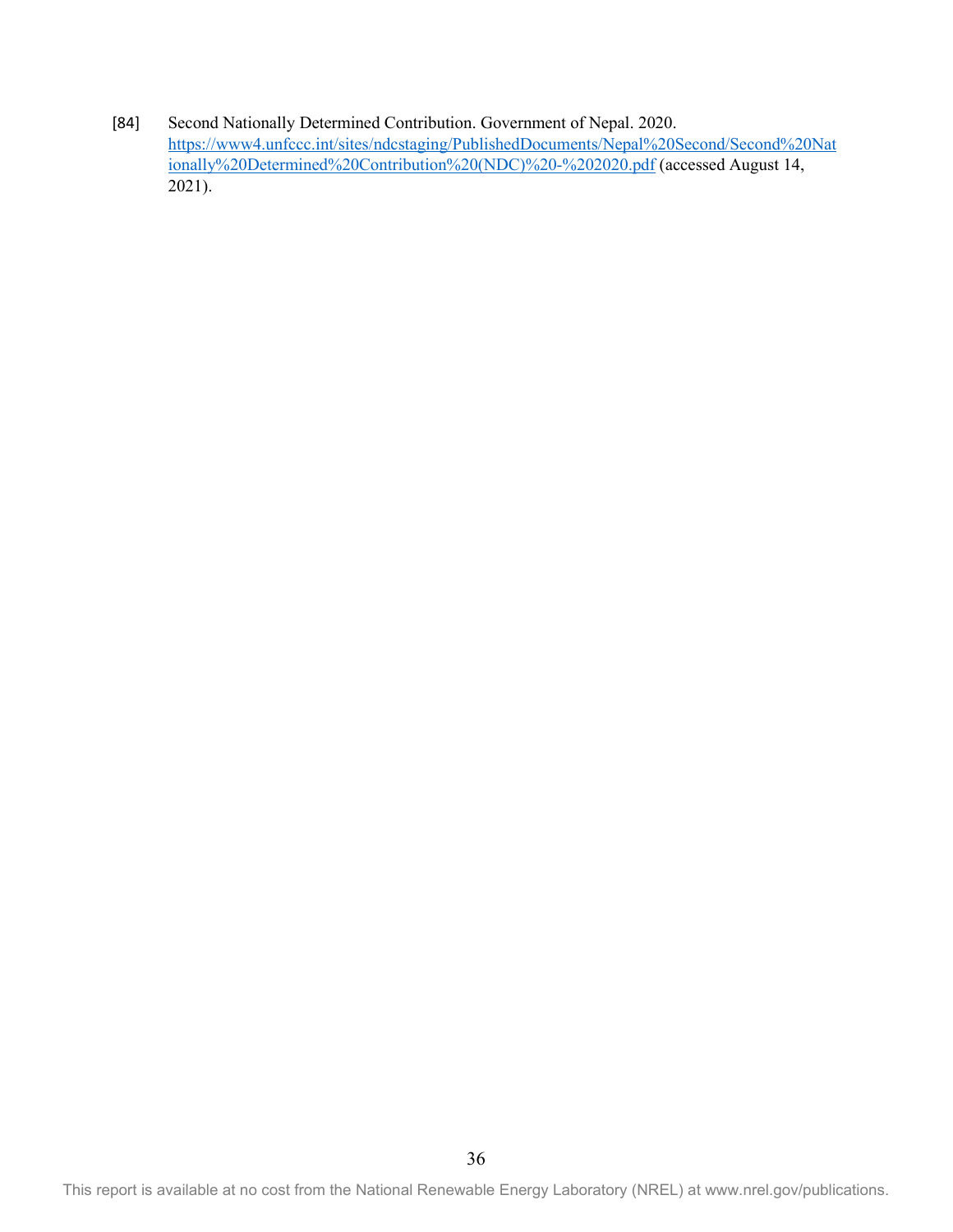#### [84] Second Nationally Determined Contribution. Government of Nepal. 2020. [https://www4.unfccc.int/sites/ndcstaging/PublishedDocuments/Nepal%20Second/Second%20Nat](https://www4.unfccc.int/sites/ndcstaging/PublishedDocuments/Nepal%20Second/Second%20Nationally%20Determined%20Contribution%20(NDC)%20-%202020.pdf) [ionally%20Determined%20Contribution%20\(NDC\)%20-%202020.pdf](https://www4.unfccc.int/sites/ndcstaging/PublishedDocuments/Nepal%20Second/Second%20Nationally%20Determined%20Contribution%20(NDC)%20-%202020.pdf) (accessed August 14, 2021).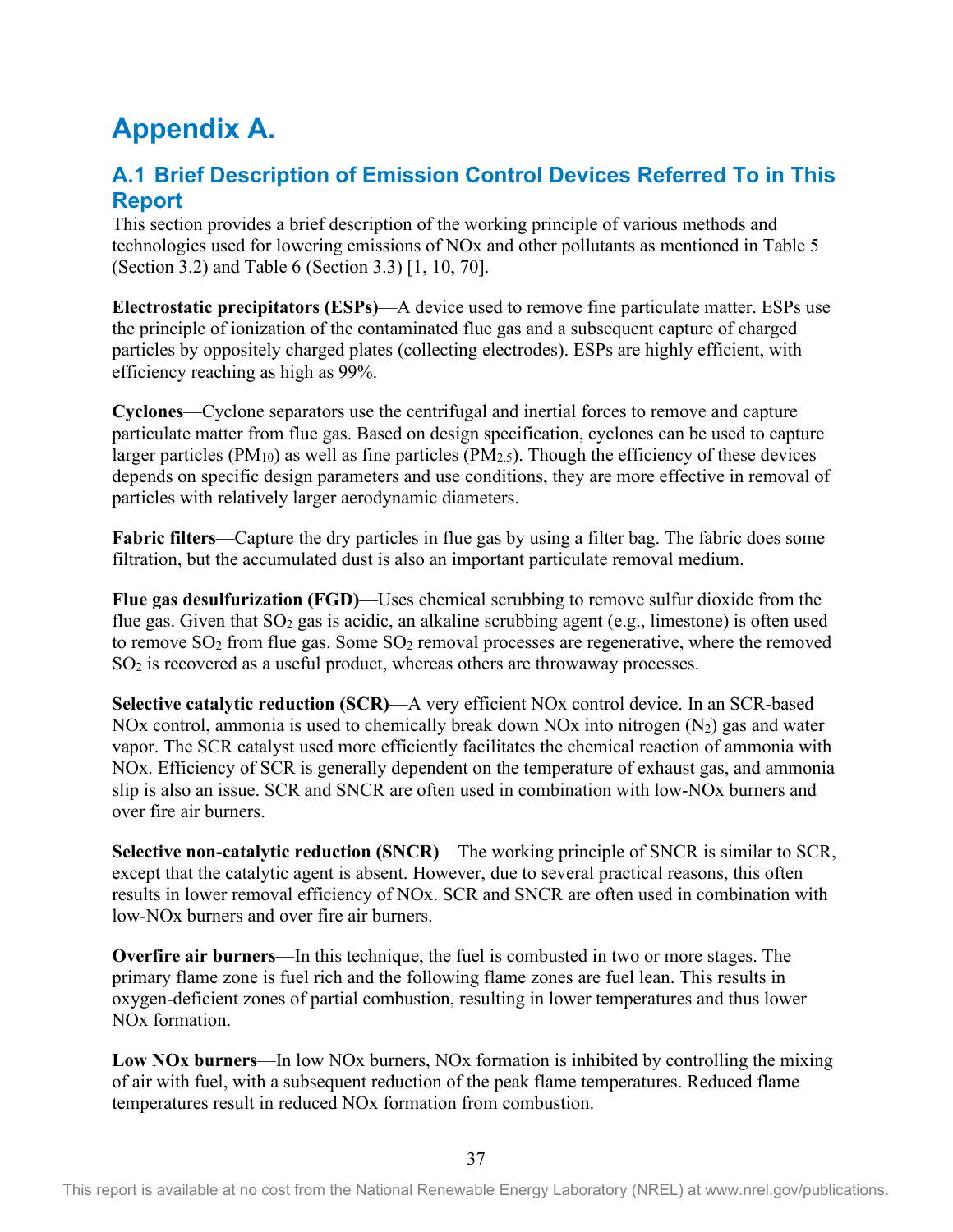## <span id="page-44-0"></span>**Appendix A.**

### <span id="page-44-1"></span>**A.1 Brief Description of Emission Control Devices Referred To in This Report**

This section provides a brief description of the working principle of various methods and technologies used for lowering emissions of NOx and other pollutants as mentioned in Table 5 (Section 3.2) and Table 6 (Section 3.3) [1, 10, 70].

**Electrostatic precipitators (ESPs)**—A device used to remove fine particulate matter. ESPs use the principle of ionization of the contaminated flue gas and a subsequent capture of charged particles by oppositely charged plates (collecting electrodes). ESPs are highly efficient, with efficiency reaching as high as 99%.

**Cyclones**—Cyclone separators use the centrifugal and inertial forces to remove and capture particulate matter from flue gas. Based on design specification, cyclones can be used to capture larger particles ( $PM_{10}$ ) as well as fine particles ( $PM_{2.5}$ ). Though the efficiency of these devices depends on specific design parameters and use conditions, they are more effective in removal of particles with relatively larger aerodynamic diameters.

**Fabric filters**—Capture the dry particles in flue gas by using a filter bag. The fabric does some filtration, but the accumulated dust is also an important particulate removal medium.

**Flue gas desulfurization (FGD)**—Uses chemical scrubbing to remove sulfur dioxide from the flue gas. Given that  $SO_2$  gas is acidic, an alkaline scrubbing agent (e.g., limestone) is often used to remove  $SO_2$  from flue gas. Some  $SO_2$  removal processes are regenerative, where the removed SO2 is recovered as a useful product, whereas others are throwaway processes.

**Selective catalytic reduction (SCR)**—A very efficient NOx control device. In an SCR-based NOx control, ammonia is used to chemically break down NOx into nitrogen  $(N_2)$  gas and water vapor. The SCR catalyst used more efficiently facilitates the chemical reaction of ammonia with NOx. Efficiency of SCR is generally dependent on the temperature of exhaust gas, and ammonia slip is also an issue. SCR and SNCR are often used in combination with low-NOx burners and over fire air burners.

**Selective non-catalytic reduction (SNCR)**—The working principle of SNCR is similar to SCR, except that the catalytic agent is absent. However, due to several practical reasons, this often results in lower removal efficiency of NOx. SCR and SNCR are often used in combination with low-NOx burners and over fire air burners.

**Overfire air burners**—In this technique, the fuel is combusted in two or more stages. The primary flame zone is fuel rich and the following flame zones are fuel lean. This results in oxygen-deficient zones of partial combustion, resulting in lower temperatures and thus lower NOx formation.

**Low NOx burners**—In low NOx burners, NOx formation is inhibited by controlling the mixing of air with fuel, with a subsequent reduction of the peak flame temperatures. Reduced flame temperatures result in reduced NOx formation from combustion.